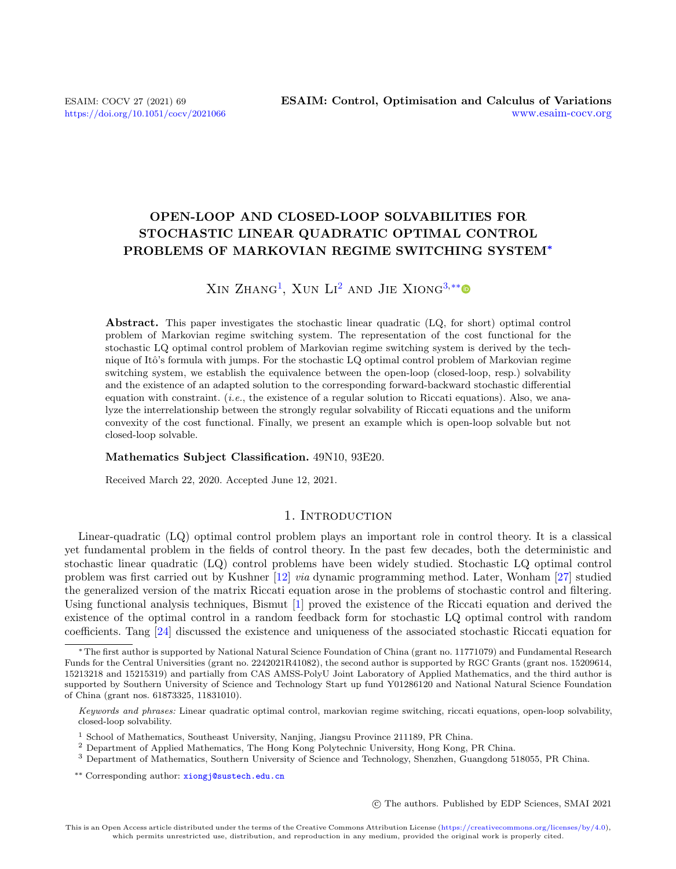# OPEN-LOOP AND CLOSED-LOOP SOLVABILITIES FOR STOCHASTIC LINEAR QUADRATIC OPTIMAL CONTROL PROBLEMS OF MARKOVIAN REGIME SWITCHING SYSTEM<sup>∗</sup>

# $XIN ZHANG<sup>1</sup>$  $XIN ZHANG<sup>1</sup>$  $XIN ZHANG<sup>1</sup>$ , XUN  $LI<sup>2</sup>$  $LI<sup>2</sup>$  $LI<sup>2</sup>$  AND JIE  $XIONG<sup>3</sup>$ <sup>[\\*\\*](#page-0-3)</sup>

Abstract. This paper investigates the stochastic linear quadratic (LQ, for short) optimal control problem of Markovian regime switching system. The representation of the cost functional for the stochastic LQ optimal control problem of Markovian regime switching system is derived by the technique of Itô's formula with jumps. For the stochastic LQ optimal control problem of Markovian regime switching system, we establish the equivalence between the open-loop (closed-loop, resp.) solvability and the existence of an adapted solution to the corresponding forward-backward stochastic differential equation with constraint. (*i.e.*, the existence of a regular solution to Riccati equations). Also, we analyze the interrelationship between the strongly regular solvability of Riccati equations and the uniform convexity of the cost functional. Finally, we present an example which is open-loop solvable but not closed-loop solvable.

#### Mathematics Subject Classification. 49N10, 93E20.

Received March 22, 2020. Accepted June 12, 2021.

# 1. INTRODUCTION

Linear-quadratic (LQ) optimal control problem plays an important role in control theory. It is a classical yet fundamental problem in the fields of control theory. In the past few decades, both the deterministic and stochastic linear quadratic (LQ) control problems have been widely studied. Stochastic LQ optimal control problem was first carried out by Kushner [\[12\]](#page-33-0) via dynamic programming method. Later, Wonham [\[27\]](#page-33-1) studied the generalized version of the matrix Riccati equation arose in the problems of stochastic control and filtering. Using functional analysis techniques, Bismut [\[1\]](#page-33-2) proved the existence of the Riccati equation and derived the existence of the optimal control in a random feedback form for stochastic LQ optimal control with random coefficients. Tang [\[24\]](#page-33-3) discussed the existence and uniqueness of the associated stochastic Riccati equation for

c The authors. Published by EDP Sciences, SMAI 2021

<sup>∗</sup>The first author is supported by National Natural Science Foundation of China (grant no. 11771079) and Fundamental Research Funds for the Central Universities (grant no. 2242021R41082), the second author is supported by RGC Grants (grant nos. 15209614, 15213218 and 15215319) and partially from CAS AMSS-PolyU Joint Laboratory of Applied Mathematics, and the third author is supported by Southern University of Science and Technology Start up fund Y01286120 and National Natural Science Foundation of China (grant nos. 61873325, 11831010).

<span id="page-0-3"></span>Keywords and phrases: Linear quadratic optimal control, markovian regime switching, riccati equations, open-loop solvability, closed-loop solvability.

<span id="page-0-0"></span> $^{\rm 1}$  School of Mathematics, Southeast University, Nanjing, Jiangsu Province 211189, PR China.

<span id="page-0-1"></span><sup>2</sup> Department of Applied Mathematics, The Hong Kong Polytechnic University, Hong Kong, PR China.

<span id="page-0-2"></span><sup>3</sup> Department of Mathematics, Southern University of Science and Technology, Shenzhen, Guangdong 518055, PR China.

<sup>\*\*</sup> Corresponding author: [xiongj@sustech.edu.cn](mailto:xiongj@sustech.edu.cn)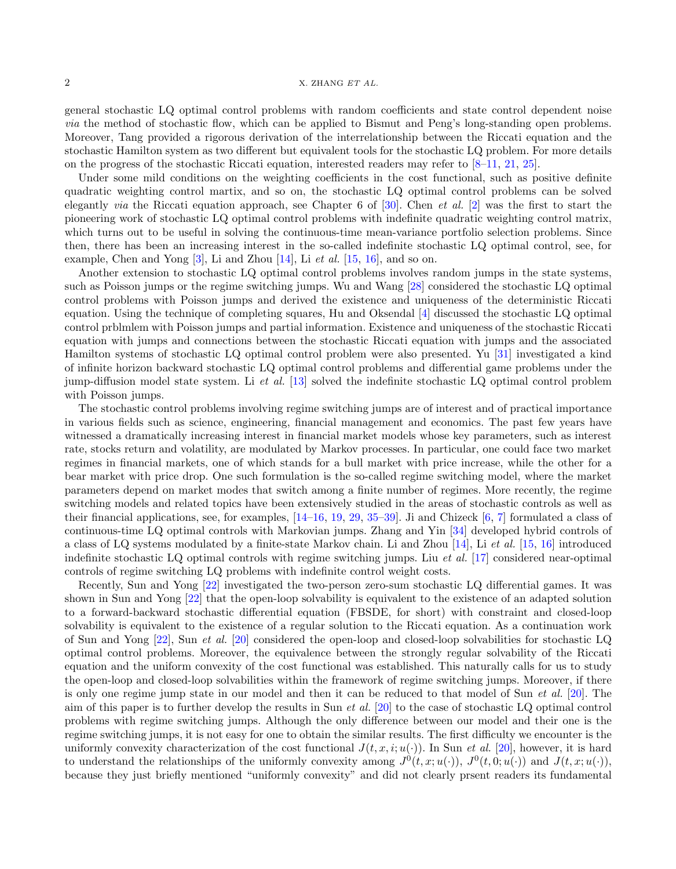general stochastic LQ optimal control problems with random coefficients and state control dependent noise via the method of stochastic flow, which can be applied to Bismut and Peng's long-standing open problems. Moreover, Tang provided a rigorous derivation of the interrelationship between the Riccati equation and the stochastic Hamilton system as two different but equivalent tools for the stochastic LQ problem. For more details on the progress of the stochastic Riccati equation, interested readers may refer to [\[8](#page-33-4)[–11,](#page-33-5) [21,](#page-33-6) [25\]](#page-33-7).

Under some mild conditions on the weighting coefficients in the cost functional, such as positive definite quadratic weighting control martix, and so on, the stochastic LQ optimal control problems can be solved elegantly *via* the Riccati equation approach, see Chapter 6 of  $[30]$ . Chen *et al.*  $[2]$  was the first to start the pioneering work of stochastic LQ optimal control problems with indefinite quadratic weighting control matrix, which turns out to be useful in solving the continuous-time mean-variance portfolio selection problems. Since then, there has been an increasing interest in the so-called indefinite stochastic LQ optimal control, see, for example, Chen and Yong  $[3]$ , Li and Zhou  $[14]$ , Li *et al.*  $[15, 16]$  $[15, 16]$  $[15, 16]$ , and so on.

Another extension to stochastic LQ optimal control problems involves random jumps in the state systems, such as Poisson jumps or the regime switching jumps. Wu and Wang [\[28\]](#page-33-14) considered the stochastic LQ optimal control problems with Poisson jumps and derived the existence and uniqueness of the deterministic Riccati equation. Using the technique of completing squares, Hu and Oksendal [\[4\]](#page-33-15) discussed the stochastic LQ optimal control prblmlem with Poisson jumps and partial information. Existence and uniqueness of the stochastic Riccati equation with jumps and connections between the stochastic Riccati equation with jumps and the associated Hamilton systems of stochastic LQ optimal control problem were also presented. Yu [\[31\]](#page-33-16) investigated a kind of infinite horizon backward stochastic LQ optimal control problems and differential game problems under the jump-diffusion model state system. Li et al. [\[13\]](#page-33-17) solved the indefinite stochastic LQ optimal control problem with Poisson jumps.

The stochastic control problems involving regime switching jumps are of interest and of practical importance in various fields such as science, engineering, financial management and economics. The past few years have witnessed a dramatically increasing interest in financial market models whose key parameters, such as interest rate, stocks return and volatility, are modulated by Markov processes. In particular, one could face two market regimes in financial markets, one of which stands for a bull market with price increase, while the other for a bear market with price drop. One such formulation is the so-called regime switching model, where the market parameters depend on market modes that switch among a finite number of regimes. More recently, the regime switching models and related topics have been extensively studied in the areas of stochastic controls as well as their financial applications, see, for examples, [\[14–](#page-33-11)[16,](#page-33-13) [19,](#page-33-18) [29,](#page-33-19) [35](#page-34-0)[–39\]](#page-34-1). Ji and Chizeck [\[6,](#page-33-20) [7\]](#page-33-21) formulated a class of continuous-time LQ optimal controls with Markovian jumps. Zhang and Yin [\[34\]](#page-34-2) developed hybrid controls of a class of LQ systems modulated by a finite-state Markov chain. Li and Zhou [\[14\]](#page-33-11), Li et al. [\[15,](#page-33-12) [16\]](#page-33-13) introduced indefinite stochastic LQ optimal controls with regime switching jumps. Liu *et al.* [\[17\]](#page-33-22) considered near-optimal controls of regime switching LQ problems with indefinite control weight costs.

Recently, Sun and Yong [\[22\]](#page-33-23) investigated the two-person zero-sum stochastic LQ differential games. It was shown in Sun and Yong [\[22\]](#page-33-23) that the open-loop solvability is equivalent to the existence of an adapted solution to a forward-backward stochastic differential equation (FBSDE, for short) with constraint and closed-loop solvability is equivalent to the existence of a regular solution to the Riccati equation. As a continuation work of Sun and Yong [\[22\]](#page-33-23), Sun et al. [\[20\]](#page-33-24) considered the open-loop and closed-loop solvabilities for stochastic LQ optimal control problems. Moreover, the equivalence between the strongly regular solvability of the Riccati equation and the uniform convexity of the cost functional was established. This naturally calls for us to study the open-loop and closed-loop solvabilities within the framework of regime switching jumps. Moreover, if there is only one regime jump state in our model and then it can be reduced to that model of Sun et al. [\[20\]](#page-33-24). The aim of this paper is to further develop the results in Sun et al. [\[20\]](#page-33-24) to the case of stochastic LQ optimal control problems with regime switching jumps. Although the only difference between our model and their one is the regime switching jumps, it is not easy for one to obtain the similar results. The first difficulty we encounter is the uniformly convexity characterization of the cost functional  $J(t, x, i; u(\cdot))$ . In Sun et al. [\[20\]](#page-33-24), however, it is hard to understand the relationships of the uniformly convexity among  $J^0(t, x; u(\cdot))$ ,  $J^0(t, 0; u(\cdot))$  and  $J(t, x; u(\cdot))$ , because they just briefly mentioned "uniformly convexity" and did not clearly prsent readers its fundamental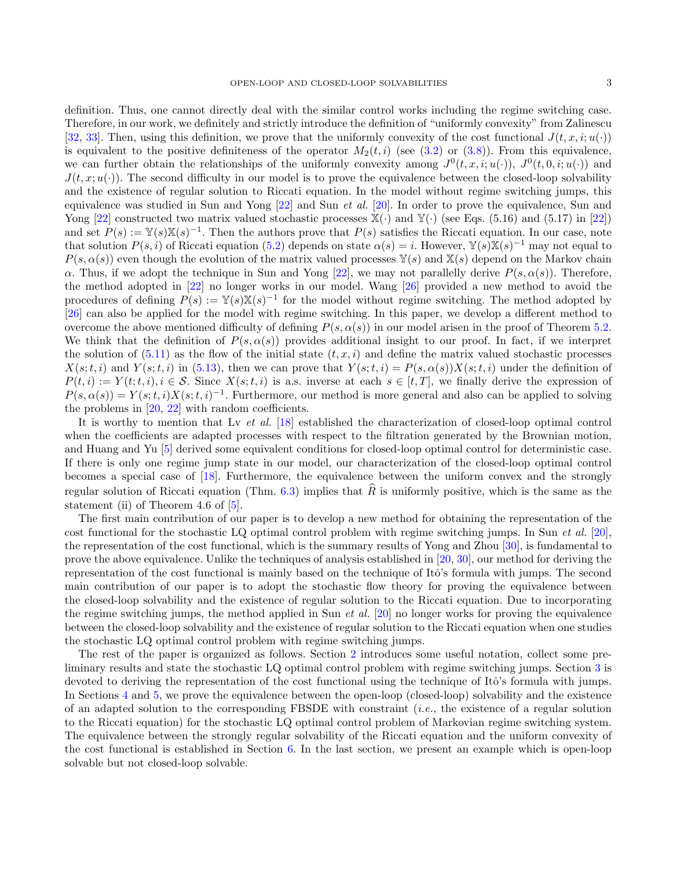definition. Thus, one cannot directly deal with the similar control works including the regime switching case. Therefore, in our work, we definitely and strictly introduce the definition of "uniformly convexity" from Zalinescu [\[32,](#page-33-25) [33\]](#page-33-26). Then, using this definition, we prove that the uniformly convexity of the cost functional  $J(t, x, i; u(\cdot))$ is equivalent to the positive definiteness of the operator  $M_2(t, i)$  (see [\(3.2\)](#page-6-0) or [\(3.8\)](#page-10-0)). From this equivalence, we can further obtain the relationships of the uniformly convexity among  $J^0(t, x, i; u(\cdot))$ ,  $J^0(t, 0, i; u(\cdot))$  and  $J(t, x; u(\cdot))$ . The second difficulty in our model is to prove the equivalence between the closed-loop solvability and the existence of regular solution to Riccati equation. In the model without regime switching jumps, this equivalence was studied in Sun and Yong  $[22]$  and Sun *et al.* [\[20\]](#page-33-24). In order to prove the equivalence, Sun and Yong [\[22\]](#page-33-23) constructed two matrix valued stochastic processes  $\mathbb{X}(\cdot)$  and  $\mathbb{Y}(\cdot)$  (see Eqs. (5.16) and (5.17) in [22]) and set  $P(s) := \mathbb{Y}(s) \mathbb{X}(s)^{-1}$ . Then the authors prove that  $P(s)$  satisfies the Riccati equation. In our case, note that solution  $P(s, i)$  of Riccati equation [\(5.2\)](#page-15-0) depends on state  $\alpha(s) = i$ . However,  $\mathbb{Y}(s)\mathbb{X}(s)^{-1}$  may not equal to  $P(s, \alpha(s))$  even though the evolution of the matrix valued processes  $\mathbb{Y}(s)$  and  $\mathbb{X}(s)$  depend on the Markov chain  $\alpha$ . Thus, if we adopt the technique in Sun and Yong [\[22\]](#page-33-23), we may not parallelly derive  $P(s, \alpha(s))$ . Therefore, the method adopted in [\[22\]](#page-33-23) no longer works in our model. Wang [\[26\]](#page-33-27) provided a new method to avoid the procedures of defining  $P(s) := \mathbb{Y}(s) \mathbb{X}(s)^{-1}$  for the model without regime switching. The method adopted by [\[26\]](#page-33-27) can also be applied for the model with regime switching. In this paper, we develop a different method to overcome the above mentioned difficulty of defining  $P(s, \alpha(s))$  in our model arisen in the proof of Theorem [5.2.](#page-16-0) We think that the definition of  $P(s, \alpha(s))$  provides additional insight to our proof. In fact, if we interpret the solution of  $(5.11)$  as the flow of the initial state  $(t, x, i)$  and define the matrix valued stochastic processes  $X(s;t,i)$  and  $Y(s;t,i)$  in [\(5.13\)](#page-17-1), then we can prove that  $Y(s;t,i) = P(s,\alpha(s))X(s;t,i)$  under the definition of  $P(t, i) := Y(t; t, i), i \in \mathcal{S}$ . Since  $X(s; t, i)$  is a.s. inverse at each  $s \in [t, T]$ , we finally derive the expression of  $P(s, \alpha(s)) = Y(s; t, i)X(s; t, i)^{-1}$ . Furthermore, our method is more general and also can be applied to solving the problems in [\[20,](#page-33-24) [22\]](#page-33-23) with random coefficients.

It is worthy to mention that Lv et al. [\[18\]](#page-33-28) established the characterization of closed-loop optimal control when the coefficients are adapted processes with respect to the filtration generated by the Brownian motion, and Huang and Yu [\[5\]](#page-33-29) derived some equivalent conditions for closed-loop optimal control for deterministic case. If there is only one regime jump state in our model, our characterization of the closed-loop optimal control becomes a special case of [\[18\]](#page-33-28). Furthermore, the equivalence between the uniform convex and the strongly regular solution of Riccati equation (Thm. [6.3\)](#page-26-0) implies that  $\hat{R}$  is uniformly positive, which is the same as the statement (ii) of Theorem 4.6 of [\[5\]](#page-33-29).

The first main contribution of our paper is to develop a new method for obtaining the representation of the cost functional for the stochastic LQ optimal control problem with regime switching jumps. In Sun et al. [\[20\]](#page-33-24), the representation of the cost functional, which is the summary results of Yong and Zhou [\[30\]](#page-33-8), is fundamental to prove the above equivalence. Unlike the techniques of analysis established in [\[20,](#page-33-24) [30\]](#page-33-8), our method for deriving the representation of the cost functional is mainly based on the technique of Itô's formula with jumps. The second main contribution of our paper is to adopt the stochastic flow theory for proving the equivalence between the closed-loop solvability and the existence of regular solution to the Riccati equation. Due to incorporating the regime switching jumps, the method applied in Sun *et al.* [\[20\]](#page-33-24) no longer works for proving the equivalence between the closed-loop solvability and the existence of regular solution to the Riccati equation when one studies the stochastic LQ optimal control problem with regime switching jumps.

The rest of the paper is organized as follows. Section [2](#page-3-0) introduces some useful notation, collect some preliminary results and state the stochastic LQ optimal control problem with regime switching jumps. Section [3](#page-6-1) is devoted to deriving the representation of the cost functional using the technique of Itô's formula with jumps. In Sections [4](#page-12-0) and [5,](#page-15-1) we prove the equivalence between the open-loop (closed-loop) solvability and the existence of an adapted solution to the corresponding FBSDE with constraint (i.e., the existence of a regular solution to the Riccati equation) for the stochastic LQ optimal control problem of Markovian regime switching system. The equivalence between the strongly regular solvability of the Riccati equation and the uniform convexity of the cost functional is established in Section [6.](#page-23-0) In the last section, we present an example which is open-loop solvable but not closed-loop solvable.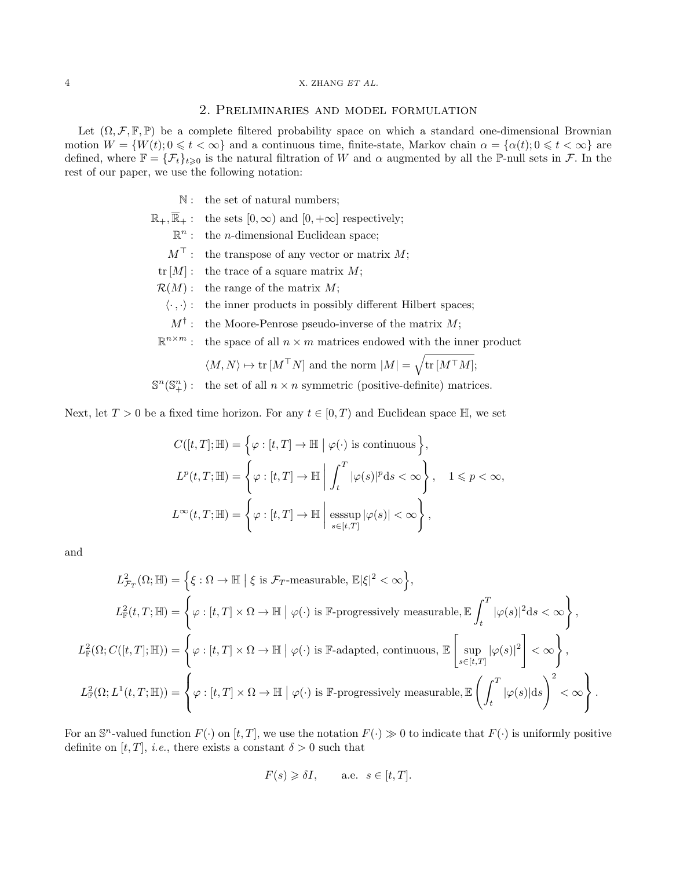# 2. Preliminaries and model formulation

<span id="page-3-0"></span>Let  $(\Omega, \mathcal{F}, \mathbb{F}, \mathbb{P})$  be a complete filtered probability space on which a standard one-dimensional Brownian motion  $W = \{W(t); 0 \leq t < \infty\}$  and a continuous time, finite-state, Markov chain  $\alpha = \{\alpha(t); 0 \leq t < \infty\}$  are defined, where  $\mathbb{F} = {\{\mathcal{F}_t\}}_{t\geqslant0}$  is the natural filtration of W and  $\alpha$  augmented by all the P-null sets in F. In the rest of our paper, we use the following notation:

- N: the set of natural numbers;
- $\mathbb{R}_+$ ,  $\overline{\mathbb{R}}_+$ : the sets  $[0, \infty)$  and  $[0, +\infty]$  respectively;
	- $\mathbb{R}^n$ : the *n*-dimensional Euclidean space;
	- $M^{\top}$ : the transpose of any vector or matrix M;
- tr  $[M]$ : the trace of a square matrix M;
- $\mathcal{R}(M)$ : the range of the matrix M;
	- $\langle \cdot , \cdot \rangle$ : the inner products in possibly different Hilbert spaces;
	- $M^{\dagger}$ : the Moore-Penrose pseudo-inverse of the matrix M;
- $\mathbb{R}^{n \times m}$ : the space of all  $n \times m$  matrices endowed with the inner product

$$
\langle M, N \rangle \mapsto \text{tr}[M^{\top} N]
$$
 and the norm  $|M| = \sqrt{\text{tr}[M^{\top} M]}$ ;

 $\mathbb{S}^n(\mathbb{S}^n_+)$ : the set of all  $n \times n$  symmetric (positive-definite) matrices.

Next, let  $T > 0$  be a fixed time horizon. For any  $t \in [0, T)$  and Euclidean space  $\mathbb{H}$ , we set

$$
C([t, T]; \mathbb{H}) = \left\{ \varphi : [t, T] \to \mathbb{H} \mid \varphi(\cdot) \text{ is continuous} \right\},
$$
  

$$
L^p(t, T; \mathbb{H}) = \left\{ \varphi : [t, T] \to \mathbb{H} \mid \int_t^T |\varphi(s)|^p ds < \infty \right\}, \quad 1 \le p < \infty,
$$
  

$$
L^{\infty}(t, T; \mathbb{H}) = \left\{ \varphi : [t, T] \to \mathbb{H} \mid \underset{s \in [t, T]}{\operatorname{esssup}} |\varphi(s)| < \infty \right\},
$$

and

$$
L_{\mathcal{F}_T}^2(\Omega;\mathbb{H}) = \left\{ \xi : \Omega \to \mathbb{H} \mid \xi \text{ is } \mathcal{F}_T\text{-measurable, } \mathbb{E}|\xi|^2 < \infty \right\},
$$
  
\n
$$
L_{\mathbb{F}}^2(t,T;\mathbb{H}) = \left\{ \varphi : [t,T] \times \Omega \to \mathbb{H} \mid \varphi(\cdot) \text{ is } \mathbb{F}\text{-progressively measurable, } \mathbb{E} \int_t^T |\varphi(s)|^2 \, ds < \infty \right\},
$$
  
\n
$$
L_{\mathbb{F}}^2(\Omega; C([t,T];\mathbb{H})) = \left\{ \varphi : [t,T] \times \Omega \to \mathbb{H} \mid \varphi(\cdot) \text{ is } \mathbb{F}\text{-adapted, continuous, } \mathbb{E} \left[ \sup_{s \in [t,T]} |\varphi(s)|^2 \right] < \infty \right\},
$$
  
\n
$$
L_{\mathbb{F}}^2(\Omega; L^1(t,T;\mathbb{H})) = \left\{ \varphi : [t,T] \times \Omega \to \mathbb{H} \mid \varphi(\cdot) \text{ is } \mathbb{F}\text{-progressively measurable, } \mathbb{E} \left( \int_t^T |\varphi(s)| \, ds \right)^2 < \infty \right\}.
$$

For an  $\mathbb{S}^n$ -valued function  $F(\cdot)$  on  $[t, T]$ , we use the notation  $F(\cdot) \geq 0$  to indicate that  $F(\cdot)$  is uniformly positive definite on [t, T], *i.e.*, there exists a constant  $\delta > 0$  such that

$$
F(s) \geq \delta I, \qquad \text{a.e. } s \in [t, T].
$$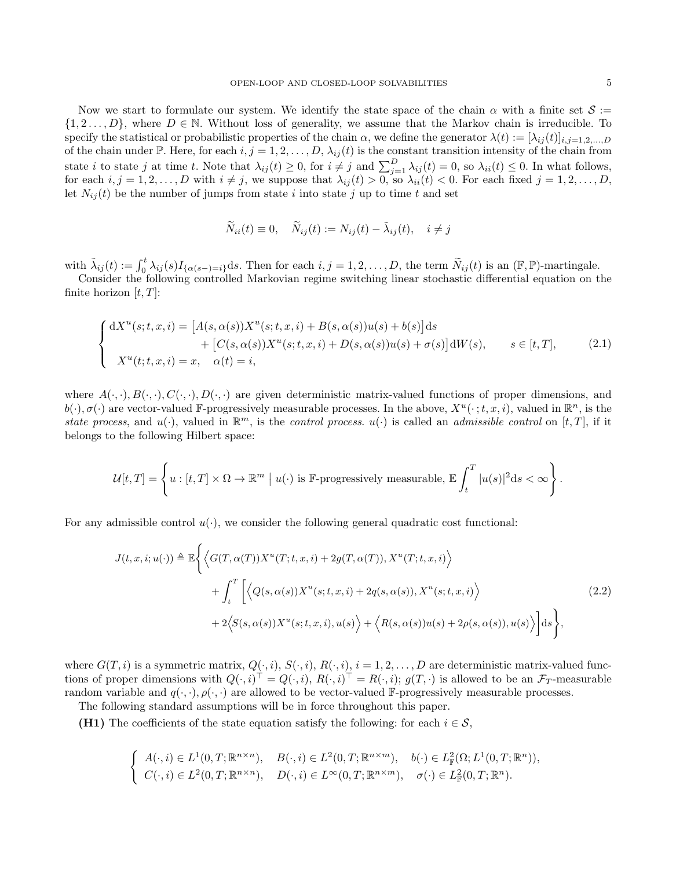Now we start to formulate our system. We identify the state space of the chain  $\alpha$  with a finite set  $\mathcal{S}$  :=  $\{1, 2, \ldots, D\}$ , where  $D \in \mathbb{N}$ . Without loss of generality, we assume that the Markov chain is irreducible. To specify the statistical or probabilistic properties of the chain  $\alpha$ , we define the generator  $\lambda(t) := [\lambda_{ij}(t)]_{i,j=1,2,...,D}$ of the chain under P. Here, for each  $i, j = 1, 2, ..., D$ ,  $\lambda_{ij}(t)$  is the constant transition intensity of the chain from state *i* to state *j* at time *t*. Note that  $\lambda_{ij}(t) \geq 0$ , for  $i \neq j$  and  $\sum_{j=1}^{D} \lambda_{ij}(t) = 0$ , so  $\lambda_{ii}(t) \leq 0$ . In what follows, for each  $i, j = 1, 2, \ldots, D$  with  $i \neq j$ , we suppose that  $\lambda_{ij}(t) > 0$ , so  $\lambda_{ii}(t) < 0$ . For each fixed  $j = 1, 2, \ldots, D$ , let  $N_{ij}(t)$  be the number of jumps from state i into state j up to time t and set

$$
\widetilde{N}_{ii}(t) \equiv 0, \quad \widetilde{N}_{ij}(t) := N_{ij}(t) - \widetilde{\lambda}_{ij}(t), \quad i \neq j
$$

with  $\tilde{\lambda}_{ij}(t) := \int_0^t \lambda_{ij}(s) I_{\{\alpha(s-)=i\}} ds$ . Then for each  $i, j = 1, 2, ..., D$ , the term  $\tilde{N}_{ij}(t)$  is an  $(\mathbb{F}, \mathbb{P})$ -martingale.

Consider the following controlled Markovian regime switching linear stochastic differential equation on the finite horizon  $[t, T]$ :

$$
\begin{cases}\n\mathrm{d}X^{u}(s;t,x,i) = \left[A(s,\alpha(s))X^{u}(s;t,x,i) + B(s,\alpha(s))u(s) + b(s)\right]\mathrm{d}s \\
\quad + \left[C(s,\alpha(s))X^{u}(s;t,x,i) + D(s,\alpha(s))u(s) + \sigma(s)\right]\mathrm{d}W(s), \qquad s \in [t,T], \\
X^{u}(t;t,x,i) = x, \quad \alpha(t) = i,\n\end{cases} \tag{2.1}
$$

where  $A(\cdot, \cdot), B(\cdot, \cdot), C(\cdot, \cdot), D(\cdot, \cdot)$  are given deterministic matrix-valued functions of proper dimensions, and  $b(\cdot), \sigma(\cdot)$  are vector-valued F-progressively measurable processes. In the above,  $X^u(\cdot; t, x, i)$ , valued in  $\mathbb{R}^n$ , is the state process, and  $u(\cdot)$ , valued in  $\mathbb{R}^m$ , is the control process.  $u(\cdot)$  is called an admissible control on [t, T], if it belongs to the following Hilbert space:

$$
\mathcal{U}[t,T] = \left\{ u : [t,T] \times \Omega \to \mathbb{R}^m \mid u(\cdot) \text{ is } \mathbb{F}\text{-progressively measurable, } \mathbb{E}\int_t^T |u(s)|^2 \mathrm{d}s < \infty \right\}.
$$

For any admissible control  $u(\cdot)$ , we consider the following general quadratic cost functional:

$$
J(t, x, i; u(\cdot)) \triangleq \mathbb{E}\Big\{\Big\langle G(T, \alpha(T))X^u(T; t, x, i) + 2g(T, \alpha(T)), X^u(T; t, x, i)\Big\rangle + \int_t^T \Bigg[\Big\langle Q(s, \alpha(s))X^u(s; t, x, i) + 2q(s, \alpha(s)), X^u(s; t, x, i)\Big\rangle + 2\Big\langle S(s, \alpha(s))X^u(s; t, x, i), u(s)\Big\rangle + \Big\langle R(s, \alpha(s))u(s) + 2\rho(s, \alpha(s)), u(s)\Big\rangle\Bigg]ds\Big\},
$$
(2.2)

where  $G(T, i)$  is a symmetric matrix,  $Q(\cdot, i)$ ,  $S(\cdot, i)$ ,  $R(\cdot, i)$ ,  $i = 1, 2, \ldots, D$  are deterministic matrix-valued functions of proper dimensions with  $Q(\cdot, i)^{\top} = Q(\cdot, i)$ ,  $R(\cdot, i)^{\top} = R(\cdot, i)$ ;  $g(T, \cdot)$  is allowed to be an  $\mathcal{F}_T$ -measurable random variable and  $q(\cdot, \cdot)$ ,  $\rho(\cdot, \cdot)$  are allowed to be vector-valued F-progressively measurable processes.

The following standard assumptions will be in force throughout this paper.

(H1) The coefficients of the state equation satisfy the following: for each  $i \in \mathcal{S}$ ,

$$
\begin{cases}\nA(\cdot,i) \in L^1(0,T;\mathbb{R}^{n\times n}), & B(\cdot,i) \in L^2(0,T;\mathbb{R}^{n\times m}), \quad b(\cdot) \in L^2_{\mathbb{F}}(\Omega;L^1(0,T;\mathbb{R}^n)), \\
C(\cdot,i) \in L^2(0,T;\mathbb{R}^{n\times n}), & D(\cdot,i) \in L^\infty(0,T;\mathbb{R}^{n\times m}), \quad \sigma(\cdot) \in L^2_{\mathbb{F}}(0,T;\mathbb{R}^n).\n\end{cases}
$$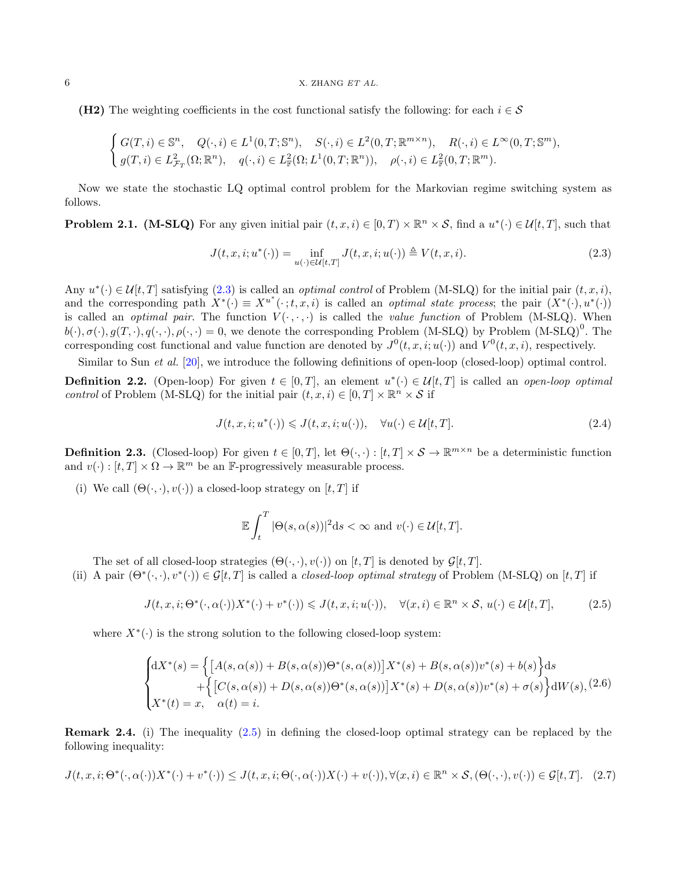(H2) The weighting coefficients in the cost functional satisfy the following: for each  $i \in \mathcal{S}$ 

$$
\begin{cases}\nG(T,i) \in \mathbb{S}^n, & Q(\cdot,i) \in L^1(0,T;\mathbb{S}^n), \quad S(\cdot,i) \in L^2(0,T;\mathbb{R}^{m \times n}), \quad R(\cdot,i) \in L^\infty(0,T;\mathbb{S}^m), \\
g(T,i) \in L^2_{\mathcal{F}_T}(\Omega;\mathbb{R}^n), & q(\cdot,i) \in L^2_{\mathbb{F}}(\Omega;L^1(0,T;\mathbb{R}^n)), \quad \rho(\cdot,i) \in L^2_{\mathbb{F}}(0,T;\mathbb{R}^m).\n\end{cases}
$$

Now we state the stochastic LQ optimal control problem for the Markovian regime switching system as follows.

**Problem 2.1.** (M-SLQ) For any given initial pair  $(t, x, i) \in [0, T) \times \mathbb{R}^n \times S$ , find a  $u^*(\cdot) \in \mathcal{U}[t, T]$ , such that

<span id="page-5-0"></span>
$$
J(t, x, i; u^*(\cdot)) = \inf_{u(\cdot) \in \mathcal{U}[t, T]} J(t, x, i; u(\cdot)) \triangleq V(t, x, i). \tag{2.3}
$$

Any  $u^*(\cdot) \in \mathcal{U}[t,T]$  satisfying  $(2.3)$  is called an *optimal control* of Problem (M-SLQ) for the initial pair  $(t, x, i)$ , and the corresponding path  $X^*(\cdot) \equiv X^{u^*}(\cdot; t, x, i)$  is called an *optimal state process*; the pair  $(X^*(\cdot), u^*(\cdot))$ is called an *optimal pair*. The function  $V(\cdot, \cdot, \cdot)$  is called the *value function* of Problem (M-SLQ). When  $b(\cdot), \sigma(\cdot), g(T, \cdot), q(\cdot, \cdot), \rho(\cdot, \cdot) = 0$ , we denote the corresponding Problem (M-SLQ) by Problem (M-SLQ)<sup>0</sup>. The corresponding cost functional and value function are denoted by  $J^0(t, x, i; u(\cdot))$  and  $V^0(t, x, i)$ , respectively.

Similar to Sun *et al.* [\[20\]](#page-33-24), we introduce the following definitions of open-loop (closed-loop) optimal control.

**Definition 2.2.** (Open-loop) For given  $t \in [0,T]$ , an element  $u^*(\cdot) \in \mathcal{U}[t,T]$  is called an *open-loop optimal* control of Problem (M-SLQ) for the initial pair  $(t, x, i) \in [0, T] \times \mathbb{R}^n \times S$  if

$$
J(t, x, i; u^*(\cdot)) \leqslant J(t, x, i; u(\cdot)), \quad \forall u(\cdot) \in \mathcal{U}[t, T]. \tag{2.4}
$$

<span id="page-5-3"></span>**Definition 2.3.** (Closed-loop) For given  $t \in [0, T]$ , let  $\Theta(\cdot, \cdot) : [t, T] \times S \to \mathbb{R}^{m \times n}$  be a deterministic function and  $v(\cdot) : [t, T] \times \Omega \to \mathbb{R}^m$  be an F-progressively measurable process.

(i) We call  $(\Theta(\cdot, \cdot), v(\cdot))$  a closed-loop strategy on  $[t, T]$  if

$$
\mathbb{E}\int_t^T |\Theta(s,\alpha(s))|^2 ds < \infty \text{ and } v(\cdot) \in \mathcal{U}[t,T].
$$

The set of all closed-loop strategies  $(\Theta(\cdot, \cdot), v(\cdot))$  on  $[t, T]$  is denoted by  $\mathcal{G}[t, T]$ .

(ii) A pair  $(\Theta^*(\cdot, \cdot), v^*(\cdot)) \in \mathcal{G}[t, T]$  is called a *closed-loop optimal strategy* of Problem (M-SLQ) on [t, T] if

<span id="page-5-1"></span>
$$
J(t, x, i; \Theta^*(\cdot, \alpha(\cdot))X^*(\cdot) + v^*(\cdot)) \leqslant J(t, x, i; u(\cdot)), \quad \forall (x, i) \in \mathbb{R}^n \times S, u(\cdot) \in \mathcal{U}[t, T], \tag{2.5}
$$

where  $X^*(\cdot)$  is the strong solution to the following closed-loop system:

$$
\begin{cases} dX^*(s) = \Big\{ \big[A(s, \alpha(s)) + B(s, \alpha(s))\Theta^*(s, \alpha(s))\big] X^*(s) + B(s, \alpha(s))v^*(s) + b(s) \Big\} ds \\ + \Big\{ \big[C(s, \alpha(s)) + D(s, \alpha(s))\Theta^*(s, \alpha(s))\big] X^*(s) + D(s, \alpha(s))v^*(s) + \sigma(s) \Big\} dW(s), \end{cases} (2.6)
$$
  

$$
X^*(t) = x, \quad \alpha(t) = i.
$$

Remark 2.4. (i) The inequality [\(2.5\)](#page-5-1) in defining the closed-loop optimal strategy can be replaced by the following inequality:

<span id="page-5-2"></span>
$$
J(t, x, i; \Theta^*(\cdot, \alpha(\cdot))X^*(\cdot) + v^*(\cdot)) \leq J(t, x, i; \Theta(\cdot, \alpha(\cdot))X(\cdot) + v(\cdot)), \forall (x, i) \in \mathbb{R}^n \times \mathcal{S}, (\Theta(\cdot, \cdot), v(\cdot)) \in \mathcal{G}[t, T]. \tag{2.7}
$$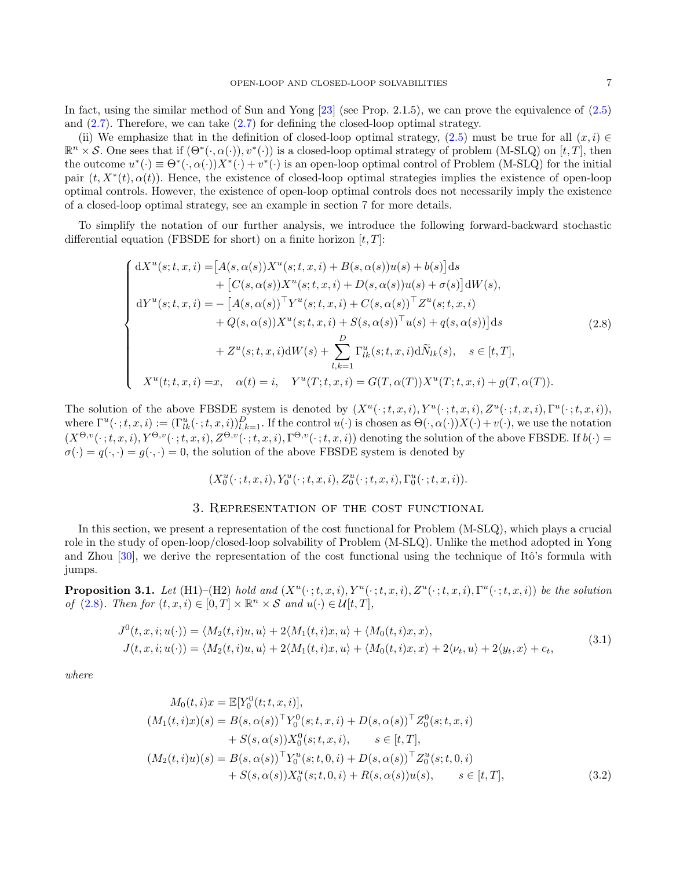In fact, using the similar method of Sun and Yong [\[23\]](#page-33-30) (see Prop. 2.1.5), we can prove the equivalence of [\(2.5\)](#page-5-1) and  $(2.7)$ . Therefore, we can take  $(2.7)$  for defining the closed-loop optimal strategy.

(ii) We emphasize that in the definition of closed-loop optimal strategy, [\(2.5\)](#page-5-1) must be true for all  $(x, i) \in$  $\mathbb{R}^n \times \mathcal{S}$ . One sees that if  $(\Theta^*(\cdot, \alpha(\cdot)), v^*(\cdot))$  is a closed-loop optimal strategy of problem  $(M-SLQ)$  on  $[t, T]$ , then the outcome  $u^*(\cdot) \equiv \Theta^*(\cdot, \alpha(\cdot))X^*(\cdot) + v^*(\cdot)$  is an open-loop optimal control of Problem (M-SLQ) for the initial pair  $(t, X^*(t), \alpha(t))$ . Hence, the existence of closed-loop optimal strategies implies the existence of open-loop optimal controls. However, the existence of open-loop optimal controls does not necessarily imply the existence of a closed-loop optimal strategy, see an example in section 7 for more details.

To simplify the notation of our further analysis, we introduce the following forward-backward stochastic differential equation (FBSDE for short) on a finite horizon  $[t, T]$ :

<span id="page-6-2"></span>
$$
\begin{cases}\ndX^{u}(s;t,x,i) = [A(s,\alpha(s))X^{u}(s;t,x,i) + B(s,\alpha(s))u(s) + b(s)]ds \\
+ [C(s,\alpha(s))X^{u}(s;t,x,i) + D(s,\alpha(s))u(s) + \sigma(s)]dW(s), \\
dY^{u}(s;t,x,i) = - [A(s,\alpha(s))^\top Y^{u}(s;t,x,i) + C(s,\alpha(s))^\top Z^{u}(s;t,x,i) \\
+ Q(s,\alpha(s))X^{u}(s;t,x,i) + S(s,\alpha(s))^\top u(s) + q(s,\alpha(s))]ds \\
+ Z^{u}(s;t,x,i)dW(s) + \sum_{l,k=1}^{D} \Gamma_{lk}^{u}(s;t,x,i)d\tilde{N}_{lk}(s), \quad s \in [t,T], \\
X^{u}(t;t,x,i) = x, \quad \alpha(t) = i, \quad Y^{u}(T;t,x,i) = G(T,\alpha(T))X^{u}(T;t,x,i) + g(T,\alpha(T)).\n\end{cases}
$$
\n(2.8)

The solution of the above FBSDE system is denoted by  $(X^u(\cdot;t,x,i), Y^u(\cdot;t,x,i), Z^u(\cdot;t,x,i), \Gamma^u(\cdot;t,x,i)),$ where  $\Gamma^u(\cdot;t,x,i) := (\Gamma^u_{lk}(\cdot;t,x,i))_{l,k=1}^D$ . If the control  $u(\cdot)$  is chosen as  $\Theta(\cdot,\alpha(\cdot))X(\cdot) + v(\cdot)$ , we use the notation  $(X^{\Theta,v}(\cdot;t,x,i), Y^{\Theta,v}(\cdot;t,x,i), Z^{\Theta,v}(\cdot;t,x,i), \Gamma^{\Theta,v}(\cdot;t,x,i))$  denoting the solution of the above FBSDE. If  $b(\cdot)$  $\sigma(\cdot) = q(\cdot, \cdot) = q(\cdot, \cdot) = 0$ , the solution of the above FBSDE system is denoted by

$$
(X_0^u(\cdot\,;t,x,i),Y_0^u(\cdot\,;t,x,i),Z_0^u(\cdot\,;t,x,i),\Gamma_0^u(\cdot\,;t,x,i)).
$$

# 3. Representation of the cost functional

<span id="page-6-1"></span>In this section, we present a representation of the cost functional for Problem (M-SLQ), which plays a crucial role in the study of open-loop/closed-loop solvability of Problem (M-SLQ). Unlike the method adopted in Yong and Zhou  $[30]$ , we derive the representation of the cost functional using the technique of Itô's formula with jumps.

<span id="page-6-3"></span>**Proposition 3.1.** Let (H1)–(H2) hold and  $(X^u(\cdot; t, x, i), Y^u(\cdot; t, x, i), Z^u(\cdot; t, x, i), \Gamma^u(\cdot; t, x, i))$  be the solution of [\(2.8\)](#page-6-2). Then for  $(t, x, i) \in [0, T] \times \mathbb{R}^n \times S$  and  $u(\cdot) \in \mathcal{U}[t, T]$ ,

$$
J^{0}(t, x, i; u(\cdot)) = \langle M_{2}(t, i)u, u \rangle + 2\langle M_{1}(t, i)x, u \rangle + \langle M_{0}(t, i)x, x \rangle,
$$
  
\n
$$
J(t, x, i; u(\cdot)) = \langle M_{2}(t, i)u, u \rangle + 2\langle M_{1}(t, i)x, u \rangle + \langle M_{0}(t, i)x, x \rangle + 2\langle \nu_{t}, u \rangle + 2\langle y_{t}, x \rangle + c_{t},
$$
\n(3.1)

where

<span id="page-6-0"></span>
$$
M_0(t, i)x = \mathbb{E}[Y_0^0(t; t, x, i)],
$$
  
\n
$$
(M_1(t, i)x)(s) = B(s, \alpha(s))^{\top} Y_0^0(s; t, x, i) + D(s, \alpha(s))^{\top} Z_0^0(s; t, x, i)
$$
  
\n
$$
+ S(s, \alpha(s)) X_0^0(s; t, x, i), \quad s \in [t, T],
$$
  
\n
$$
(M_2(t, i)u)(s) = B(s, \alpha(s))^{\top} Y_0^u(s; t, 0, i) + D(s, \alpha(s))^{\top} Z_0^u(s; t, 0, i)
$$
  
\n
$$
+ S(s, \alpha(s)) X_0^u(s; t, 0, i) + R(s, \alpha(s))u(s), \quad s \in [t, T],
$$
\n(3.2)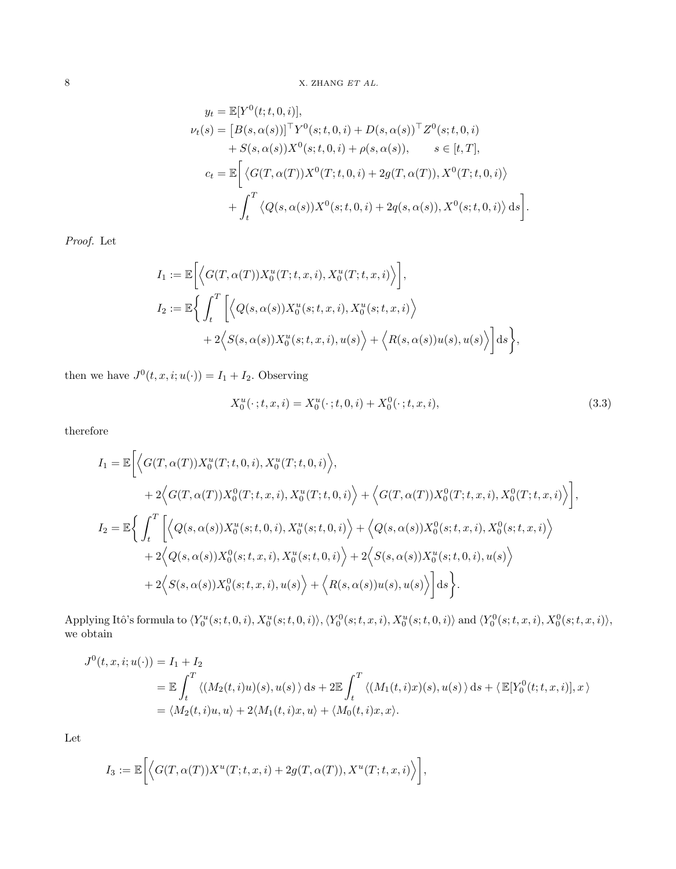$$
y_t = \mathbb{E}[Y^0(t; t, 0, i)],
$$
  
\n
$$
\nu_t(s) = [B(s, \alpha(s))]^{\top} Y^0(s; t, 0, i) + D(s, \alpha(s))^{\top} Z^0(s; t, 0, i) \n+ S(s, \alpha(s)) X^0(s; t, 0, i) + \rho(s, \alpha(s)), \quad s \in [t, T],
$$
  
\n
$$
c_t = \mathbb{E}\left[ \langle G(T, \alpha(T)) X^0(T; t, 0, i) + 2g(T, \alpha(T)), X^0(T; t, 0, i) \rangle + \int_t^T \langle Q(s, \alpha(s)) X^0(s; t, 0, i) + 2q(s, \alpha(s)), X^0(s; t, 0, i) \rangle ds \right].
$$

Proof. Let

$$
I_1 := \mathbb{E}\bigg[\Big\langle G(T,\alpha(T))X_0^u(T;t,x,i), X_0^u(T;t,x,i)\Big\rangle\bigg],
$$
  
\n
$$
I_2 := \mathbb{E}\bigg\{\int_t^T \bigg[\Big\langle Q(s,\alpha(s))X_0^u(s;t,x,i), X_0^u(s;t,x,i)\Big\rangle
$$
  
\n
$$
+ 2\Big\langle S(s,\alpha(s))X_0^u(s;t,x,i), u(s)\Big\rangle + \Big\langle R(s,\alpha(s))u(s), u(s)\Big\rangle\bigg]ds\bigg\},
$$

then we have  $J^0(t, x, i; u(\cdot)) = I_1 + I_2$ . Observing

$$
X_0^u(\cdot; t, x, i) = X_0^u(\cdot; t, 0, i) + X_0^0(\cdot; t, x, i),
$$
\n(3.3)

therefore

$$
I_{1} = \mathbb{E}\Big[\Big\langle G(T,\alpha(T))X_{0}^{u}(T;t,0,i),X_{0}^{u}(T;t,0,i)\Big\rangle,+2\Big\langle G(T,\alpha(T))X_{0}^{0}(T;t,x,i),X_{0}^{u}(T;t,0,i)\Big\rangle + \Big\langle G(T,\alpha(T))X_{0}^{0}(T;t,x,i),X_{0}^{0}(T;t,x,i)\Big\rangle\Big],I_{2} = \mathbb{E}\Big\{\int_{t}^{T}\Big[\Big\langle Q(s,\alpha(s))X_{0}^{u}(s;t,0,i),X_{0}^{u}(s;t,0,i)\Big\rangle + \Big\langle Q(s,\alpha(s))X_{0}^{0}(s;t,x,i),X_{0}^{0}(s;t,x,i)\Big\rangle+2\Big\langle Q(s,\alpha(s))X_{0}^{0}(s;t,x,i),X_{0}^{u}(s;t,0,i)\Big\rangle + 2\Big\langle S(s,\alpha(s))X_{0}^{u}(s;t,0,i),u(s)\Big\rangle+2\Big\langle S(s,\alpha(s))X_{0}^{0}(s;t,x,i),u(s)\Big\rangle + \Big\langle R(s,\alpha(s))u(s),u(s)\Big\rangle\Big]ds\Big\}.
$$

Applying Itô's formula to  $\langle Y_0^u(s;t,0,i), X_0^u(s;t,0,i) \rangle, \langle Y_0^0(s;t,x,i), X_0^u(s;t,0,i) \rangle$  and  $\langle Y_0^0(s;t,x,i), X_0^0(s;t,x,i) \rangle$ , we obtain

$$
J^{0}(t, x, i; u(\cdot)) = I_{1} + I_{2}
$$
  
=  $\mathbb{E} \int_{t}^{T} \langle (M_{2}(t, i)u)(s), u(s) \rangle ds + 2 \mathbb{E} \int_{t}^{T} \langle (M_{1}(t, i)x)(s), u(s) \rangle ds + \langle \mathbb{E}[Y_{0}^{0}(t; t, x, i)], x \rangle$   
=  $\langle M_{2}(t, i)u, u \rangle + 2\langle M_{1}(t, i)x, u \rangle + \langle M_{0}(t, i)x, x \rangle.$ 

Let

$$
I_3:=\mathbb{E}\bigg[\Big\langle G(T,\alpha(T))X^u(T;t,x,i)+2g(T,\alpha(T)),X^u(T;t,x,i)\Big\rangle\bigg],
$$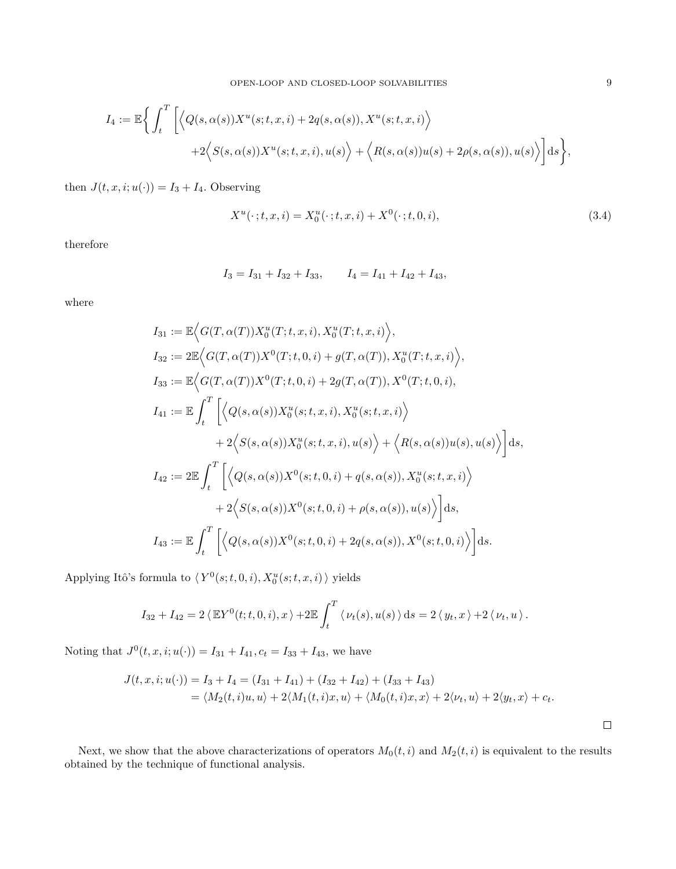$$
I_4 := \mathbb{E}\bigg\{\int_t^T \bigg[\Big\langle Q(s,\alpha(s))X^u(s;t,x,i) + 2q(s,\alpha(s)), X^u(s;t,x,i)\Big\rangle
$$
  
+2 $\Big\langle S(s,\alpha(s))X^u(s;t,x,i),u(s)\Big\rangle + \Big\langle R(s,\alpha(s))u(s) + 2\rho(s,\alpha(s)),u(s)\Big\rangle\bigg]ds\bigg\},\,$ 

then  $J(t, x, i; u(\cdot)) = I_3 + I_4$ . Observing

$$
X^{u}(\cdot;t,x,i) = X_0^{u}(\cdot;t,x,i) + X^0(\cdot;t,0,i),
$$
\n(3.4)

therefore

$$
I_3 = I_{31} + I_{32} + I_{33},
$$
  $I_4 = I_{41} + I_{42} + I_{43},$ 

where

$$
I_{31} := \mathbb{E}\Big\langle G(T,\alpha(T))X_0^u(T;t,x,i), X_0^u(T;t,x,i)\Big\rangle,
$$
  
\n
$$
I_{32} := 2\mathbb{E}\Big\langle G(T,\alpha(T))X^0(T;t,0,i) + g(T,\alpha(T)), X_0^u(T;t,x,i)\Big\rangle,
$$
  
\n
$$
I_{33} := \mathbb{E}\Big\langle G(T,\alpha(T))X^0(T;t,0,i) + 2g(T,\alpha(T)), X^0(T;t,0,i),
$$
  
\n
$$
I_{41} := \mathbb{E}\int_t^T \Bigg[\Big\langle Q(s,\alpha(s))X_0^u(s;t,x,i), X_0^u(s;t,x,i)\Big\rangle
$$
  
\n
$$
+ 2\Big\langle S(s,\alpha(s))X_0^u(s;t,x,i), u(s)\Big\rangle + \Big\langle R(s,\alpha(s))u(s), u(s)\Big\rangle\Bigg]ds,
$$
  
\n
$$
I_{42} := 2\mathbb{E}\int_t^T \Bigg[\Big\langle Q(s,\alpha(s))X^0(s;t,0,i) + q(s,\alpha(s)), X_0^u(s;t,x,i)\Big\rangle
$$
  
\n
$$
+ 2\Big\langle S(s,\alpha(s))X^0(s;t,0,i) + \rho(s,\alpha(s)), u(s)\Big\rangle\Bigg]ds,
$$
  
\n
$$
I_{43} := \mathbb{E}\int_t^T \Bigg[\Big\langle Q(s,\alpha(s))X^0(s;t,0,i) + 2q(s,\alpha(s)), X^0(s;t,0,i)\Big\rangle\Bigg]ds.
$$

Applying Itô's formula to  $\langle Y^0(s;t,0,i), X_0^u(s;t,x,i)\rangle$  yields

$$
I_{32} + I_{42} = 2 \langle \mathbb{E} Y^0(t;t,0,i), x \rangle + 2 \mathbb{E} \int_t^T \langle \nu_t(s), u(s) \rangle ds = 2 \langle y_t, x \rangle + 2 \langle \nu_t, u \rangle.
$$

Noting that  $J^0(t, x, i; u(\cdot)) = I_{31} + I_{41}, c_t = I_{33} + I_{43}$ , we have

$$
J(t, x, i; u(\cdot)) = I_3 + I_4 = (I_{31} + I_{41}) + (I_{32} + I_{42}) + (I_{33} + I_{43})
$$
  
=  $\langle M_2(t, i)u, u \rangle + 2\langle M_1(t, i)x, u \rangle + \langle M_0(t, i)x, x \rangle + 2\langle \nu_t, u \rangle + 2\langle y_t, x \rangle + c_t.$ 

Next, we show that the above characterizations of operators  $M_0(t, i)$  and  $M_2(t, i)$  is equivalent to the results obtained by the technique of functional analysis.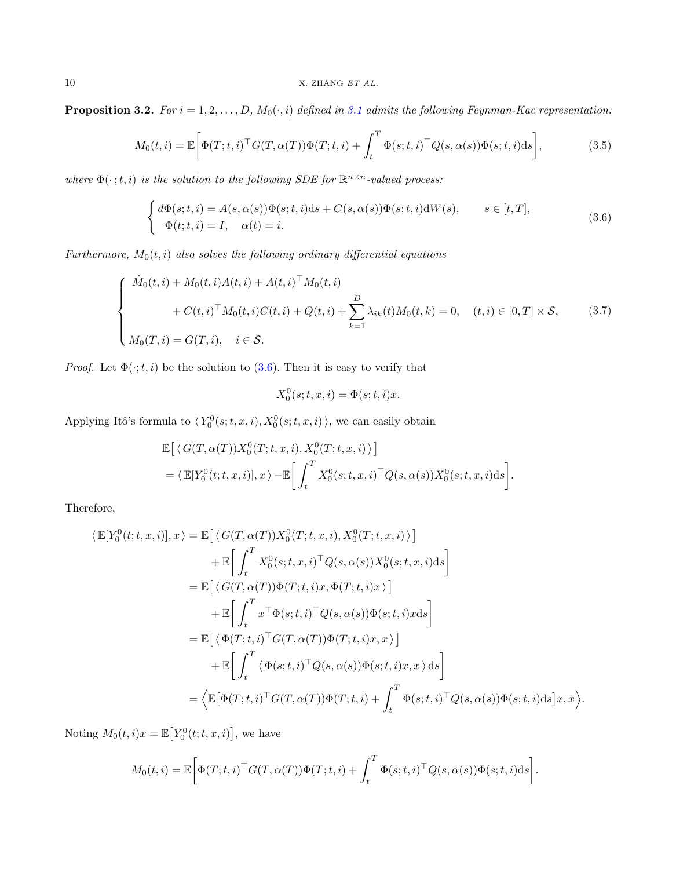<span id="page-9-2"></span>**Proposition 3.2.** For  $i = 1, 2, ..., D$ ,  $M_0(\cdot, i)$  defined in [3.1](#page-6-3) admits the following Feynman-Kac representation:

$$
M_0(t,i) = \mathbb{E}\bigg[\Phi(T;t,i)^{\top}G(T,\alpha(T))\Phi(T;t,i) + \int_t^T \Phi(s;t,i)^{\top}Q(s,\alpha(s))\Phi(s;t,i)ds\bigg],\tag{3.5}
$$

where  $\Phi(\cdot; t, i)$  is the solution to the following SDE for  $\mathbb{R}^{n \times n}$ -valued process:

<span id="page-9-0"></span>
$$
\begin{cases} d\Phi(s;t,i) = A(s,\alpha(s))\Phi(s;t,i)ds + C(s,\alpha(s))\Phi(s;t,i)dW(s), & s \in [t,T],\\ \Phi(t;t,i) = I, & \alpha(t) = i. \end{cases}
$$
\n(3.6)

Furthermore,  $M_0(t, i)$  also solves the following ordinary differential equations

$$
\begin{cases}\n\dot{M}_0(t,i) + M_0(t,i)A(t,i) + A(t,i)^{\top}M_0(t,i) \\
+ C(t,i)^{\top}M_0(t,i)C(t,i) + Q(t,i) + \sum_{k=1}^{D} \lambda_{ik}(t)M_0(t,k) = 0, \quad (t,i) \in [0,T] \times \mathcal{S}, \\
M_0(T,i) = G(T,i), \quad i \in \mathcal{S}.\n\end{cases}
$$
\n(3.7)

*Proof.* Let  $\Phi(\cdot; t, i)$  be the solution to [\(3.6\)](#page-9-0). Then it is easy to verify that

<span id="page-9-1"></span>
$$
X_0^0(s;t,x,i) = \Phi(s;t,i)x.
$$

Applying Itô's formula to  $\langle Y_0^0(s;t,x,i), X_0^0(s;t,x,i) \rangle$ , we can easily obtain

$$
\mathbb{E}\left[\langle G(T,\alpha(T))X_0^0(T;t,x,i), X_0^0(T;t,x,i)\rangle\right]
$$
  
=  $\langle \mathbb{E}[Y_0^0(t;t,x,i)], x\rangle - \mathbb{E}\left[\int_t^T X_0^0(s;t,x,i)^\top Q(s,\alpha(s))X_0^0(s;t,x,i)\mathrm{d}s\right].$ 

Therefore,

$$
\langle \mathbb{E}[Y_0^0(t;t,x,i)],x \rangle = \mathbb{E}\Big[\langle G(T,\alpha(T))X_0^0(T;t,x,i), X_0^0(T;t,x,i) \rangle \Big] \n+ \mathbb{E}\Big[\int_t^T X_0^0(s;t,x,i)^\top Q(s,\alpha(s))X_0^0(s;t,x,i)ds\Big] \n= \mathbb{E}\Big[\langle G(T,\alpha(T))\Phi(T;t,i)x, \Phi(T;t,i)x \rangle \Big] \n+ \mathbb{E}\Big[\int_t^T x^\top \Phi(s;t,i)^\top Q(s,\alpha(s))\Phi(s;t,i)xds\Big] \n= \mathbb{E}\Big[\langle \Phi(T;t,i)^\top G(T,\alpha(T))\Phi(T;t,i)x,x \rangle \Big] \n+ \mathbb{E}\Big[\int_t^T \langle \Phi(s;t,i)^\top Q(s,\alpha(s))\Phi(s;t,i)x,x \rangle ds\Big] \n= \langle \mathbb{E}[\Phi(T;t,i)^\top G(T,\alpha(T))\Phi(T;t,i) + \int_t^T \Phi(s;t,i)^\top Q(s,\alpha(s))\Phi(s;t,i)ds]x,x \rangle.
$$

Noting  $M_0(t, i)x = \mathbb{E}\big[Y_0^0(t; t, x, i)\big]$ , we have

$$
M_0(t,i) = \mathbb{E}\bigg[\Phi(T;t,i)^\top G(T,\alpha(T))\Phi(T;t,i) + \int_t^T \Phi(s;t,i)^\top Q(s,\alpha(s))\Phi(s;t,i)\mathrm{d}s\bigg].
$$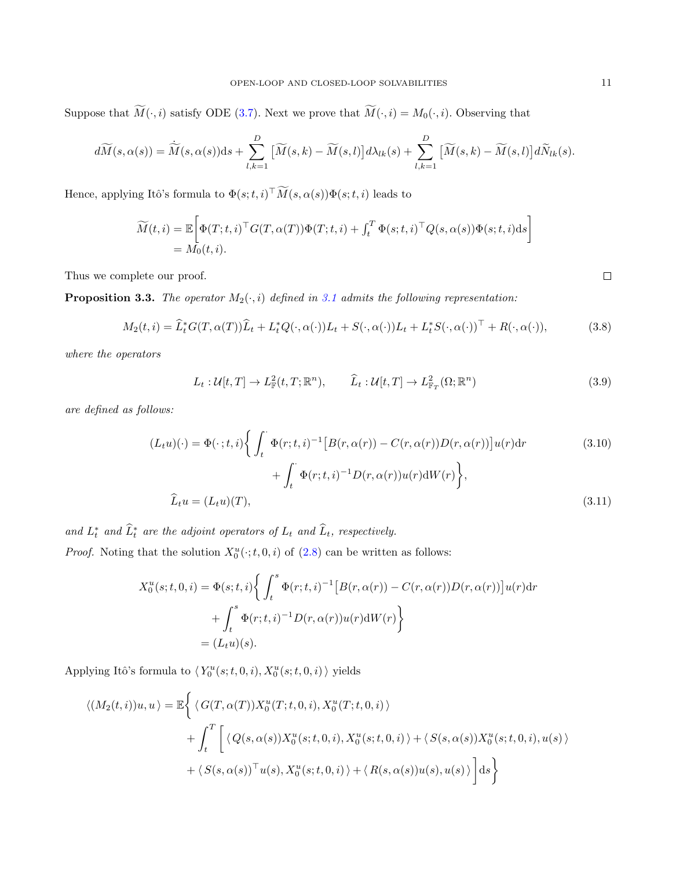Suppose that  $\widetilde{M}(\cdot, i)$  satisfy ODE [\(3.7\)](#page-9-1). Next we prove that  $\widetilde{M}(\cdot, i) = M_0(\cdot, i)$ . Observing that

$$
d\widetilde{M}(s,\alpha(s)) = \widetilde{M}(s,\alpha(s))ds + \sum_{l,k=1}^{D} \left[ \widetilde{M}(s,k) - \widetilde{M}(s,l) \right] d\lambda_{lk}(s) + \sum_{l,k=1}^{D} \left[ \widetilde{M}(s,k) - \widetilde{M}(s,l) \right] d\widetilde{N}_{lk}(s).
$$

Hence, applying Itô's formula to  $\Phi(s; t, i)$ <sup>T</sup> $\overline{M}(s, \alpha(s))\Phi(s; t, i)$  leads to

$$
\widetilde{M}(t,i) = \mathbb{E}\bigg[\Phi(T;t,i)^{\top}G(T,\alpha(T))\Phi(T;t,i) + \int_t^T \Phi(s;t,i)^{\top}Q(s,\alpha(s))\Phi(s;t,i)\mathrm{d}s\bigg] \n= M_0(t,i).
$$

Thus we complete our proof.

**Proposition 3.3.** The operator  $M_2(\cdot, i)$  defined in [3.1](#page-6-3) admits the following representation:

<span id="page-10-0"></span>
$$
M_2(t,i) = \widehat{L}_t^* G(T,\alpha(T))\widehat{L}_t + L_t^* Q(\cdot,\alpha(\cdot))L_t + S(\cdot,\alpha(\cdot))L_t + L_t^* S(\cdot,\alpha(\cdot))^\top + R(\cdot,\alpha(\cdot)),\tag{3.8}
$$

where the operators

$$
L_t: \mathcal{U}[t,T] \to L^2_{\mathbb{F}}(t,T;\mathbb{R}^n), \qquad \widehat{L}_t: \mathcal{U}[t,T] \to L^2_{\mathbb{F}_T}(\Omega;\mathbb{R}^n)
$$
\n(3.9)

are defined as follows:

$$
(L_t u)(\cdot) = \Phi(\cdot; t, i) \Biggl\{ \int_t^{\cdot} \Phi(r; t, i)^{-1} \Bigl[ B(r, \alpha(r)) - C(r, \alpha(r)) D(r, \alpha(r)) \Bigr] u(r) dr \Biggr\} + \int_t^{\cdot} \Phi(r; t, i)^{-1} D(r, \alpha(r)) u(r) dW(r) \Biggr\},
$$
\n
$$
\widehat{L}_t u = (L_t u)(T),
$$
\n(3.11)

and  $L_t^*$  and  $\widehat{L}_t^*$  are the adjoint operators of  $L_t$  and  $\widehat{L}_t$ , respectively. *Proof.* Noting that the solution  $X_0^u(\cdot; t, 0, i)$  of  $(2.8)$  can be written as follows:

$$
X_0^u(s;t,0,i) = \Phi(s;t,i)\left\{\int_t^s \Phi(r;t,i)^{-1} \left[B(r,\alpha(r)) - C(r,\alpha(r))D(r,\alpha(r))\right]u(r)\mathrm{d}r\right.+ \int_t^s \Phi(r;t,i)^{-1}D(r,\alpha(r))u(r)\mathrm{d}W(r)\right\} = (L_t u)(s).
$$

Applying Itô's formula to  $\langle Y_0^u(s;t,0,i), X_0^u(s;t,0,i)\rangle$  yields

$$
\langle (M_2(t,i))u, u \rangle = \mathbb{E} \Biggl\{ \langle G(T, \alpha(T))X_0^u(T;t, 0, i), X_0^u(T;t, 0, i) \rangle + \int_t^T \Biggl[ \langle Q(s, \alpha(s))X_0^u(s;t, 0, i), X_0^u(s;t, 0, i) \rangle + \langle S(s, \alpha(s))X_0^u(s;t, 0, i), u(s) \rangle + \langle S(s, \alpha(s))^\top u(s), X_0^u(s;t, 0, i) \rangle + \langle R(s, \alpha(s))u(s), u(s) \rangle \Biggr] ds \Biggr\}
$$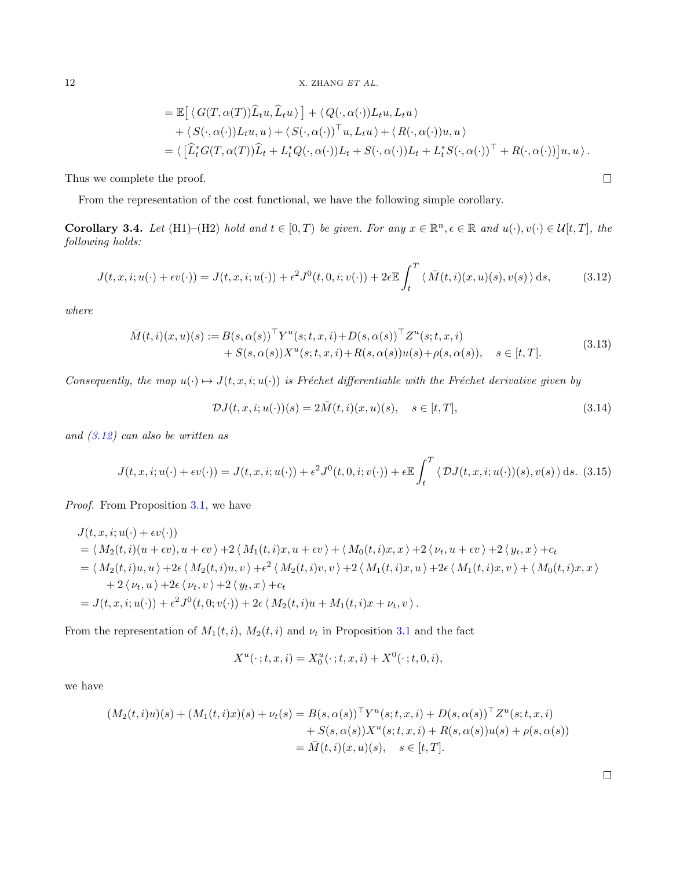$$
= \mathbb{E}\left[\langle G(T,\alpha(T))\hat{L}_t u, \hat{L}_t u \rangle\right] + \langle Q(\cdot,\alpha(\cdot))L_t u, L_t u \rangle
$$
  
+  $\langle S(\cdot,\alpha(\cdot))L_t u, u \rangle + \langle S(\cdot,\alpha(\cdot))^\top u, L_t u \rangle + \langle R(\cdot,\alpha(\cdot))u, u \rangle$   
=  $\langle [\hat{L}_t^* G(T,\alpha(T))\hat{L}_t + L_t^* Q(\cdot,\alpha(\cdot))L_t + S(\cdot,\alpha(\cdot))L_t + L_t^* S(\cdot,\alpha(\cdot))^\top + R(\cdot,\alpha(\cdot))\big]u, u \rangle.$ 

Thus we complete the proof.

From the representation of the cost functional, we have the following simple corollary.

<span id="page-11-1"></span>**Corollary 3.4.** Let (H1)–(H2) hold and  $t \in [0, T)$  be given. For any  $x \in \mathbb{R}^n, \epsilon \in \mathbb{R}$  and  $u(\cdot), v(\cdot) \in \mathcal{U}[t, T]$ , the following holds:

<span id="page-11-0"></span>
$$
J(t, x, i; u(\cdot) + \epsilon v(\cdot)) = J(t, x, i; u(\cdot)) + \epsilon^2 J^0(t, 0, i; v(\cdot)) + 2\epsilon \mathbb{E} \int_t^T \langle \bar{M}(t, i)(x, u)(s), v(s) \rangle ds, \tag{3.12}
$$

where

<span id="page-11-2"></span>
$$
\overline{M}(t,i)(x,u)(s) := B(s,\alpha(s))^{\top} Y^{u}(s;t,x,i) + D(s,\alpha(s))^{\top} Z^{u}(s;t,x,i) \n+ S(s,\alpha(s))X^{u}(s;t,x,i) + R(s,\alpha(s))u(s) + \rho(s,\alpha(s)), \quad s \in [t,T].
$$
\n(3.13)

Consequently, the map  $u(\cdot) \mapsto J(t, x, i; u(\cdot))$  is Fréchet differentiable with the Fréchet derivative given by

$$
\mathcal{D}J(t,x,i;u(\cdot))(s) = 2\bar{M}(t,i)(x,u)(s), \quad s \in [t,T],
$$
\n
$$
(3.14)
$$

and [\(3.12\)](#page-11-0) can also be written as

$$
J(t, x, i; u(\cdot) + \epsilon v(\cdot)) = J(t, x, i; u(\cdot)) + \epsilon^2 J^0(t, 0, i; v(\cdot)) + \epsilon \mathbb{E} \int_t^T \langle \mathcal{D}J(t, x, i; u(\cdot))(s), v(s) \rangle ds. (3.15)
$$

Proof. From Proposition [3.1,](#page-6-3) we have

$$
J(t, x, i; u(\cdot) + \epsilon v(\cdot))
$$
  
=  $\langle M_2(t, i)(u + \epsilon v), u + \epsilon v \rangle + 2 \langle M_1(t, i)x, u + \epsilon v \rangle + \langle M_0(t, i)x, x \rangle + 2 \langle \nu_t, u + \epsilon v \rangle + 2 \langle y_t, x \rangle + c_t$   
=  $\langle M_2(t, i)u, u \rangle + 2\epsilon \langle M_2(t, i)u, v \rangle + \epsilon^2 \langle M_2(t, i)v, v \rangle + 2 \langle M_1(t, i)x, u \rangle + 2\epsilon \langle M_1(t, i)x, v \rangle + \langle M_0(t, i)x, x \rangle$   
+  $2 \langle \nu_t, u \rangle + 2\epsilon \langle \nu_t, v \rangle + 2 \langle y_t, x \rangle + c_t$   
=  $J(t, x, i; u(\cdot)) + \epsilon^2 J^0(t, 0; v(\cdot)) + 2\epsilon \langle M_2(t, i)u + M_1(t, i)x + \nu_t, v \rangle$ .

From the representation of  $M_1(t, i)$ ,  $M_2(t, i)$  and  $\nu_t$  in Proposition [3.1](#page-6-3) and the fact

$$
X^{u}(\cdot ;t,x,i) = X_{0}^{u}(\cdot ;t,x,i) + X^{0}(\cdot ;t,0,i),
$$

we have

$$
(M_2(t,i)u)(s) + (M_1(t,i)x)(s) + \nu_t(s) = B(s, \alpha(s))^{\top} Y^u(s;t,x,i) + D(s, \alpha(s))^{\top} Z^u(s;t,x,i)
$$
  
+ S(s, \alpha(s))X^u(s;t,x,i) + R(s, \alpha(s))u(s) + \rho(s, \alpha(s))  
=  $\overline{M}(t,i)(x,u)(s), \quad s \in [t,T].$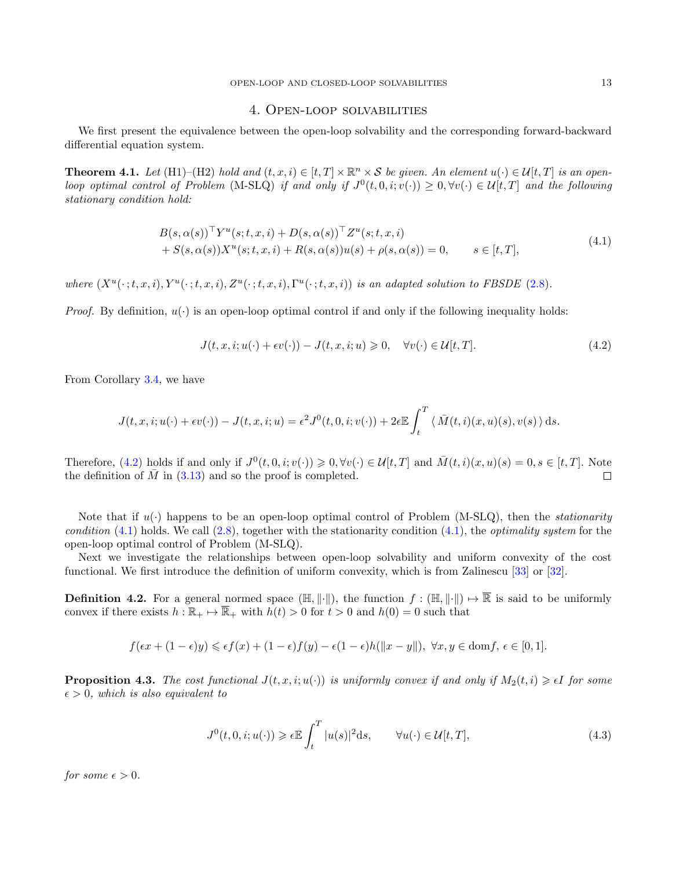#### 4. Open-loop solvabilities

<span id="page-12-0"></span>We first present the equivalence between the open-loop solvability and the corresponding forward-backward differential equation system.

**Theorem 4.1.** Let (H1)–(H2) hold and  $(t, x, i) \in [t, T] \times \mathbb{R}^n \times S$  be given. An element  $u(\cdot) \in \mathcal{U}[t, T]$  is an openloop optimal control of Problem (M-SLQ) if and only if  $J^0(t, 0, i; v(\cdot)) \geq 0, \forall v(\cdot) \in \mathcal{U}[t, T]$  and the following stationary condition hold:

<span id="page-12-2"></span>
$$
B(s, \alpha(s))^{\top} Y^{u}(s; t, x, i) + D(s, \alpha(s))^{\top} Z^{u}(s; t, x, i)
$$
  
+  $S(s, \alpha(s))X^{u}(s; t, x, i) + R(s, \alpha(s))u(s) + \rho(s, \alpha(s)) = 0, \qquad s \in [t, T],$  (4.1)

where  $(X^u(\cdot; t, x, i), Y^u(\cdot; t, x, i), Z^u(\cdot; t, x, i), \Gamma^u(\cdot; t, x, i))$  is an adapted solution to FBSDE [\(2.8\)](#page-6-2).

*Proof.* By definition,  $u(\cdot)$  is an open-loop optimal control if and only if the following inequality holds:

<span id="page-12-1"></span>
$$
J(t, x, i; u(\cdot) + \epsilon v(\cdot)) - J(t, x, i; u) \geq 0, \quad \forall v(\cdot) \in \mathcal{U}[t, T].
$$
\n
$$
(4.2)
$$

From Corollary [3.4,](#page-11-1) we have

$$
J(t, x, i; u(\cdot) + \epsilon v(\cdot)) - J(t, x, i; u) = \epsilon^2 J^0(t, 0, i; v(\cdot)) + 2\epsilon \mathbb{E} \int_t^T \langle \bar{M}(t, i)(x, u)(s), v(s) \rangle ds.
$$

Therefore, [\(4.2\)](#page-12-1) holds if and only if  $J^0(t,0,i;v(\cdot)) \geq 0, \forall v(\cdot) \in \mathcal{U}[t,T]$  and  $\overline{M}(t,i)(x,u)(s) = 0, s \in [t,T]$ . Note the definition of  $\overline{M}$  in [\(3.13\)](#page-11-2) and so the proof is completed.  $\Box$ 

Note that if  $u(\cdot)$  happens to be an open-loop optimal control of Problem (M-SLQ), then the *stationarity* condition  $(4.1)$  holds. We call  $(2.8)$ , together with the stationarity condition  $(4.1)$ , the *optimality system* for the open-loop optimal control of Problem (M-SLQ).

Next we investigate the relationships between open-loop solvability and uniform convexity of the cost functional. We first introduce the definition of uniform convexity, which is from Zalinescu [\[33\]](#page-33-26) or [\[32\]](#page-33-25).

**Definition 4.2.** For a general normed space  $(H, \|\cdot\|)$ , the function  $f : (H, \|\cdot\|) \mapsto \overline{\mathbb{R}}$  is said to be uniformly convex if there exists  $h : \mathbb{R}_+ \mapsto \overline{\mathbb{R}}_+$  with  $h(t) > 0$  for  $t > 0$  and  $h(0) = 0$  such that

$$
f(\epsilon x + (1 - \epsilon)y) \leq \epsilon f(x) + (1 - \epsilon)f(y) - \epsilon(1 - \epsilon)h(||x - y||), \ \forall x, y \in \text{dom}f, \ \epsilon \in [0, 1].
$$

**Proposition 4.3.** The cost functional  $J(t, x, i; u(\cdot))$  is uniformly convex if and only if  $M_2(t, i) \geq \epsilon I$  for some  $\epsilon > 0$ , which is also equivalent to

<span id="page-12-3"></span>
$$
J^{0}(t,0,i;u(\cdot)) \geq \epsilon \mathbb{E} \int_{t}^{T} |u(s)|^{2} \mathrm{d}s, \qquad \forall u(\cdot) \in \mathcal{U}[t,T], \tag{4.3}
$$

for some  $\epsilon > 0$ .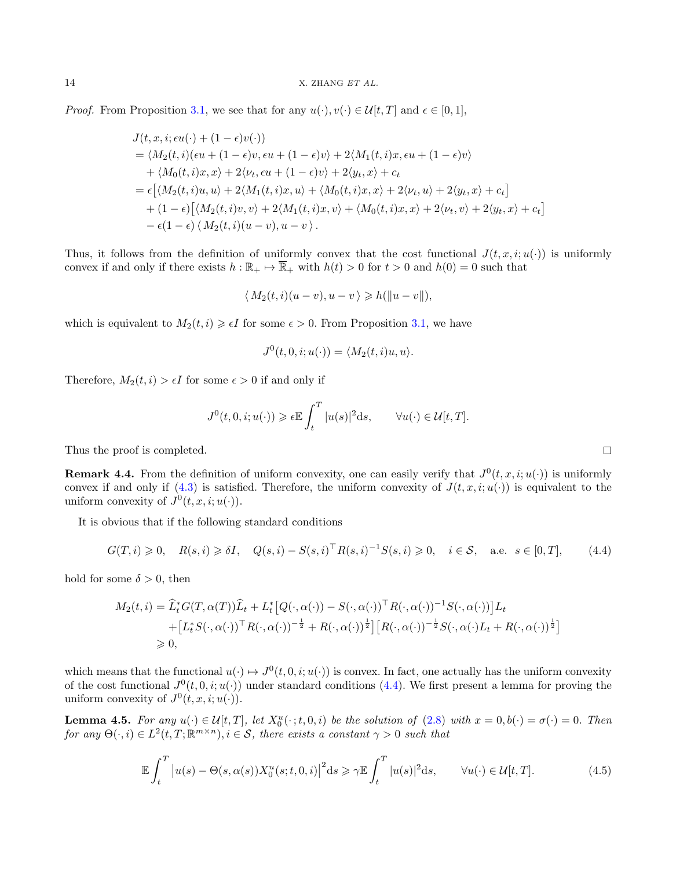*Proof.* From Proposition [3.1,](#page-6-3) we see that for any  $u(\cdot), v(\cdot) \in \mathcal{U}[t, T]$  and  $\epsilon \in [0, 1]$ ,

$$
J(t, x, i; \epsilon u(\cdot) + (1 - \epsilon)v(\cdot))
$$
  
=  $\langle M_2(t, i)(\epsilon u + (1 - \epsilon)v, \epsilon u + (1 - \epsilon)v \rangle + 2\langle M_1(t, i)x, \epsilon u + (1 - \epsilon)v \rangle$   
+  $\langle M_0(t, i)x, x \rangle + 2\langle \nu_t, \epsilon u + (1 - \epsilon)v \rangle + 2\langle y_t, x \rangle + c_t$   
=  $\epsilon [\langle M_2(t, i)u, u \rangle + 2\langle M_1(t, i)x, u \rangle + \langle M_0(t, i)x, x \rangle + 2\langle \nu_t, u \rangle + 2\langle y_t, x \rangle + c_t]$   
+  $(1 - \epsilon) [\langle M_2(t, i)v, v \rangle + 2\langle M_1(t, i)x, v \rangle + \langle M_0(t, i)x, x \rangle + 2\langle \nu_t, v \rangle + 2\langle y_t, x \rangle + c_t]$   
-  $\epsilon (1 - \epsilon) \langle M_2(t, i)(u - v), u - v \rangle$ .

Thus, it follows from the definition of uniformly convex that the cost functional  $J(t, x, i; u(\cdot))$  is uniformly convex if and only if there exists  $h : \mathbb{R}_+ \mapsto \overline{\mathbb{R}}_+$  with  $h(t) > 0$  for  $t > 0$  and  $h(0) = 0$  such that

$$
\langle M_2(t,i)(u-v),u-v\rangle \geqslant h(\|u-v\|),
$$

which is equivalent to  $M_2(t, i) \geq \epsilon I$  for some  $\epsilon > 0$ . From Proposition [3.1,](#page-6-3) we have

$$
J^{0}(t,0,i;u(\cdot)) = \langle M_{2}(t,i)u,u\rangle.
$$

Therefore,  $M_2(t, i) > \epsilon I$  for some  $\epsilon > 0$  if and only if

$$
J^{0}(t, 0, i; u(\cdot)) \geqslant \epsilon \mathbb{E} \int_{t}^{T} |u(s)|^{2} ds, \qquad \forall u(\cdot) \in \mathcal{U}[t, T].
$$

Thus the proof is completed.

**Remark 4.4.** From the definition of uniform convexity, one can easily verify that  $J^0(t, x, i; u(\cdot))$  is uniformly convex if and only if [\(4.3\)](#page-12-3) is satisfied. Therefore, the uniform convexity of  $J(t, x, i; u(\cdot))$  is equivalent to the uniform convexity of  $J^0(t, x, i; u(\cdot))$ .

It is obvious that if the following standard conditions

<span id="page-13-0"></span>
$$
G(T,i) \geq 0, \quad R(s,i) \geq \delta I, \quad Q(s,i) - S(s,i)^\top R(s,i)^{-1} S(s,i) \geq 0, \quad i \in \mathcal{S}, \quad \text{a.e. } s \in [0,T], \tag{4.4}
$$

hold for some  $\delta > 0$ , then

$$
M_2(t,i) = \widehat{L}_t^* G(T,\alpha(T))\widehat{L}_t + L_t^* [Q(\cdot,\alpha(\cdot)) - S(\cdot,\alpha(\cdot))^{\top} R(\cdot,\alpha(\cdot))^{-1} S(\cdot,\alpha(\cdot))] L_t + [L_t^* S(\cdot,\alpha(\cdot))^{\top} R(\cdot,\alpha(\cdot))^{-\frac{1}{2}} + R(\cdot,\alpha(\cdot))^{\frac{1}{2}}] [R(\cdot,\alpha(\cdot))^{-\frac{1}{2}} S(\cdot,\alpha(\cdot)L_t + R(\cdot,\alpha(\cdot))^{\frac{1}{2}}] \geq 0,
$$

which means that the functional  $u(\cdot) \mapsto J^0(t, 0, i; u(\cdot))$  is convex. In fact, one actually has the uniform convexity of the cost functional  $J^0(t, 0, i; u(\cdot))$  under standard conditions [\(4.4\)](#page-13-0). We first present a lemma for proving the uniform convexity of  $J^0(t, x, i; u(\cdot))$ .

<span id="page-13-1"></span>**Lemma 4.5.** For any  $u(\cdot) \in \mathcal{U}[t,T]$ , let  $X_0^u(\cdot; t, 0, i)$  be the solution of  $(2.8)$  with  $x = 0, b(\cdot) = \sigma(\cdot) = 0$ . Then for any  $\Theta(\cdot,i) \in L^2(t,T;\mathbb{R}^{m\times n}), i \in \mathcal{S}$ , there exists a constant  $\gamma > 0$  such that

$$
\mathbb{E}\int_{t}^{T}\left|u(s)-\Theta(s,\alpha(s))X_{0}^{u}(s;t,0,i)\right|^{2}\mathrm{d}s\geq \gamma \mathbb{E}\int_{t}^{T}|u(s)|^{2}\mathrm{d}s, \qquad \forall u(\cdot)\in\mathcal{U}[t,T].\tag{4.5}
$$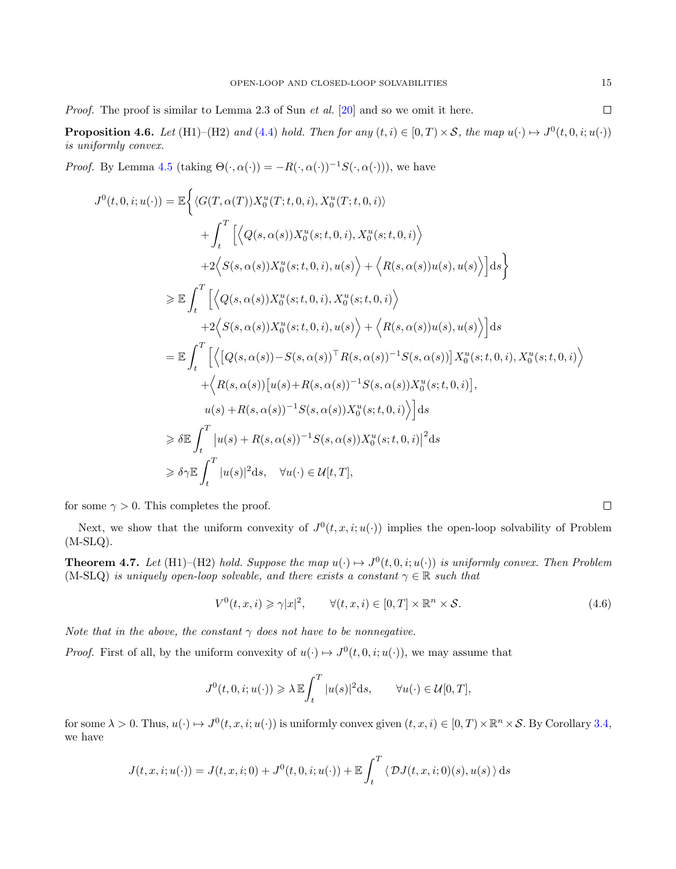Proof. The proof is similar to Lemma 2.3 of Sun *et al.* [\[20\]](#page-33-24) and so we omit it here.

**Proposition 4.6.** Let (H1)–(H2) and [\(4.4\)](#page-13-0) hold. Then for any  $(t, i) \in [0, T) \times S$ , the map  $u(\cdot) \mapsto J^0(t, 0, i; u(\cdot))$ is uniformly convex.

*Proof.* By Lemma [4.5](#page-13-1) (taking  $\Theta(\cdot, \alpha(\cdot)) = -R(\cdot, \alpha(\cdot))^{-1}S(\cdot, \alpha(\cdot)))$ , we have

$$
J^{0}(t,0,i;u(\cdot)) = \mathbb{E}\Big\{\langle G(T,\alpha(T))X_{0}^{u}(T;t,0,i),X_{0}^{u}(T;t,0,i)\rangle
$$
  
+ 
$$
\int_{t}^{T}\Big[\Big\langle Q(s,\alpha(s))X_{0}^{u}(s;t,0,i),X_{0}^{u}(s;t,0,i)\Big\rangle
$$
  
+ 
$$
2\Big\langle S(s,\alpha(s))X_{0}^{u}(s;t,0,i),u(s)\Big\rangle + \Big\langle R(s,\alpha(s))u(s),u(s)\Big\rangle\Big]ds\Big\}
$$
  

$$
\geq \mathbb{E}\int_{t}^{T}\Big[\Big\langle Q(s,\alpha(s))X_{0}^{u}(s;t,0,i),X_{0}^{u}(s;t,0,i)\Big\rangle
$$
  
+ 
$$
2\Big\langle S(s,\alpha(s))X_{0}^{u}(s;t,0,i),u(s)\Big\rangle + \Big\langle R(s,\alpha(s))u(s),u(s)\Big\rangle\Big]ds
$$
  
= 
$$
\mathbb{E}\int_{t}^{T}\Big[\Big\langle\Big[Q(s,\alpha(s))-S(s,\alpha(s))^{\top}R(s,\alpha(s))^{-1}S(s,\alpha(s))\Big]X_{0}^{u}(s;t,0,i),X_{0}^{u}(s;t,0,i)\Big\rangle
$$
  
+ 
$$
\Big\langle R(s,\alpha(s))\Big[u(s)+R(s,\alpha(s))^{-1}S(s,\alpha(s))X_{0}^{u}(s;t,0,i)\Big]\Big],
$$
  

$$
u(s)+R(s,\alpha(s))^{-1}S(s,\alpha(s))X_{0}^{u}(s;t,0,i)\Big\rangle\Big]ds
$$
  

$$
\geq \delta\mathbb{E}\int_{t}^{T}|u(s)+R(s,\alpha(s))^{-1}S(s,\alpha(s))X_{0}^{u}(s;t,0,i)|^{2}ds
$$
  

$$
\geq \delta\gamma\mathbb{E}\int_{t}^{T}|u(s)|^{2}ds, \quad \forall u(\cdot)\in\mathcal{U}[t,T],
$$

for some  $\gamma > 0$ . This completes the proof.

Next, we show that the uniform convexity of  $J^0(t, x, i; u(\cdot))$  implies the open-loop solvability of Problem  $(M-SLQ)$ .

<span id="page-14-1"></span>**Theorem 4.7.** Let (H1)–(H2) hold. Suppose the map  $u(\cdot) \mapsto J^0(t, 0, i; u(\cdot))$  is uniformly convex. Then Problem (M-SLQ) is uniquely open-loop solvable, and there exists a constant  $\gamma \in \mathbb{R}$  such that

<span id="page-14-0"></span>
$$
V^{0}(t, x, i) \geq \gamma |x|^{2}, \qquad \forall (t, x, i) \in [0, T] \times \mathbb{R}^{n} \times S.
$$
\n
$$
(4.6)
$$

Note that in the above, the constant  $\gamma$  does not have to be nonnegative.

*Proof.* First of all, by the uniform convexity of  $u(\cdot) \mapsto J^0(t, 0, i; u(\cdot))$ , we may assume that

$$
J^0(t,0,i;u(\cdot))\geqslant \lambda\,\mathbb{E}\!\int_t^T |u(s)|^2{\rm d}s,\qquad \forall u(\cdot)\in\mathcal{U}[0,T],
$$

for some  $\lambda > 0$ . Thus,  $u(\cdot) \mapsto J^0(t, x, i; u(\cdot))$  is uniformly convex given  $(t, x, i) \in [0, T) \times \mathbb{R}^n \times S$ . By Corollary [3.4,](#page-11-1) we have

$$
J(t, x, i; u(\cdot)) = J(t, x, i; 0) + J^{0}(t, 0, i; u(\cdot)) + \mathbb{E} \int_{t}^{T} \langle \mathcal{D}J(t, x, i; 0)(s), u(s) \rangle ds
$$

 $\Box$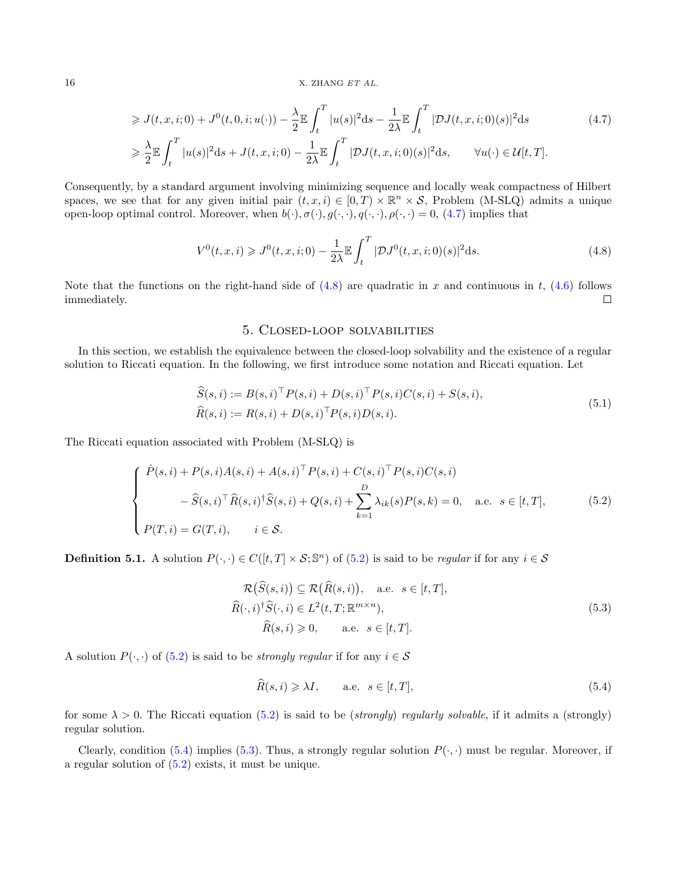$$
\geqslant J(t, x, i; 0) + J^0(t, 0, i; u(\cdot)) - \frac{\lambda}{2} \mathbb{E} \int_t^T |u(s)|^2 \mathrm{d}s - \frac{1}{2\lambda} \mathbb{E} \int_t^T |\mathcal{D}J(t, x, i; 0)(s)|^2 \mathrm{d}s \tag{4.7}
$$
\n
$$
\geqslant \frac{\lambda}{2} \mathbb{E} \int_t^T |u(s)|^2 \mathrm{d}s + J(t, x, i; 0) - \frac{1}{2\lambda} \mathbb{E} \int_t^T |\mathcal{D}J(t, x, i; 0)(s)|^2 \mathrm{d}s, \qquad \forall u(\cdot) \in \mathcal{U}[t, T].
$$

Consequently, by a standard argument involving minimizing sequence and locally weak compactness of Hilbert spaces, we see that for any given initial pair  $(t, x, i) \in [0, T) \times \mathbb{R}^n \times S$ , Problem (M-SLQ) admits a unique open-loop optimal control. Moreover, when  $b(\cdot), \sigma(\cdot), g(\cdot, \cdot), q(\cdot, \cdot), \rho(\cdot, \cdot) = 0$ , [\(4.7\)](#page-15-2) implies that

<span id="page-15-3"></span>
$$
V^{0}(t,x,i) \geqslant J^{0}(t,x,i;0) - \frac{1}{2\lambda} \mathbb{E} \int_{t}^{T} |\mathcal{D}J^{0}(t,x,i;0)(s)|^{2} \, \mathrm{d}s. \tag{4.8}
$$

Note that the functions on the right-hand side of  $(4.8)$  are quadratic in x and continuous in t,  $(4.6)$  follows immediately.  $\Box$ 

## <span id="page-15-2"></span>5. Closed-loop solvabilities

<span id="page-15-1"></span>In this section, we establish the equivalence between the closed-loop solvability and the existence of a regular solution to Riccati equation. In the following, we first introduce some notation and Riccati equation. Let

<span id="page-15-6"></span>
$$
\widehat{S}(s,i) := B(s,i)^{\top} P(s,i) + D(s,i)^{\top} P(s,i) C(s,i) + S(s,i), \n\widehat{R}(s,i) := R(s,i) + D(s,i)^{\top} P(s,i) D(s,i).
$$
\n(5.1)

The Riccati equation associated with Problem (M-SLQ) is

<span id="page-15-0"></span>
$$
\begin{cases}\n\dot{P}(s,i) + P(s,i)A(s,i) + A(s,i)^{\top}P(s,i) + C(s,i)^{\top}P(s,i)C(s,i) \\
-\hat{S}(s,i)^{\top}\hat{R}(s,i)^{\dagger}\hat{S}(s,i) + Q(s,i) + \sum_{k=1}^{D} \lambda_{ik}(s)P(s,k) = 0, \quad \text{a.e. } s \in [t,T], \\
P(T,i) = G(T,i), \qquad i \in \mathcal{S}.\n\end{cases}
$$
\n(5.2)

**Definition 5.1.** A solution  $P(\cdot, \cdot) \in C([t, T] \times S; \mathbb{S}^n)$  of  $(5.2)$  is said to be *regular* if for any  $i \in S$ 

<span id="page-15-5"></span>
$$
\mathcal{R}(\widehat{S}(s,i)) \subseteq \mathcal{R}(\widehat{R}(s,i)), \quad \text{a.e.} \quad s \in [t,T],
$$
  

$$
\widehat{R}(\cdot,i)^{\dagger}\widehat{S}(\cdot,i) \in L^{2}(t,T;\mathbb{R}^{m\times n}),
$$
  

$$
\widehat{R}(s,i) \geqslant 0, \qquad \text{a.e.} \quad s \in [t,T].
$$
\n
$$
(5.3)
$$

A solution  $P(\cdot, \cdot)$  of  $(5.2)$  is said to be *strongly regular* if for any  $i \in \mathcal{S}$ 

<span id="page-15-4"></span>
$$
\widehat{R}(s,i) \geq \lambda I, \qquad \text{a.e. } s \in [t,T], \tag{5.4}
$$

for some  $\lambda > 0$ . The Riccati equation [\(5.2\)](#page-15-0) is said to be (strongly) regularly solvable, if it admits a (strongly) regular solution.

Clearly, condition [\(5.4\)](#page-15-4) implies [\(5.3\)](#page-15-5). Thus, a strongly regular solution  $P(\cdot, \cdot)$  must be regular. Moreover, if a regular solution of [\(5.2\)](#page-15-0) exists, it must be unique.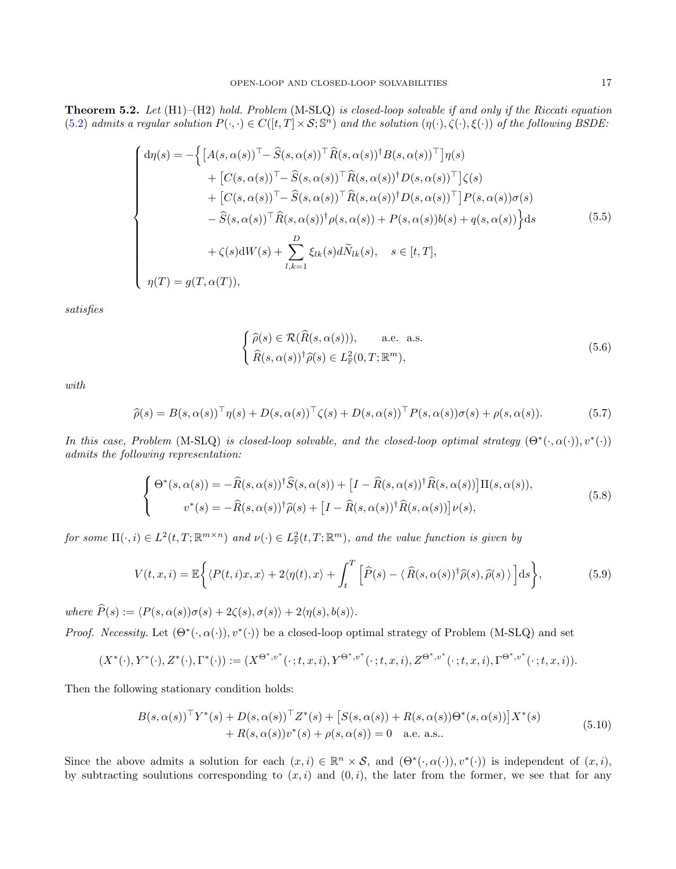<span id="page-16-0"></span>**Theorem 5.2.** Let  $(H1)$ – $(H2)$  hold. Problem  $(M-SLQ)$  is closed-loop solvable if and only if the Riccati equation [\(5.2\)](#page-15-0) admits a regular solution  $P(\cdot, \cdot) \in C([t,T] \times S; \mathbb{S}^n)$  and the solution  $(\eta(\cdot), \zeta(\cdot), \xi(\cdot))$  of the following BSDE:

<span id="page-16-3"></span>
$$
\begin{cases}\nd\eta(s) = -\left\{\left[A(s,\alpha(s))^{\top} - \widehat{S}(s,\alpha(s))^{\top}\widehat{R}(s,\alpha(s))^{\dagger}B(s,\alpha(s))^{\top}\right]\eta(s) \right. \\
\left. + \left[C(s,\alpha(s))^{\top} - \widehat{S}(s,\alpha(s))^{\top}\widehat{R}(s,\alpha(s))^{\dagger}D(s,\alpha(s))^{\top}\right]\zeta(s) \right. \\
\left. + \left[C(s,\alpha(s))^{\top} - \widehat{S}(s,\alpha(s))^{\top}\widehat{R}(s,\alpha(s))^{\dagger}D(s,\alpha(s))^{\top}\right]P(s,\alpha(s))\sigma(s) \right. \\
\left. - \widehat{S}(s,\alpha(s))^{\top}\widehat{R}(s,\alpha(s))^{\dagger}\rho(s,\alpha(s)) + P(s,\alpha(s))b(s) + q(s,\alpha(s))\right\}ds \right. \\
\left. + \zeta(s)dW(s) + \sum_{l,k=1}^{D} \xi_{lk}(s)d\widetilde{N}_{lk}(s), \quad s \in [t, T], \\
\eta(T) = g(T,\alpha(T)),\n\end{cases} \tag{5.5}
$$

satisfies

<span id="page-16-6"></span><span id="page-16-5"></span><span id="page-16-4"></span><span id="page-16-2"></span>
$$
\begin{cases}\n\widehat{\rho}(s) \in \mathcal{R}(\widehat{R}(s, \alpha(s))), & \text{a.e. a.s.} \\
\widehat{R}(s, \alpha(s))^\dagger \widehat{\rho}(s) \in L^2_{\mathbb{F}}(0, T; \mathbb{R}^m),\n\end{cases}
$$
\n(5.6)

with

$$
\widehat{\rho}(s) = B(s, \alpha(s))^{\top} \eta(s) + D(s, \alpha(s))^{\top} \zeta(s) + D(s, \alpha(s))^{\top} P(s, \alpha(s)) \sigma(s) + \rho(s, \alpha(s)).
$$
\n(5.7)

In this case, Problem (M-SLQ) is closed-loop solvable, and the closed-loop optimal strategy  $(\Theta^*(\cdot, \alpha(\cdot)), v^*(\cdot))$ admits the following representation:

$$
\begin{cases}\n\Theta^*(s,\alpha(s)) = -\widehat{R}(s,\alpha(s))^{\dagger}\widehat{S}(s,\alpha(s)) + \left[I - \widehat{R}(s,\alpha(s))^{\dagger}\widehat{R}(s,\alpha(s))\right]\Pi(s,\alpha(s)), \\
v^*(s) = -\widehat{R}(s,\alpha(s))^{\dagger}\widehat{\rho}(s) + \left[I - \widehat{R}(s,\alpha(s))^{\dagger}\widehat{R}(s,\alpha(s))\right]\nu(s),\n\end{cases}
$$
\n(5.8)

for some  $\Pi(\cdot, i) \in L^2(t,T; \mathbb{R}^{m \times n})$  and  $\nu(\cdot) \in L^2_{\mathbb{F}}(t,T; \mathbb{R}^m)$ , and the value function is given by

$$
V(t, x, i) = \mathbb{E}\bigg\{\langle P(t, i)x, x\rangle + 2\langle \eta(t), x\rangle + \int_t^T \left[\widehat{P}(s) - \langle \widehat{R}(s, \alpha(s))^\dagger \widehat{\rho}(s), \widehat{\rho}(s) \rangle \right] \mathrm{d}s\bigg\},\tag{5.9}
$$

where  $\widehat{P}(s) := \langle P(s, \alpha(s))\sigma(s) + 2\zeta(s), \sigma(s)\rangle + 2\langle \eta(s), b(s)\rangle.$ 

Proof. Necessity. Let  $(\Theta^*(\cdot, \alpha(\cdot)), v^*(\cdot))$  be a closed-loop optimal strategy of Problem (M-SLQ) and set

$$
(X^*(\cdot), Y^*(\cdot), Z^*(\cdot), \Gamma^*(\cdot)) := (X^{\Theta^*, v^*}(\cdot; t, x, i), Y^{\Theta^*, v^*}(\cdot; t, x, i), Z^{\Theta^*, v^*}(\cdot; t, x, i), \Gamma^{\Theta^*, v^*}(\cdot; t, x, i)).
$$

Then the following stationary condition holds:

<span id="page-16-1"></span>
$$
B(s, \alpha(s))^{\top} Y^*(s) + D(s, \alpha(s))^{\top} Z^*(s) + [S(s, \alpha(s)) + R(s, \alpha(s))\Theta^*(s, \alpha(s))]X^*(s)
$$
  
+  $R(s, \alpha(s))v^*(s) + \rho(s, \alpha(s)) = 0$  a.e. a.s.. (5.10)

Since the above admits a solution for each  $(x, i) \in \mathbb{R}^n \times S$ , and  $(\Theta^*(\cdot, \alpha(\cdot)), v^*(\cdot))$  is independent of  $(x, i)$ , by subtracting soulutions corresponding to  $(x, i)$  and  $(0, i)$ , the later from the former, we see that for any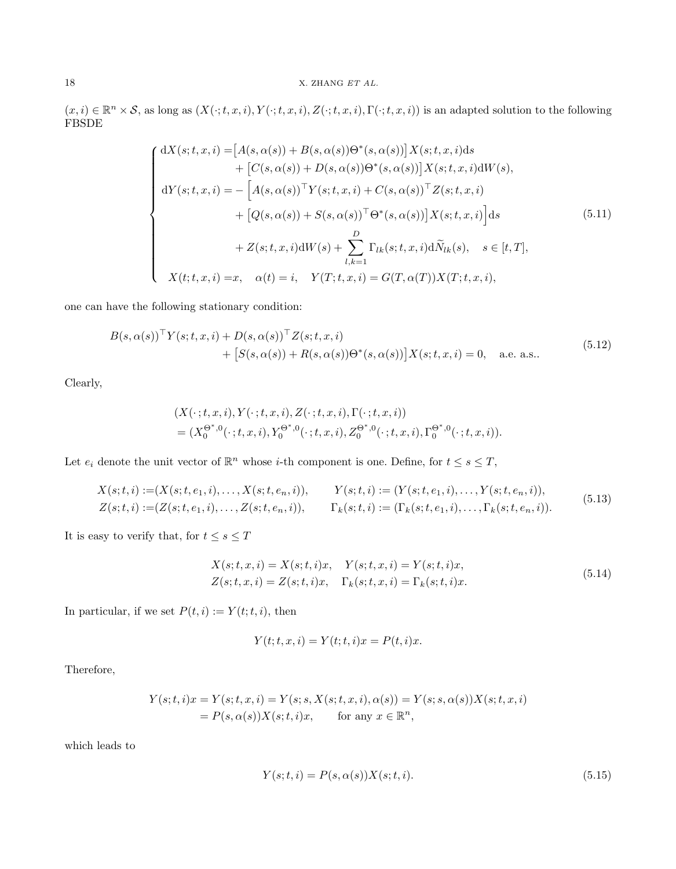$(x, i) \in \mathbb{R}^n \times \mathcal{S}$ , as long as  $(X(\cdot; t, x, i), Y(\cdot; t, x, i), Z(\cdot; t, x, i), \Gamma(\cdot; t, x, i))$  is an adapted solution to the following FBSDE

<span id="page-17-0"></span>
$$
\begin{cases}\ndX(s;t,x,i) = [A(s,\alpha(s)) + B(s,\alpha(s))\Theta^*(s,\alpha(s))]X(s;t,x,i)ds \\
+ [C(s,\alpha(s)) + D(s,\alpha(s))\Theta^*(s,\alpha(s))]X(s;t,x,i)dW(s), \\
dY(s;t,x,i) = - [A(s,\alpha(s))^{\top}Y(s;t,x,i) + C(s,\alpha(s))^{\top}Z(s;t,x,i) \\
+ [Q(s,\alpha(s)) + S(s,\alpha(s))^{\top}\Theta^*(s,\alpha(s))]X(s;t,x,i)]ds \\
+ Z(s;t,x,i)dW(s) + \sum_{l,k=1}^{D} \Gamma_{lk}(s;t,x,i)d\widetilde{N}_{lk}(s), \quad s \in [t,T], \\
X(t;t,x,i) = x, \quad \alpha(t) = i, \quad Y(T;t,x,i) = G(T,\alpha(T))X(T;t,x,i),\n\end{cases} (5.11)
$$

one can have the following stationary condition:

<span id="page-17-4"></span>
$$
B(s, \alpha(s))^{\top} Y(s; t, x, i) + D(s, \alpha(s))^{\top} Z(s; t, x, i)
$$
  
+ 
$$
[S(s, \alpha(s)) + R(s, \alpha(s))\Theta^*(s, \alpha(s))]X(s; t, x, i) = 0, \text{ a.e. a.s.}.
$$
 (5.12)

Clearly,

$$
(X(\cdot;t,x,i), Y(\cdot;t,x,i), Z(\cdot;t,x,i), \Gamma(\cdot;t,x,i)) = (X_0^{\Theta^*,0}(\cdot;t,x,i), Y_0^{\Theta^*,0}(\cdot;t,x,i), Z_0^{\Theta^*,0}(\cdot;t,x,i), \Gamma_0^{\Theta^*,0}(\cdot;t,x,i)).
$$

Let  $e_i$  denote the unit vector of  $\mathbb{R}^n$  whose *i*-th component is one. Define, for  $t \leq s \leq T$ ,

<span id="page-17-1"></span>
$$
X(s;t,i) := (X(s;t,e_1,i),\ldots,X(s;t,e_n,i)), \qquad Y(s;t,i) := (Y(s;t,e_1,i),\ldots,Y(s;t,e_n,i)),
$$
  
\n
$$
Z(s;t,i) := (Z(s;t,e_1,i),\ldots,Z(s;t,e_n,i)), \qquad \Gamma_k(s;t,i) := (\Gamma_k(s;t,e_1,i),\ldots,\Gamma_k(s;t,e_n,i)).
$$
\n
$$
(5.13)
$$

It is easy to verify that, for  $t\leq s\leq T$ 

<span id="page-17-2"></span>
$$
X(s;t,x,i) = X(s;t,i)x, \quad Y(s;t,x,i) = Y(s;t,i)x,Z(s;t,x,i) = Z(s;t,i)x, \quad \Gamma_k(s;t,x,i) = \Gamma_k(s;t,i)x.
$$
\n(5.14)

In particular, if we set  $P(t, i) := Y(t; t, i)$ , then

$$
Y(t; t, x, i) = Y(t; t, i)x = P(t, i)x.
$$

Therefore,

$$
Y(s;t,i)x = Y(s;t,x,i) = Y(s;s,X(s;t,x,i),\alpha(s)) = Y(s;s,\alpha(s))X(s;t,x,i)
$$
  
=  $P(s,\alpha(s))X(s;t,i)x$ , for any  $x \in \mathbb{R}^n$ ,

which leads to

<span id="page-17-3"></span>
$$
Y(s; t, i) = P(s, \alpha(s))X(s; t, i).
$$
\n(5.15)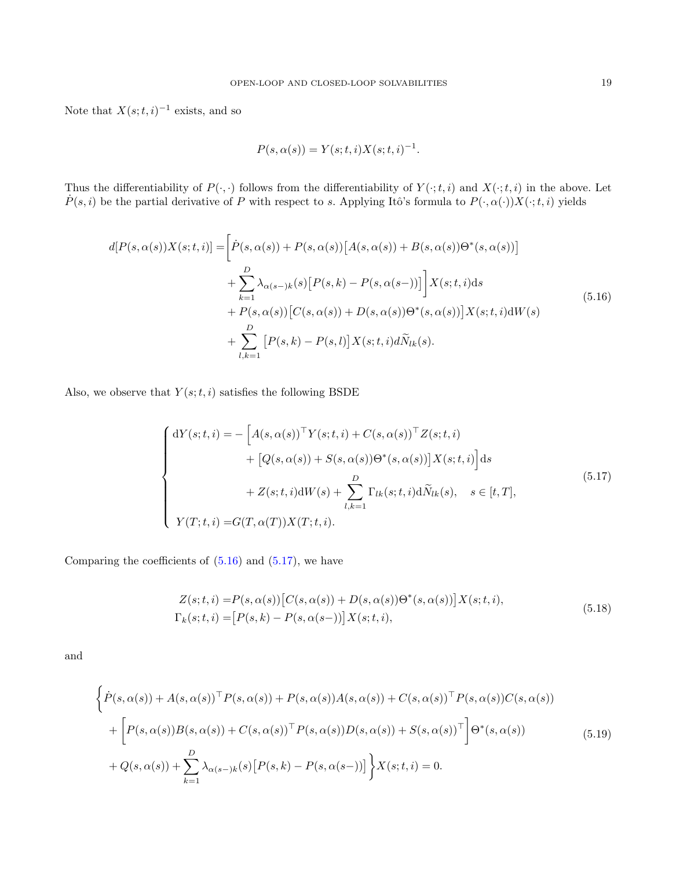Note that  $X(s;t,i)^{-1}$  exists, and so

$$
P(s, \alpha(s)) = Y(s; t, i)X(s; t, i)^{-1}.
$$

Thus the differentiability of  $P(\cdot, \cdot)$  follows from the differentiability of  $Y(\cdot; t, i)$  and  $X(\cdot; t, i)$  in the above. Let  $\dot{P}(s, i)$  be the partial derivative of P with respect to s. Applying Itô's formula to  $P(\cdot, \alpha(\cdot))X(\cdot; t, i)$  yields

<span id="page-18-0"></span>
$$
d[P(s,\alpha(s))X(s;t,i)] = \left[\dot{P}(s,\alpha(s)) + P(s,\alpha(s))\left[A(s,\alpha(s)) + B(s,\alpha(s))\Theta^*(s,\alpha(s))\right]\right.+ \sum_{k=1}^D \lambda_{\alpha(s-k)}(s)\left[P(s,k) - P(s,\alpha(s-))\right]\left[X(s;t,i)ds\right.+ P(s,\alpha(s))\left[C(s,\alpha(s)) + D(s,\alpha(s))\Theta^*(s,\alpha(s))\right]X(s;t,i)dW(s)+ \sum_{l,k=1}^D \left[P(s,k) - P(s,l)\right]X(s;t,i)d\tilde{N}_{lk}(s).
$$
\n(5.16)

Also, we observe that  $Y(s; t, i)$  satisfies the following BSDE

<span id="page-18-1"></span>
$$
\begin{cases}\n\mathrm{d}Y(s;t,i) = -\left[A(s,\alpha(s))^{\top}Y(s;t,i) + C(s,\alpha(s))^{\top}Z(s;t,i) \right. \\
\left. + \left[Q(s,\alpha(s)) + S(s,\alpha(s))\Theta^*(s,\alpha(s))\right]X(s;t,i)\right]ds \\
+ Z(s;t,i)\mathrm{d}W(s) + \sum_{l,k=1}^{D} \Gamma_{lk}(s;t,i)\mathrm{d}\tilde{N}_{lk}(s), \quad s \in [t,T], \\
Y(T;t,i) = G(T,\alpha(T))X(T;t,i).\n\end{cases} \tag{5.17}
$$

Comparing the coefficients of  $(5.16)$  and  $(5.17)$ , we have

<span id="page-18-2"></span>
$$
Z(s;t,i) = P(s,\alpha(s)) [C(s,\alpha(s)) + D(s,\alpha(s))\Theta^*(s,\alpha(s))]X(s;t,i),
$$
  
\n
$$
\Gamma_k(s;t,i) = [P(s,k) - P(s,\alpha(s-))]X(s;t,i),
$$
\n(5.18)

and

$$
\left\{\dot{P}(s,\alpha(s)) + A(s,\alpha(s))^{\top} P(s,\alpha(s)) + P(s,\alpha(s))A(s,\alpha(s)) + C(s,\alpha(s))^{\top} P(s,\alpha(s))C(s,\alpha(s))\right\}+\left[P(s,\alpha(s))B(s,\alpha(s)) + C(s,\alpha(s))^{\top} P(s,\alpha(s))D(s,\alpha(s)) + S(s,\alpha(s))^{\top}\right]\Theta^{*}(s,\alpha(s))+Q(s,\alpha(s)) + \sum_{k=1}^{D} \lambda_{\alpha(s-k)}(s)[P(s,k) - P(s,\alpha(s-))] \right\}X(s;t,i) = 0.
$$
\n(5.19)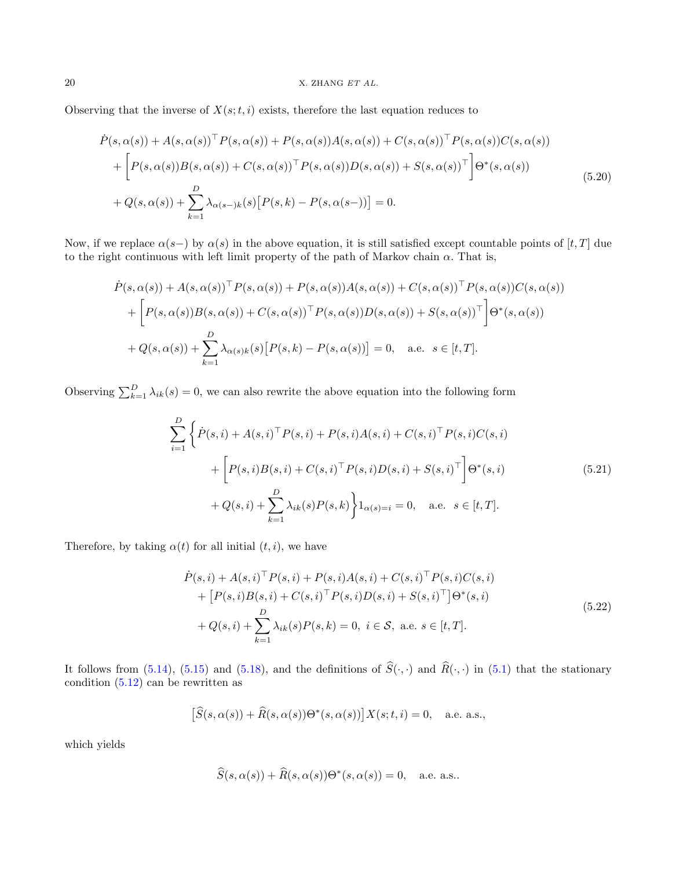Observing that the inverse of  $X(s; t, i)$  exists, therefore the last equation reduces to

$$
\dot{P}(s,\alpha(s)) + A(s,\alpha(s))^{\top} P(s,\alpha(s)) + P(s,\alpha(s))A(s,\alpha(s)) + C(s,\alpha(s))^{\top} P(s,\alpha(s))C(s,\alpha(s)) \n+ \left[ P(s,\alpha(s))B(s,\alpha(s)) + C(s,\alpha(s))^{\top} P(s,\alpha(s))D(s,\alpha(s)) + S(s,\alpha(s))^{\top} \right] \Theta^*(s,\alpha(s)) \n+ Q(s,\alpha(s)) + \sum_{k=1}^{D} \lambda_{\alpha(s-k)}(s) \left[ P(s,k) - P(s,\alpha(s-k)) \right] = 0.
$$
\n(5.20)

Now, if we replace  $\alpha(s-)$  by  $\alpha(s)$  in the above equation, it is still satisfied except countable points of [t, T] due to the right continuous with left limit property of the path of Markov chain  $\alpha$ . That is,

$$
\dot{P}(s,\alpha(s)) + A(s,\alpha(s))^{\top} P(s,\alpha(s)) + P(s,\alpha(s))A(s,\alpha(s)) + C(s,\alpha(s))^{\top} P(s,\alpha(s))C(s,\alpha(s))
$$

$$
+ \left[ P(s,\alpha(s))B(s,\alpha(s)) + C(s,\alpha(s))^{\top} P(s,\alpha(s))D(s,\alpha(s)) + S(s,\alpha(s))^{\top} \right] \Theta^*(s,\alpha(s))
$$

$$
+ Q(s,\alpha(s)) + \sum_{k=1}^{D} \lambda_{\alpha(s)k}(s) \left[ P(s,k) - P(s,\alpha(s)) \right] = 0, \quad \text{a.e.} \quad s \in [t,T].
$$

Observing  $\sum_{k=1}^{D} \lambda_{ik}(s) = 0$ , we can also rewrite the above equation into the following form

$$
\sum_{i=1}^{D} \left\{ \dot{P}(s,i) + A(s,i)^{\top} P(s,i) + P(s,i) A(s,i) + C(s,i)^{\top} P(s,i) C(s,i) \right. \\ \left. + \left[ P(s,i) B(s,i) + C(s,i)^{\top} P(s,i) D(s,i) + S(s,i)^{\top} \right] \Theta^{*}(s,i) \right. \\ \left. + Q(s,i) + \sum_{k=1}^{D} \lambda_{ik}(s) P(s,k) \right\} 1_{\alpha(s)=i} = 0, \quad \text{a.e. } s \in [t, T].
$$
 (5.21)

Therefore, by taking  $\alpha(t)$  for all initial  $(t, i)$ , we have

<span id="page-19-0"></span>
$$
\dot{P}(s,i) + A(s,i)^{\top} P(s,i) + P(s,i)A(s,i) + C(s,i)^{\top} P(s,i)C(s,i) \n+ [P(s,i)B(s,i) + C(s,i)^{\top} P(s,i)D(s,i) + S(s,i)^{\top}] \Theta^*(s,i) \n+ Q(s,i) + \sum_{k=1}^{D} \lambda_{ik}(s)P(s,k) = 0, i \in \mathcal{S}, \text{ a.e. } s \in [t,T].
$$
\n(5.22)

It follows from [\(5.14\)](#page-17-2), [\(5.15\)](#page-17-3) and [\(5.18\)](#page-18-2), and the definitions of  $\hat{S}(\cdot, \cdot)$  and  $\hat{R}(\cdot, \cdot)$  in [\(5.1\)](#page-15-6) that the stationary condition  $(5.12)$  can be rewritten as

$$
\left[\widehat{S}(s,\alpha(s)) + \widehat{R}(s,\alpha(s))\Theta^*(s,\alpha(s))\right]X(s;t,i) = 0, \quad \text{a.e. a.s.},
$$

which yields

$$
\widehat{S}(s,\alpha(s)) + \widehat{R}(s,\alpha(s))\Theta^*(s,\alpha(s)) = 0, \quad \text{a.e. a.s..}
$$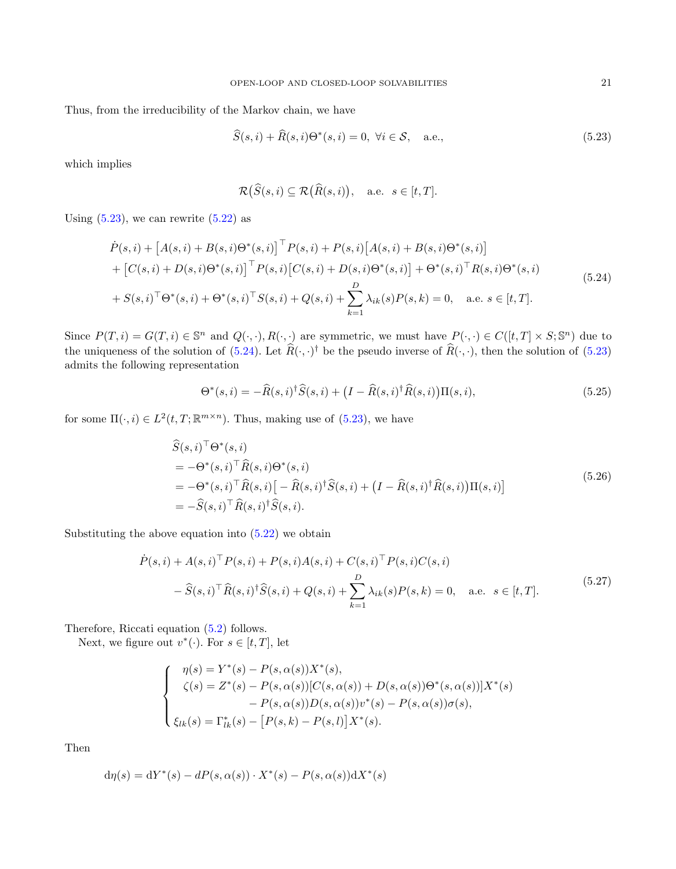Thus, from the irreducibility of the Markov chain, we have

$$
\widehat{S}(s,i) + \widehat{R}(s,i)\Theta^*(s,i) = 0, \ \forall i \in \mathcal{S}, \quad \text{a.e.,}
$$
\n
$$
(5.23)
$$

which implies

<span id="page-20-0"></span>
$$
\mathcal{R}(\widehat{S}(s,i) \subseteq \mathcal{R}(\widehat{R}(s,i)), \quad \text{a.e.} \ \ s \in [t,T].
$$

Using  $(5.23)$ , we can rewrite  $(5.22)$  as

<span id="page-20-1"></span>
$$
\dot{P}(s,i) + [A(s,i) + B(s,i)\Theta^*(s,i)]^\top P(s,i) + P(s,i)[A(s,i) + B(s,i)\Theta^*(s,i)] \n+ [C(s,i) + D(s,i)\Theta^*(s,i)]^\top P(s,i)[C(s,i) + D(s,i)\Theta^*(s,i)] + \Theta^*(s,i)^\top R(s,i)\Theta^*(s,i) \n+ S(s,i)^\top \Theta^*(s,i) + \Theta^*(s,i)^\top S(s,i) + Q(s,i) + \sum_{k=1}^D \lambda_{ik}(s)P(s,k) = 0, \quad \text{a.e. } s \in [t,T].
$$
\n(5.24)

Since  $P(T, i) = G(T, i) \in \mathbb{S}^n$  and  $Q(\cdot, \cdot), R(\cdot, \cdot)$  are symmetric, we must have  $P(\cdot, \cdot) \in C([t, T] \times S; \mathbb{S}^n)$  due to the uniqueness of the solution of  $(5.24)$ . Let  $\hat{R}(\cdot, \cdot)$ <sup>†</sup> be the pseudo inverse of  $\hat{R}(\cdot, \cdot)$ , then the solution of  $(5.23)$ admits the following representation

$$
\Theta^*(s,i) = -\widehat{R}(s,i)^{\dagger}\widehat{S}(s,i) + \left(I - \widehat{R}(s,i)^{\dagger}\widehat{R}(s,i)\right)\Pi(s,i),\tag{5.25}
$$

for some  $\Pi(\cdot, i) \in L^2(t,T; \mathbb{R}^{m \times n})$ . Thus, making use of [\(5.23\)](#page-20-0), we have

<span id="page-20-2"></span>
$$
\widehat{S}(s,i)^{\top} \Theta^*(s,i)
$$
\n
$$
= -\Theta^*(s,i)^{\top} \widehat{R}(s,i) \Theta^*(s,i)
$$
\n
$$
= -\Theta^*(s,i)^{\top} \widehat{R}(s,i) \left[ -\widehat{R}(s,i)^{\dagger} \widehat{S}(s,i) + (I - \widehat{R}(s,i)^{\dagger} \widehat{R}(s,i)) \Pi(s,i) \right]
$$
\n
$$
= -\widehat{S}(s,i)^{\top} \widehat{R}(s,i)^{\dagger} \widehat{S}(s,i).
$$
\n(5.26)

Substituting the above equation into [\(5.22\)](#page-19-0) we obtain

$$
\dot{P}(s,i) + A(s,i)^{\top} P(s,i) + P(s,i)A(s,i) + C(s,i)^{\top} P(s,i)C(s,i) \n- \hat{S}(s,i)^{\top} \hat{R}(s,i)^{\dagger} \hat{S}(s,i) + Q(s,i) + \sum_{k=1}^{D} \lambda_{ik}(s)P(s,k) = 0, \quad \text{a.e. } s \in [t,T].
$$
\n(5.27)

Therefore, Riccati equation [\(5.2\)](#page-15-0) follows.

Next, we figure out  $v^*(\cdot)$ . For  $s \in [t, T]$ , let

$$
\begin{cases}\n\eta(s) = Y^*(s) - P(s, \alpha(s))X^*(s), \\
\zeta(s) = Z^*(s) - P(s, \alpha(s))[C(s, \alpha(s)) + D(s, \alpha(s))\Theta^*(s, \alpha(s))]X^*(s) \\
- P(s, \alpha(s))D(s, \alpha(s))v^*(s) - P(s, \alpha(s))\sigma(s), \\
\xi_{lk}(s) = \Gamma^*_{lk}(s) - [P(s, k) - P(s, l)]X^*(s).\n\end{cases}
$$

Then

<span id="page-20-3"></span>
$$
d\eta(s) = dY^*(s) - dP(s, \alpha(s)) \cdot X^*(s) - P(s, \alpha(s))dX^*(s)
$$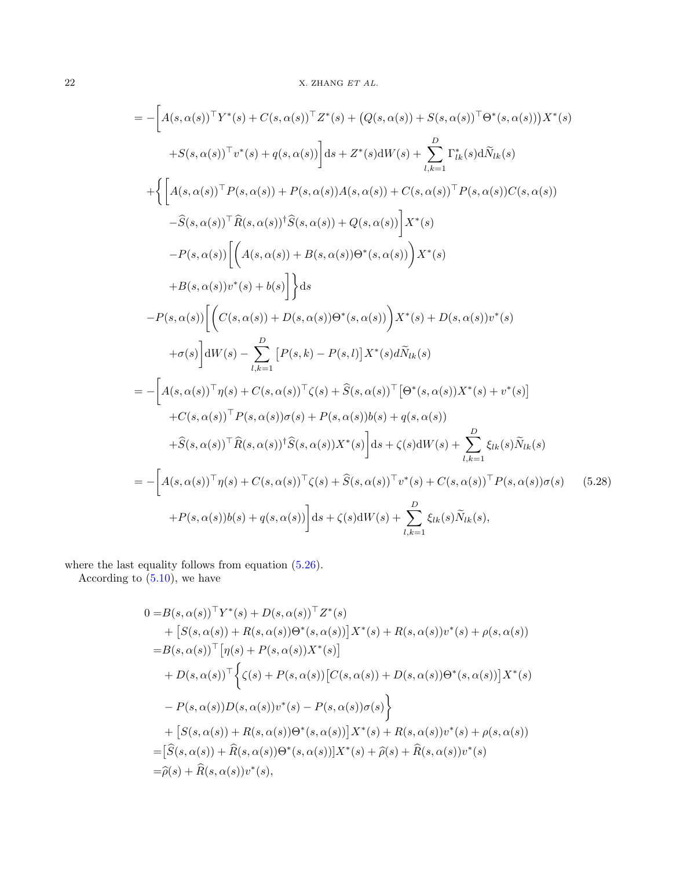$$
= -\left[A(s,\alpha(s))^{\top}Y^{*}(s) + C(s,\alpha(s))^{\top}Z^{*}(s) + (Q(s,\alpha(s)) + S(s,\alpha(s))^{\top}\Theta^{*}(s,\alpha(s)))X^{*}(s)\right] + S(s,\alpha(s))^{\top}v^{*}(s) + q(s,\alpha(s))\Big] ds + Z^{*}(s)dW(s) + \sum_{l,k=1}^{D} \Gamma_{lk}^{*}(s)d\tilde{N}_{lk}(s) + \left\{\left[A(s,\alpha(s))^{\top}P(s,\alpha(s)) + P(s,\alpha(s))A(s,\alpha(s)) + C(s,\alpha(s))^{\top}P(s,\alpha(s))C(s,\alpha(s))\right] - \hat{S}(s,\alpha(s))^{\top}\hat{R}(s,\alpha(s))^{\top}\hat{S}(s,\alpha(s)) + Q(s,\alpha(s))\right]X^{*}(s) - P(s,\alpha(s))\left[\left(A(s,\alpha(s)) + B(s,\alpha(s))\Theta^{*}(s,\alpha(s))\right)X^{*}(s) + B(s,\alpha(s))^{\top}y^{*}(s) + b(s)\right]\Big\} ds - P(s,\alpha(s))\left[\left(C(s,\alpha(s)) + D(s,\alpha(s))\Theta^{*}(s,\alpha(s))\right)X^{*}(s) + D(s,\alpha(s))v^{*}(s) + \sigma(s)\right]dW(s) - \sum_{l,k=1}^{D}\left[P(s,k) - P(s,l)\right]X^{*}(s)d\tilde{N}_{lk}(s) = -\left[A(s,\alpha(s))^{\top}\eta(s) + C(s,\alpha(s))^{\top}\zeta(s) + \hat{S}(s,\alpha(s))^{\top}\Theta^{*}(s,\alpha(s))X^{*}(s) + v^{*}(s)\right] + C(s,\alpha(s))^{\top}P(s,\alpha(s))\sigma(s) + P(s,\alpha(s))b(s) + q(s,\alpha(s)) + \hat{S}(s,\alpha(s))^{\top}\hat{R}(s,\alpha(s))^{\top}\hat{S}(s,\alpha(s))X^{*}(s)\right]ds + \zeta(s)dW(s) + \sum_{l,k=1}^{D}\xi_{lk}(s)\tilde{N}_{lk}(s) = -\left[A(s,\alpha(s))^{\top}\eta(s) + C(s,\alpha(s))^{\top}\zeta(s) + \hat{S}(s,\alpha(s))^{\top}v^{*}(s) + C(s,\alpha(s))^{\top}P(s,\alpha(s))\sigma(s) \right] (5.28) + P(s,\alpha(s))b(s) + q(s,\alpha(s))\right]ds + \zeta(s)dW(s) + \sum_{l,k=1}^{D}\xi_{lk}(s)\
$$

where the last equality follows from equation  $(5.26)$ .

According to  $(5.10)$ , we have

$$
0 = B(s, \alpha(s))^{\top} Y^{*}(s) + D(s, \alpha(s))^{\top} Z^{*}(s)
$$
  
+ 
$$
[S(s, \alpha(s)) + R(s, \alpha(s))\Theta^{*}(s, \alpha(s))]X^{*}(s) + R(s, \alpha(s))v^{*}(s) + \rho(s, \alpha(s))
$$
  
= 
$$
B(s, \alpha(s))^{\top} [\eta(s) + P(s, \alpha(s))X^{*}(s)]
$$
  
+ 
$$
D(s, \alpha(s))^{\top} \Big\{ \zeta(s) + P(s, \alpha(s)) [C(s, \alpha(s)) + D(s, \alpha(s))\Theta^{*}(s, \alpha(s))]X^{*}(s)
$$
  
- 
$$
P(s, \alpha(s))D(s, \alpha(s))v^{*}(s) - P(s, \alpha(s))\sigma(s) \Big\}
$$
  
+ 
$$
[S(s, \alpha(s)) + R(s, \alpha(s))\Theta^{*}(s, \alpha(s))]X^{*}(s) + R(s, \alpha(s))v^{*}(s) + \rho(s, \alpha(s))
$$
  
= 
$$
[\widehat{S}(s, \alpha(s)) + \widehat{R}(s, \alpha(s))\Theta^{*}(s, \alpha(s))]X^{*}(s) + \widehat{\rho}(s) + \widehat{R}(s, \alpha(s))v^{*}(s)
$$
  
= 
$$
\widehat{\rho}(s) + \widehat{R}(s, \alpha(s))v^{*}(s),
$$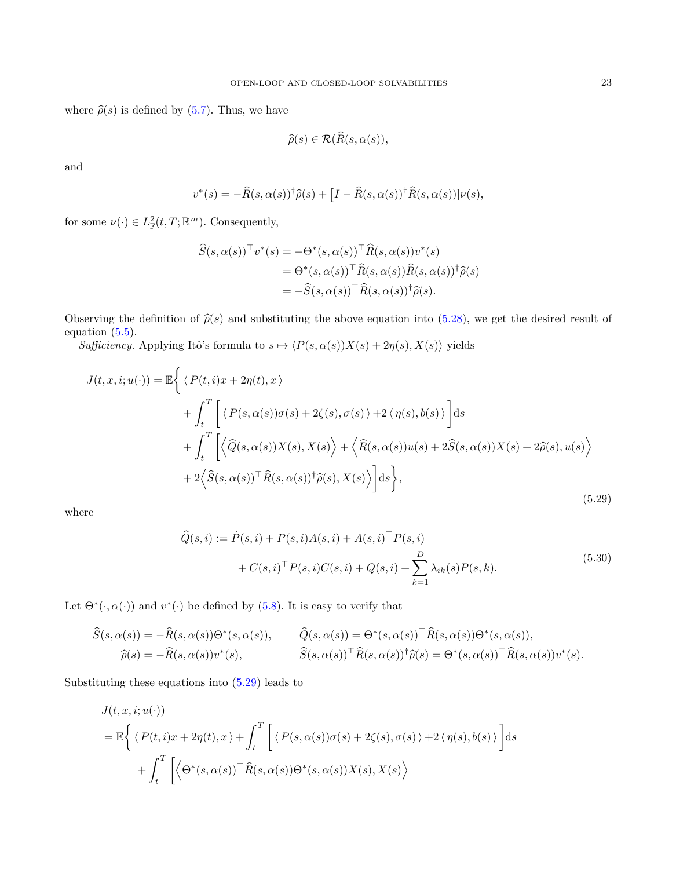where  $\hat{\rho}(s)$  is defined by [\(5.7\)](#page-16-2). Thus, we have

$$
\widehat{\rho}(s) \in \mathcal{R}(\widehat{R}(s,\alpha(s)),
$$

and

$$
v^*(s) = -\widehat{R}(s, \alpha(s))^{\dagger} \widehat{\rho}(s) + \left[I - \widehat{R}(s, \alpha(s))^{\dagger} \widehat{R}(s, \alpha(s))\right] \nu(s),
$$

for some  $\nu(\cdot) \in L^2_{\mathbb{F}}(t,T;\mathbb{R}^m)$ . Consequently,

$$
\widehat{S}(s,\alpha(s))^{\top}v^{*}(s) = -\Theta^{*}(s,\alpha(s))^{\top}\widehat{R}(s,\alpha(s))v^{*}(s)
$$

$$
= \Theta^{*}(s,\alpha(s))^{\top}\widehat{R}(s,\alpha(s))\widehat{R}(s,\alpha(s))^{\dagger}\widehat{\rho}(s)
$$

$$
= -\widehat{S}(s,\alpha(s))^{\top}\widehat{R}(s,\alpha(s))^{\dagger}\widehat{\rho}(s).
$$

Observing the definition of  $\hat{\rho}(s)$  and substituting the above equation into [\(5.28\)](#page-20-3), we get the desired result of equation  $(5.5)$ .

Sufficiency. Applying Itô's formula to  $s \mapsto \langle P(s, \alpha(s))X(s) + 2\eta(s), X(s)\rangle$  yields

<span id="page-22-0"></span>
$$
J(t, x, i; u(\cdot)) = \mathbb{E}\Big\{\langle P(t, i)x + 2\eta(t), x\rangle
$$
  
+  $\int_{t}^{T}\Big[\langle P(s, \alpha(s))\sigma(s) + 2\zeta(s), \sigma(s)\rangle + 2\langle \eta(s), b(s)\rangle\Big]ds$   
+  $\int_{t}^{T}\Big[\Big\langle \widehat{Q}(s, \alpha(s))X(s), X(s)\Big\rangle + \Big\langle \widehat{R}(s, \alpha(s))u(s) + 2\widehat{S}(s, \alpha(s))X(s) + 2\widehat{\rho}(s), u(s)\Big\rangle$   
+  $2\Big\langle \widehat{S}(s, \alpha(s))^{\top}\widehat{R}(s, \alpha(s))^{\dagger}\widehat{\rho}(s), X(s)\Big\rangle\Big]ds\Big\},$  (5.29)

where

$$
\begin{aligned} \widehat{Q}(s,i) &:= \dot{P}(s,i) + P(s,i)A(s,i) + A(s,i)^{\top}P(s,i) \\ &+ C(s,i)^{\top}P(s,i)C(s,i) + Q(s,i) + \sum_{k=1}^{D} \lambda_{ik}(s)P(s,k). \end{aligned} \tag{5.30}
$$

Let  $\Theta^*(\cdot, \alpha(\cdot))$  and  $v^*(\cdot)$  be defined by [\(5.8\)](#page-16-4). It is easy to verify that

$$
\widehat{S}(s,\alpha(s)) = -\widehat{R}(s,\alpha(s))\Theta^*(s,\alpha(s)), \qquad \widehat{Q}(s,\alpha(s)) = \Theta^*(s,\alpha(s))^{\top}\widehat{R}(s,\alpha(s))\Theta^*(s,\alpha(s)),
$$
  

$$
\widehat{\rho}(s) = -\widehat{R}(s,\alpha(s))v^*(s), \qquad \widehat{S}(s,\alpha(s))^{\top}\widehat{R}(s,\alpha(s))^{\top}\widehat{\rho}(s) = \Theta^*(s,\alpha(s))^{\top}\widehat{R}(s,\alpha(s))v^*(s).
$$

Substituting these equations into [\(5.29\)](#page-22-0) leads to

$$
J(t, x, i; u(\cdot))
$$
  
=  $\mathbb{E}\left\{\langle P(t, i)x + 2\eta(t), x \rangle + \int_t^T \left[ \langle P(s, \alpha(s))\sigma(s) + 2\zeta(s), \sigma(s) \rangle + 2\langle \eta(s), b(s) \rangle \right] ds + \int_t^T \left[ \langle \Theta^*(s, \alpha(s))^\top \hat{R}(s, \alpha(s)) \Theta^*(s, \alpha(s)) X(s), X(s) \rangle \right]$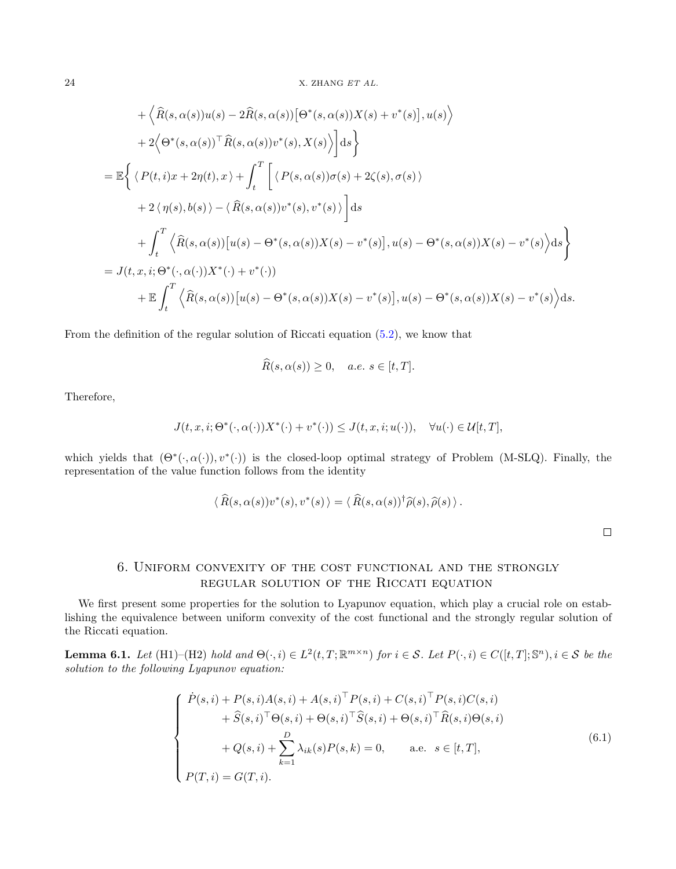+ 
$$
\langle \hat{R}(s, \alpha(s))u(s) - 2\hat{R}(s, \alpha(s))[\Theta^*(s, \alpha(s))X(s) + v^*(s)], u(s) \rangle
$$
  
+  $2\langle \Theta^*(s, \alpha(s))^{\top} \hat{R}(s, \alpha(s))v^*(s), X(s) \rangle ds$   
=  $\mathbb{E}\left\{ \langle P(t, i)x + 2\eta(t), x \rangle + \int_t^T \left[ \langle P(s, \alpha(s))\sigma(s) + 2\zeta(s), \sigma(s) \rangle + 2\langle \eta(s), b(s) \rangle - \langle \hat{R}(s, \alpha(s))v^*(s), v^*(s) \rangle \right] ds$   
+  $\int_t^T \langle \hat{R}(s, \alpha(s))[u(s) - \Theta^*(s, \alpha(s))X(s) - v^*(s)], u(s) - \Theta^*(s, \alpha(s))X(s) - v^*(s) \rangle ds \right\}$   
=  $J(t, x, i; \Theta^*(\cdot, \alpha(\cdot))X^*(\cdot) + v^*(\cdot))$   
+  $\mathbb{E}\int_t^T \langle \hat{R}(s, \alpha(s))[u(s) - \Theta^*(s, \alpha(s))X(s) - v^*(s)], u(s) - \Theta^*(s, \alpha(s))X(s) - v^*(s) \rangle ds.$ 

From the definition of the regular solution of Riccati equation [\(5.2\)](#page-15-0), we know that

$$
\widehat{R}(s,\alpha(s)) \ge 0, \quad a.e. \ s \in [t,T].
$$

Therefore,

$$
J(t, x, i; \Theta^*(\cdot, \alpha(\cdot))X^*(\cdot) + v^*(\cdot)) \leq J(t, x, i; u(\cdot)), \quad \forall u(\cdot) \in \mathcal{U}[t, T],
$$

which yields that  $(\Theta^*(\cdot, \alpha(\cdot)), v^*(\cdot))$  is the closed-loop optimal strategy of Problem (M-SLQ). Finally, the representation of the value function follows from the identity

$$
\langle \widehat{R}(s,\alpha(s))v^*(s),v^*(s)\rangle = \langle \widehat{R}(s,\alpha(s))^\dagger \widehat{\rho}(s),\widehat{\rho}(s)\rangle.
$$

 $\Box$ 

# 6. Uniform convexity of the cost functional and the strongly regular solution of the Riccati equation

<span id="page-23-0"></span>We first present some properties for the solution to Lyapunov equation, which play a crucial role on establishing the equivalence between uniform convexity of the cost functional and the strongly regular solution of the Riccati equation.

<span id="page-23-2"></span>**Lemma 6.1.** Let (H1)–(H2) hold and  $\Theta(\cdot, i) \in L^2(t,T; \mathbb{R}^{m \times n})$  for  $i \in \mathcal{S}$ . Let  $P(\cdot, i) \in C([t,T]; \mathbb{S}^n)$ ,  $i \in \mathcal{S}$  be the solution to the following Lyapunov equation:

<span id="page-23-1"></span>
$$
\begin{cases}\n\dot{P}(s,i) + P(s,i)A(s,i) + A(s,i)^{\top}P(s,i) + C(s,i)^{\top}P(s,i)C(s,i) \\
+ \hat{S}(s,i)^{\top}\Theta(s,i) + \Theta(s,i)^{\top}\hat{S}(s,i) + \Theta(s,i)^{\top}\hat{R}(s,i)\Theta(s,i) \\
D \\
+ Q(s,i) + \sum_{k=1}^{D} \lambda_{ik}(s)P(s,k) = 0, \quad \text{a.e. } s \in [t,T], \\
P(T,i) = G(T,i).\n\end{cases} (6.1)
$$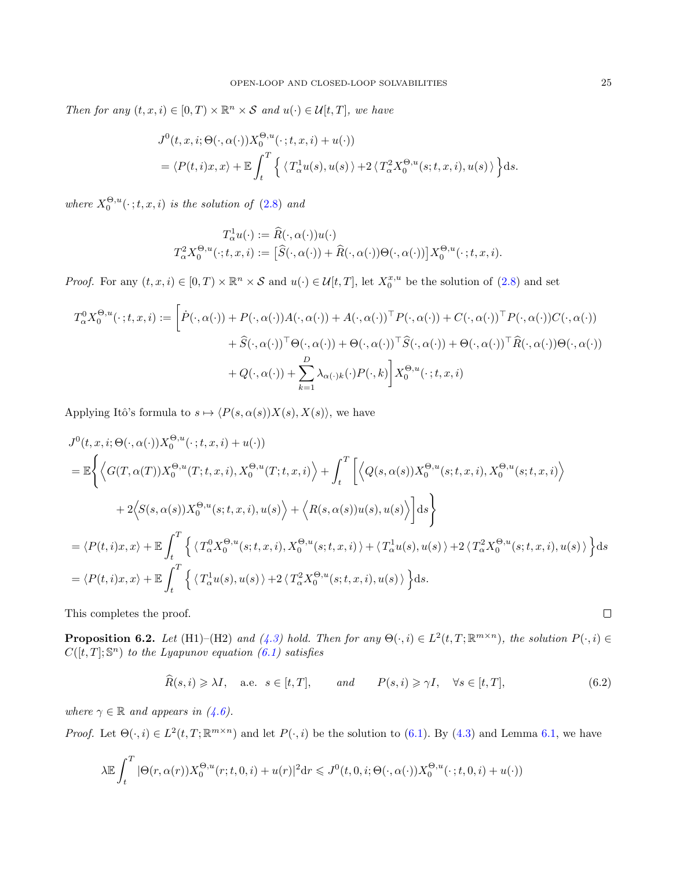Then for any  $(t, x, i) \in [0, T) \times \mathbb{R}^n \times S$  and  $u(\cdot) \in \mathcal{U}[t, T]$ , we have

$$
J^{0}(t, x, i; \Theta(\cdot, \alpha(\cdot))X_{0}^{\Theta, u}(\cdot; t, x, i) + u(\cdot))
$$
  
=  $\langle P(t, i)x, x \rangle + \mathbb{E} \int_{t}^{T} \left\{ \langle T_{\alpha}^{1} u(s), u(s) \rangle + 2 \langle T_{\alpha}^{2} X_{0}^{\Theta, u}(s; t, x, i), u(s) \rangle \right\} ds.$ 

where  $X_0^{\Theta,u}(\cdot;t,x,i)$  is the solution of  $(2.8)$  and

$$
T^1_\alpha u(\cdot) := \widehat{R}(\cdot, \alpha(\cdot))u(\cdot)
$$
  

$$
T^2_\alpha X_0^{\Theta, u}(\cdot; t, x, i) := \left[\widehat{S}(\cdot, \alpha(\cdot)) + \widehat{R}(\cdot, \alpha(\cdot))\Theta(\cdot, \alpha(\cdot))\right]X_0^{\Theta, u}(\cdot; t, x, i).
$$

*Proof.* For any  $(t, x, i) \in [0, T) \times \mathbb{R}^n \times S$  and  $u(\cdot) \in \mathcal{U}[t, T]$ , let  $X_0^{x, u}$  be the solution of  $(2.8)$  and set

$$
T_{\alpha}^{0} X_{0}^{\Theta, u}(\cdot; t, x, i) := \left[ \dot{P}(\cdot, \alpha(\cdot)) + P(\cdot, \alpha(\cdot)) A(\cdot, \alpha(\cdot)) + A(\cdot, \alpha(\cdot))^{\top} P(\cdot, \alpha(\cdot)) + C(\cdot, \alpha(\cdot))^{\top} P(\cdot, \alpha(\cdot)) C(\cdot, \alpha(\cdot)) + \hat{S}(\cdot, \alpha(\cdot))^{\top} \Theta(\cdot, \alpha(\cdot)) + \Theta(\cdot, \alpha(\cdot))^{\top} \hat{S}(\cdot, \alpha(\cdot)) + \Theta(\cdot, \alpha(\cdot))^{\top} \hat{R}(\cdot, \alpha(\cdot)) \Theta(\cdot, \alpha(\cdot)) + \frac{D}{k-1} \lambda_{\alpha(\cdot) k}(\cdot) P(\cdot, k) \right] X_{0}^{\Theta, u}(\cdot; t, x, i)
$$

Applying Itô's formula to  $s \mapsto \langle P(s, \alpha(s))X(s), X(s)\rangle$ , we have

$$
J^{0}(t, x, i; \Theta(\cdot, \alpha(\cdot))X_{0}^{\Theta, u}(\cdot; t, x, i) + u(\cdot))
$$
\n
$$
= \mathbb{E}\left\{\left\langle G(T, \alpha(T))X_{0}^{\Theta, u}(T; t, x, i), X_{0}^{\Theta, u}(T; t, x, i)\right\rangle + \int_{t}^{T}\left[\left\langle Q(s, \alpha(s))X_{0}^{\Theta, u}(s; t, x, i), X_{0}^{\Theta, u}(s; t, x, i)\right\rangle\right] + 2\left\langle S(s, \alpha(s))X_{0}^{\Theta, u}(s; t, x, i), u(s)\right\rangle + \left\langle R(s, \alpha(s))u(s), u(s)\right\rangle\right\} ds\right\}
$$
\n
$$
= \left\langle P(t, i)x, x\right\rangle + \mathbb{E}\int_{t}^{T}\left\{\left\langle T_{\alpha}^{0}X_{0}^{\Theta, u}(s; t, x, i), X_{0}^{\Theta, u}(s; t, x, i)\right\rangle + \left\langle T_{\alpha}^{1}u(s), u(s)\right\rangle + 2\left\langle T_{\alpha}^{2}X_{0}^{\Theta, u}(s; t, x, i), u(s)\right\rangle\right\} ds
$$
\n
$$
= \left\langle P(t, i)x, x\right\rangle + \mathbb{E}\int_{t}^{T}\left\{\left\langle T_{\alpha}^{1}u(s), u(s)\right\rangle + 2\left\langle T_{\alpha}^{2}X_{0}^{\Theta, u}(s; t, x, i), u(s)\right\rangle\right\} ds.
$$

This completes the proof.

<span id="page-24-1"></span>**Proposition 6.2.** Let (H1)–(H2) and [\(4.3\)](#page-12-3) hold. Then for any  $\Theta(\cdot, i) \in L^2(t,T;\mathbb{R}^{m \times n})$ , the solution  $P(\cdot, i) \in$  $C([t, T]; \mathbb{S}^n)$  to the Lyapunov equation [\(6.1\)](#page-23-1) satisfies

<span id="page-24-0"></span>
$$
\widehat{R}(s,i) \geq \lambda I, \quad \text{a.e.} \quad s \in [t,T], \qquad \text{and} \qquad P(s,i) \geq \gamma I, \quad \forall s \in [t,T], \tag{6.2}
$$

where  $\gamma \in \mathbb{R}$  and appears in  $(4.6)$ .

*Proof.* Let  $\Theta(\cdot, i) \in L^2(t, T; \mathbb{R}^{m \times n})$  and let  $P(\cdot, i)$  be the solution to [\(6.1\)](#page-23-1). By [\(4.3\)](#page-12-3) and Lemma [6.1,](#page-23-2) we have

$$
\lambda \mathbb{E} \int_t^T |\Theta(r, \alpha(r)) X_0^{\Theta, u}(r; t, 0, i) + u(r)|^2 dr \leqslant J^0(t, 0, i; \Theta(\cdot, \alpha(\cdot)) X_0^{\Theta, u}(\cdot; t, 0, i) + u(\cdot))
$$

$$
\qquad \qquad \Box
$$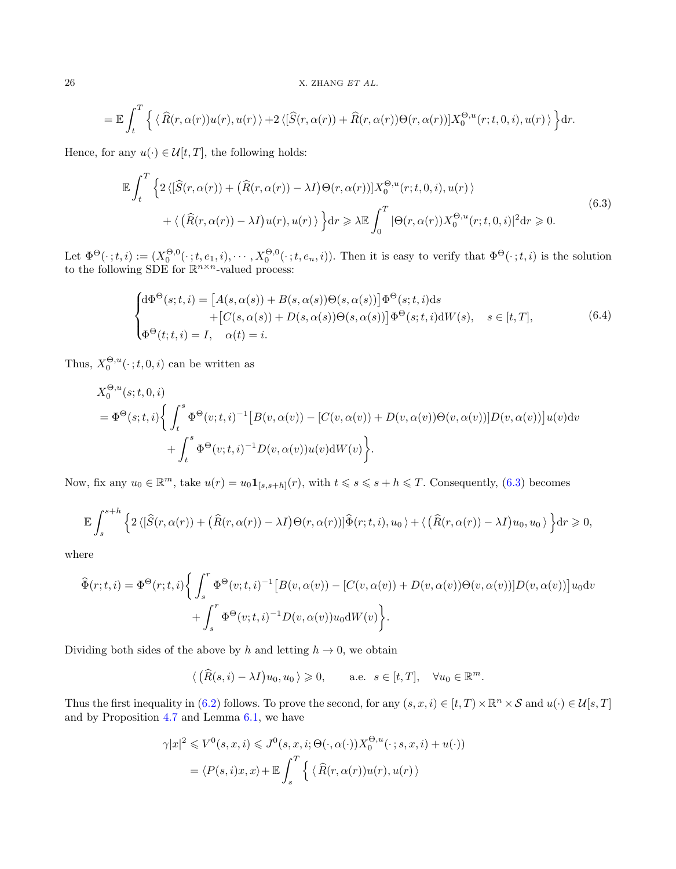$$
= \mathbb{E}\int_{t}^{T} \left\{ \langle \widehat{R}(r,\alpha(r))u(r),u(r)\rangle + 2\langle [\widehat{S}(r,\alpha(r)) + \widehat{R}(r,\alpha(r))\Theta(r,\alpha(r))]X_{0}^{\Theta,u}(r;t,0,i),u(r)\rangle \right\} dr.
$$

Hence, for any  $u(\cdot) \in \mathcal{U}[t,T]$ , the following holds:

<span id="page-25-0"></span>
$$
\mathbb{E} \int_{t}^{T} \left\{ 2\left\langle \left[ \widehat{S}(r,\alpha(r)) + \left( \widehat{R}(r,\alpha(r)) - \lambda I \right) \Theta(r,\alpha(r)) \right] X_{0}^{\Theta,u}(r;t,0,i), u(r) \right\rangle \right. \\ \left. + \left\langle \left( \widehat{R}(r,\alpha(r)) - \lambda I \right) u(r), u(r) \right\rangle \right\} dr \geq \lambda \mathbb{E} \int_{0}^{T} |\Theta(r,\alpha(r)) X_{0}^{\Theta,u}(r;t,0,i)|^{2} dr \geq 0. \tag{6.3}
$$

Let  $\Phi^{\Theta}(\cdot;t,i) := (X_0^{\Theta,0}(\cdot;t,e_1,i),\cdots,X_0^{\Theta,0}(\cdot;t,e_n,i))$ . Then it is easy to verify that  $\Phi^{\Theta}(\cdot;t,i)$  is the solution to the following SDE for  $\mathbb{R}^{n \times n}$ -valued process:

$$
\begin{cases} d\Phi^{\Theta}(s;t,i) = \left[A(s,\alpha(s)) + B(s,\alpha(s))\Theta(s,\alpha(s))\right] \Phi^{\Theta}(s;t,i) ds \\ \qquad + \left[C(s,\alpha(s)) + D(s,\alpha(s))\Theta(s,\alpha(s))\right] \Phi^{\Theta}(s;t,i) dW(s), \quad s \in [t,T], \\ \Phi^{\Theta}(t;t,i) = I, \quad \alpha(t) = i. \end{cases} \tag{6.4}
$$

Thus,  $X_0^{\Theta, u}(\cdot; t, 0, i)$  can be written as

$$
X_0^{\Theta, u}(s; t, 0, i)
$$
  
=  $\Phi^{\Theta}(s; t, i)$   $\left\{ \int_t^s \Phi^{\Theta}(v; t, i)^{-1} [B(v, \alpha(v)) - [C(v, \alpha(v)) + D(v, \alpha(v))\Theta(v, \alpha(v))]D(v, \alpha(v))]u(v)dv + \int_t^s \Phi^{\Theta}(v; t, i)^{-1} D(v, \alpha(v))u(v) dW(v) \right\}.$ 

Now, fix any  $u_0 \in \mathbb{R}^m$ , take  $u(r) = u_0 \mathbf{1}_{[s,s+h]}(r)$ , with  $t \leq s \leq s+h \leq T$ . Consequently, [\(6.3\)](#page-25-0) becomes

$$
\mathbb{E}\int_{s}^{s+h}\left\{2\left\langle\left[\widehat{S}(r,\alpha(r))+\left(\widehat{R}(r,\alpha(r))-\lambda I\right)\Theta(r,\alpha(r))\right]\widehat{\Phi}(r;t,i),u_{0}\right\rangle+\left\langle\left(\widehat{R}(r,\alpha(r))-\lambda I\right)u_{0},u_{0}\right\rangle\right\}dr\geqslant 0,
$$

where

$$
\widehat{\Phi}(r;t,i) = \Phi^{\Theta}(r;t,i) \Biggl\{ \int_{s}^{r} \Phi^{\Theta}(v;t,i)^{-1} \bigl[ B(v,\alpha(v)) - [C(v,\alpha(v)) + D(v,\alpha(v))\Theta(v,\alpha(v))]D(v,\alpha(v)) \bigr] u_0 \mathrm{d}v + \int_{s}^{r} \Phi^{\Theta}(v;t,i)^{-1} D(v,\alpha(v)) u_0 \mathrm{d}W(v) \Biggr\}.
$$

Dividing both sides of the above by h and letting  $h \to 0$ , we obtain

$$
\langle (\widehat{R}(s,i) - \lambda I)u_0, u_0 \rangle \ge 0
$$
, a.e.  $s \in [t,T]$ ,  $\forall u_0 \in \mathbb{R}^m$ .

Thus the first inequality in [\(6.2\)](#page-24-0) follows. To prove the second, for any  $(s, x, i) \in [t, T) \times \mathbb{R}^n \times S$  and  $u(\cdot) \in \mathcal{U}[s, T]$ and by Proposition [4.7](#page-14-1) and Lemma [6.1,](#page-23-2) we have

$$
\gamma |x|^2 \leq V^0(s, x, i) \leq J^0(s, x, i; \Theta(\cdot, \alpha(\cdot)) X_0^{\Theta, u}(\cdot; s, x, i) + u(\cdot))
$$
  
=  $\langle P(s, i)x, x \rangle + \mathbb{E} \int_s^T \left\{ \langle \widehat{R}(r, \alpha(r)) u(r), u(r) \rangle \right\}$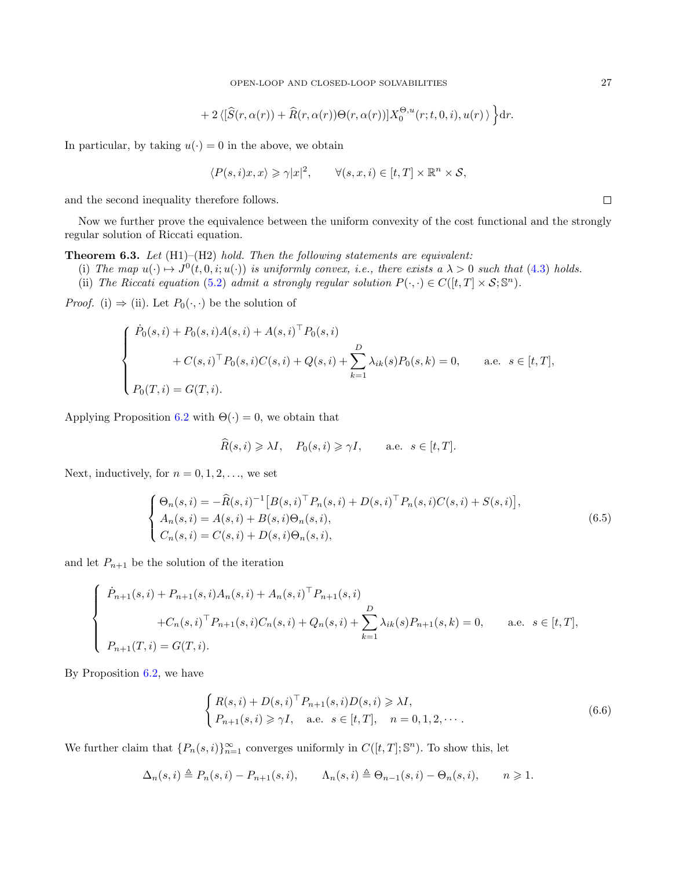+2 
$$
\langle [\widehat{S}(r,\alpha(r)) + \widehat{R}(r,\alpha(r))\Theta(r,\alpha(r))]X_0^{\Theta,u}(r;t,0,i),u(r)\rangle
$$
  $\Big\} dr$ .

In particular, by taking  $u(\cdot) = 0$  in the above, we obtain

$$
\langle P(s,i)x,x\rangle \geqslant \gamma |x|^2, \qquad \forall (s,x,i) \in [t,T] \times \mathbb{R}^n \times \mathcal{S},
$$

and the second inequality therefore follows.

Now we further prove the equivalence between the uniform convexity of the cost functional and the strongly regular solution of Riccati equation.

<span id="page-26-0"></span>**Theorem 6.3.** Let  $(H1)$ – $(H2)$  hold. Then the following statements are equivalent:

- (i) The map  $u(\cdot) \mapsto J^0(t, 0, i; u(\cdot))$  is uniformly convex, i.e., there exists a  $\lambda > 0$  such that [\(4.3\)](#page-12-3) holds.
- (ii) The Riccati equation [\(5.2\)](#page-15-0) admit a strongly regular solution  $P(\cdot, \cdot) \in C([t,T] \times S; \mathbb{S}^n)$ .

*Proof.* (i)  $\Rightarrow$  (ii). Let  $P_0(\cdot, \cdot)$  be the solution of

$$
\begin{cases}\n\dot{P}_0(s,i) + P_0(s,i)A(s,i) + A(s,i)^{\top} P_0(s,i) \\
+ C(s,i)^{\top} P_0(s,i)C(s,i) + Q(s,i) + \sum_{k=1}^{D} \lambda_{ik}(s)P_0(s,k) = 0, \quad \text{a.e. } s \in [t,T], \\
P_0(T,i) = G(T,i).\n\end{cases}
$$

Applying Proposition [6.2](#page-24-1) with  $\Theta(\cdot) = 0$ , we obtain that

$$
\widehat{R}(s,i) \geq \lambda I, \quad P_0(s,i) \geq \gamma I, \qquad \text{a.e. } s \in [t,T].
$$

Next, inductively, for  $n = 0, 1, 2, \ldots$ , we set

<span id="page-26-1"></span>
$$
\begin{cases}\n\Theta_n(s,i) = -\widehat{R}(s,i)^{-1} \left[ B(s,i)^{\top} P_n(s,i) + D(s,i)^{\top} P_n(s,i) C(s,i) + S(s,i) \right], \\
A_n(s,i) = A(s,i) + B(s,i) \Theta_n(s,i), \\
C_n(s,i) = C(s,i) + D(s,i) \Theta_n(s,i),\n\end{cases}
$$
\n(6.5)

and let  $P_{n+1}$  be the solution of the iteration

$$
\begin{cases}\n\dot{P}_{n+1}(s,i) + P_{n+1}(s,i)A_n(s,i) + A_n(s,i)^{\top} P_{n+1}(s,i) \\
+ C_n(s,i)^{\top} P_{n+1}(s,i)C_n(s,i) + Q_n(s,i) + \sum_{k=1}^D \lambda_{ik}(s)P_{n+1}(s,k) = 0, \quad \text{a.e. } s \in [t,T], \\
P_{n+1}(T,i) = G(T,i).\n\end{cases}
$$

By Proposition [6.2,](#page-24-1) we have

<span id="page-26-2"></span>
$$
\begin{cases} R(s,i) + D(s,i)^{\top} P_{n+1}(s,i)D(s,i) \geq \lambda I, \\ P_{n+1}(s,i) \geq \gamma I, \quad \text{a.e.} \quad s \in [t,T], \quad n = 0, 1, 2, \cdots. \end{cases}
$$
\n
$$
(6.6)
$$

We further claim that  $\{P_n(s,i)\}_{n=1}^{\infty}$  converges uniformly in  $C([t,T];\mathbb{S}^n)$ . To show this, let

$$
\Delta_n(s,i) \triangleq P_n(s,i) - P_{n+1}(s,i), \qquad \Lambda_n(s,i) \triangleq \Theta_{n-1}(s,i) - \Theta_n(s,i), \qquad n \geq 1.
$$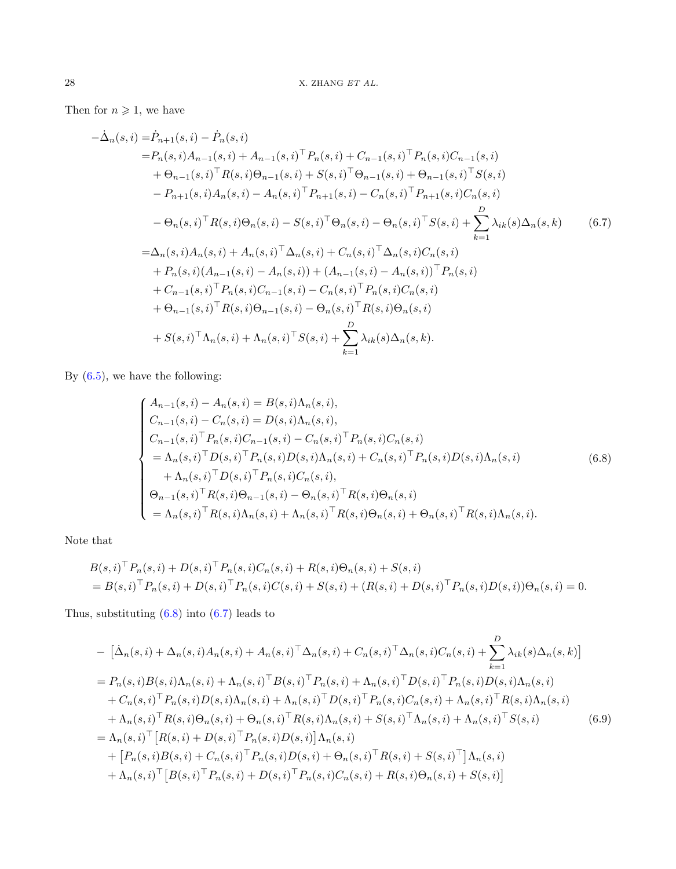Then for  $n \geqslant 1$ , we have

$$
-\dot{\Delta}_{n}(s, i) = \dot{P}_{n+1}(s, i) - \dot{P}_{n}(s, i)
$$
  
\n
$$
= P_{n}(s, i)A_{n-1}(s, i) + A_{n-1}(s, i)^{\top} P_{n}(s, i) + C_{n-1}(s, i)^{\top} P_{n}(s, i)C_{n-1}(s, i)
$$
  
\n
$$
+ \Theta_{n-1}(s, i)^{\top} R(s, i) \Theta_{n-1}(s, i) + S(s, i)^{\top} \Theta_{n-1}(s, i) + \Theta_{n-1}(s, i)^{\top} S(s, i)
$$
  
\n
$$
- P_{n+1}(s, i)A_{n}(s, i) - A_{n}(s, i)^{\top} P_{n+1}(s, i) - C_{n}(s, i)^{\top} P_{n+1}(s, i)C_{n}(s, i)
$$
  
\n
$$
- \Theta_{n}(s, i)^{\top} R(s, i) \Theta_{n}(s, i) - S(s, i)^{\top} \Theta_{n}(s, i) - \Theta_{n}(s, i)^{\top} S(s, i) + \sum_{k=1}^{D} \lambda_{ik}(s) \Delta_{n}(s, k)
$$
  
\n
$$
= \Delta_{n}(s, i)A_{n}(s, i) + A_{n}(s, i)^{\top} \Delta_{n}(s, i) + C_{n}(s, i)^{\top} \Delta_{n}(s, i)C_{n}(s, i)
$$
  
\n
$$
+ P_{n}(s, i)(A_{n-1}(s, i) - A_{n}(s, i)) + (A_{n-1}(s, i) - A_{n}(s, i))^{\top} P_{n}(s, i)
$$
  
\n
$$
+ C_{n-1}(s, i)^{\top} P_{n}(s, i)C_{n-1}(s, i) - C_{n}(s, i)^{\top} P_{n}(s, i)C_{n}(s, i)
$$
  
\n
$$
+ \Theta_{n-1}(s, i)^{\top} R(s, i) \Theta_{n-1}(s, i) - \Theta_{n}(s, i)^{\top} R(s, i) \Theta_{n}(s, i)
$$
  
\n
$$
+ S(s, i)^{\top} \Lambda_{n}(s, i) + \Lambda_{n}(s, i)^{\top} S(s, i) + \sum_{k=1}^{D} \lambda_{ik}(s) \Delta_{n}(s, k).
$$

By [\(6.5\)](#page-26-1), we have the following:

<span id="page-27-1"></span><span id="page-27-0"></span>
$$
\begin{cases}\nA_{n-1}(s,i) - A_n(s,i) = B(s,i)\Lambda_n(s,i), \\
C_{n-1}(s,i) - C_n(s,i) = D(s,i)\Lambda_n(s,i), \\
C_{n-1}(s,i)^{\top} P_n(s,i)C_{n-1}(s,i) - C_n(s,i)^{\top} P_n(s,i)C_n(s,i) \\
= \Lambda_n(s,i)^{\top} D(s,i)^{\top} P_n(s,i)D(s,i)\Lambda_n(s,i) + C_n(s,i)^{\top} P_n(s,i)D(s,i)\Lambda_n(s,i) \\
+ \Lambda_n(s,i)^{\top} D(s,i)^{\top} P_n(s,i)C_n(s,i), \\
\Theta_{n-1}(s,i)^{\top} R(s,i)\Theta_{n-1}(s,i) - \Theta_n(s,i)^{\top} R(s,i)\Theta_n(s,i) \\
= \Lambda_n(s,i)^{\top} R(s,i)\Lambda_n(s,i) + \Lambda_n(s,i)^{\top} R(s,i)\Theta_n(s,i) + \Theta_n(s,i)^{\top} R(s,i)\Lambda_n(s,i).\n\end{cases
$$
\n(6.8)

Note that

$$
B(s,i)^{\top} P_n(s,i) + D(s,i)^{\top} P_n(s,i) C_n(s,i) + R(s,i) \Theta_n(s,i) + S(s,i)
$$
  
=  $B(s,i)^{\top} P_n(s,i) + D(s,i)^{\top} P_n(s,i) C(s,i) + S(s,i) + (R(s,i) + D(s,i)^{\top} P_n(s,i) D(s,i)) \Theta_n(s,i) = 0.$ 

Thus, substituting [\(6.8\)](#page-27-0) into [\(6.7\)](#page-27-1) leads to

<span id="page-27-2"></span>
$$
- [\dot{\Delta}_n(s,i) + \Delta_n(s,i)A_n(s,i) + A_n(s,i)^{\top} \Delta_n(s,i) + C_n(s,i)^{\top} \Delta_n(s,i)C_n(s,i) + \sum_{k=1}^D \lambda_{ik}(s)\Delta_n(s,k)]
$$
  
\n
$$
= P_n(s,i)B(s,i)\Lambda_n(s,i) + \Lambda_n(s,i)^{\top}B(s,i)^{\top}P_n(s,i) + \Lambda_n(s,i)^{\top}D(s,i)^{\top}P_n(s,i)D(s,i)\Lambda_n(s,i)
$$
  
\n
$$
+ C_n(s,i)^{\top}P_n(s,i)D(s,i)\Lambda_n(s,i) + \Lambda_n(s,i)^{\top}D(s,i)^{\top}P_n(s,i)C_n(s,i) + \Lambda_n(s,i)^{\top}R(s,i)\Lambda_n(s,i)
$$
  
\n
$$
+ \Lambda_n(s,i)^{\top}R(s,i)\Theta_n(s,i) + \Theta_n(s,i)^{\top}R(s,i)\Lambda_n(s,i) + S(s,i)^{\top}\Lambda_n(s,i) + \Lambda_n(s,i)^{\top}S(s,i)
$$
  
\n
$$
= \Lambda_n(s,i)^{\top}[R(s,i) + D(s,i)^{\top}P_n(s,i)D(s,i)]\Lambda_n(s,i)
$$
  
\n
$$
+ [P_n(s,i)B(s,i) + C_n(s,i)^{\top}P_n(s,i)D(s,i) + \Theta_n(s,i)^{\top}R(s,i) + S(s,i)^{\top}] \Lambda_n(s,i)
$$
  
\n
$$
+ \Lambda_n(s,i)^{\top}[B(s,i)^{\top}P_n(s,i) + D(s,i)^{\top}P_n(s,i)C_n(s,i) + R(s,i)\Theta_n(s,i) + S(s,i)]
$$
\n(6.9)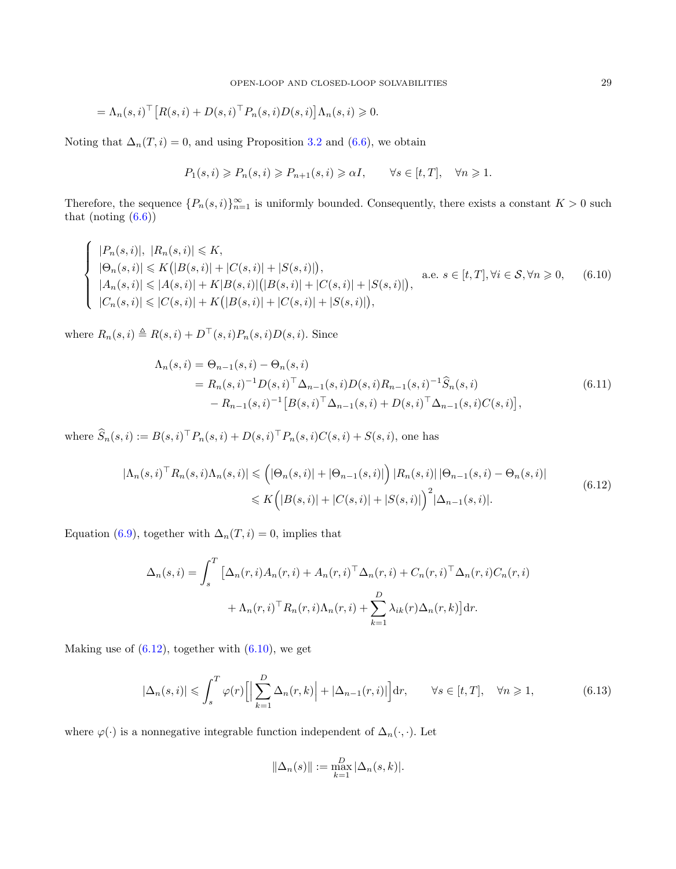$$
= \Lambda_n(s, i)^\top \big[ R(s, i) + D(s, i)^\top P_n(s, i) D(s, i) \big] \Lambda_n(s, i) \geq 0.
$$

Noting that  $\Delta_n(T, i) = 0$ , and using Proposition [3.2](#page-9-2) and [\(6.6\)](#page-26-2), we obtain

<span id="page-28-1"></span>
$$
P_1(s,i) \geqslant P_n(s,i) \geqslant P_{n+1}(s,i) \geqslant \alpha I, \qquad \forall s \in [t,T], \quad \forall n \geqslant 1.
$$

Therefore, the sequence  $\{P_n(s,i)\}_{n=1}^{\infty}$  is uniformly bounded. Consequently, there exists a constant  $K > 0$  such that (noting  $(6.6)$ )

$$
\begin{cases}\n|P_n(s,i)|, |R_n(s,i)| \leq K, \\
|\Theta_n(s,i)| \leq K(|B(s,i)| + |C(s,i)| + |S(s,i)|), \\
|A_n(s,i)| \leq |A(s,i)| + K|B(s,i)|(|B(s,i)| + |C(s,i)| + |S(s,i)|), \\
|C_n(s,i)| \leq |C(s,i)| + K(|B(s,i)| + |C(s,i)| + |S(s,i)|),\n\end{cases}
$$
 a.e.  $s \in [t, T], \forall i \in S, \forall n \geq 0$ , (6.10)

where  $R_n(s, i) \triangleq R(s, i) + D^{\top}(s, i)P_n(s, i)D(s, i)$ . Since

$$
\Lambda_n(s,i) = \Theta_{n-1}(s,i) - \Theta_n(s,i)
$$
\n
$$
= R_n(s,i)^{-1} D(s,i)^{\top} \Delta_{n-1}(s,i) D(s,i) R_{n-1}(s,i)^{-1} \widehat{S}_n(s,i)
$$
\n
$$
- R_{n-1}(s,i)^{-1} [B(s,i)^{\top} \Delta_{n-1}(s,i) + D(s,i)^{\top} \Delta_{n-1}(s,i) C(s,i)],
$$
\n(6.11)

where  $\hat{S}_n(s, i) := B(s, i)^{\top} P_n(s, i) + D(s, i)^{\top} P_n(s, i) C(s, i) + S(s, i)$ , one has

<span id="page-28-0"></span>
$$
|\Lambda_n(s,i)^{\top} R_n(s,i)\Lambda_n(s,i)| \leq (|\Theta_n(s,i)| + |\Theta_{n-1}(s,i)|) |R_n(s,i)| |\Theta_{n-1}(s,i) - \Theta_n(s,i)|
$$
  

$$
\leq K (|B(s,i)| + |C(s,i)| + |S(s,i)|)^2 |\Delta_{n-1}(s,i)|.
$$
 (6.12)

Equation [\(6.9\)](#page-27-2), together with  $\Delta_n(T, i) = 0$ , implies that

$$
\Delta_n(s, i) = \int_s^T \left[ \Delta_n(r, i) A_n(r, i) + A_n(r, i)^\top \Delta_n(r, i) + C_n(r, i)^\top \Delta_n(r, i) C_n(r, i) \right] + \Lambda_n(r, i)^\top R_n(r, i) \Lambda_n(r, i) + \sum_{k=1}^D \lambda_{ik}(r) \Delta_n(r, k) \right] dr.
$$

Making use of  $(6.12)$ , together with  $(6.10)$ , we get

$$
|\Delta_n(s,i)| \leqslant \int_s^T \varphi(r) \left[ \left| \sum_{k=1}^D \Delta_n(r,k) \right| + |\Delta_{n-1}(r,i)| \right] dr, \qquad \forall s \in [t,T], \quad \forall n \geqslant 1,
$$
\n
$$
(6.13)
$$

where  $\varphi(\cdot)$  is a nonnegative integrable function independent of  $\Delta_n(\cdot,\cdot).$  Let

<span id="page-28-2"></span>
$$
\|\Delta_n(s)\| := \max_{k=1}^D |\Delta_n(s, k)|.
$$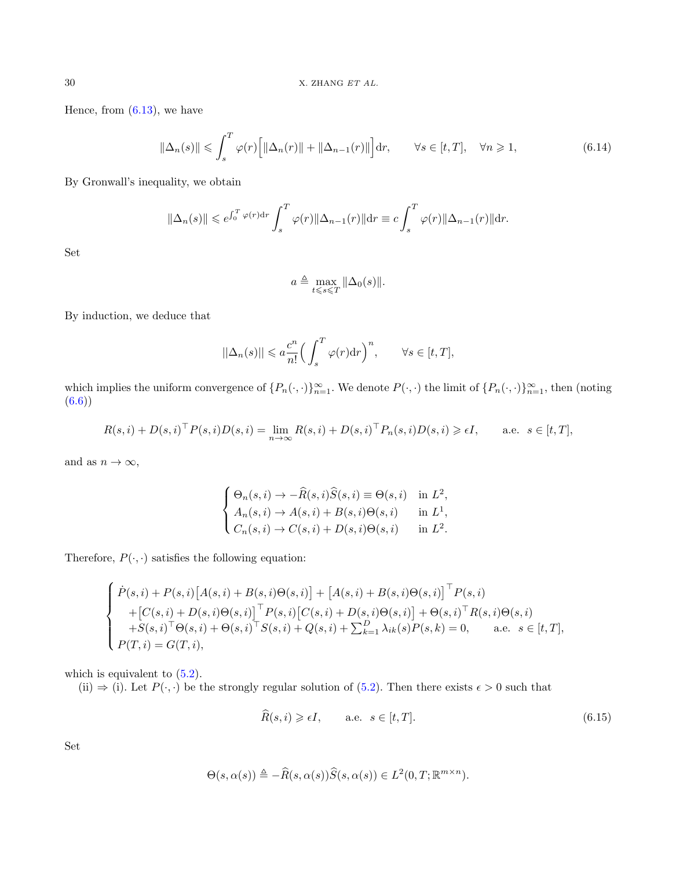Hence, from  $(6.13)$ , we have

$$
\|\Delta_n(s)\| \leqslant \int_s^T \varphi(r) \Big[ \|\Delta_n(r)\| + \|\Delta_{n-1}(r)\| \Big] dr, \qquad \forall s \in [t, T], \quad \forall n \geqslant 1,
$$
\n(6.14)

By Gronwall's inequality, we obtain

$$
\|\Delta_n(s)\| \leqslant e^{\int_0^T \varphi(r) dr} \int_s^T \varphi(r) \|\Delta_{n-1}(r)\| dr \equiv c \int_s^T \varphi(r) \|\Delta_{n-1}(r)\| dr.
$$

Set

$$
a \triangleq \max_{t \leq s \leq T} \|\Delta_0(s)\|.
$$

By induction, we deduce that

$$
||\Delta_n(s)|| \leq a \frac{c^n}{n!} \Big(\int_s^T \varphi(r) \mathrm{d} r\Big)^n, \qquad \forall s \in [t, T],
$$

which implies the uniform convergence of  $\{P_n(\cdot,\cdot)\}_{n=1}^{\infty}$ . We denote  $P(\cdot,\cdot)$  the limit of  $\{P_n(\cdot,\cdot)\}_{n=1}^{\infty}$ , then (noting [\(6.6\)](#page-26-2))

$$
R(s,i) + D(s,i)^{\top} P(s,i)D(s,i) = \lim_{n \to \infty} R(s,i) + D(s,i)^{\top} P_n(s,i)D(s,i) \ge \epsilon I, \quad \text{a.e. } s \in [t,T],
$$

and as  $n \to \infty$ ,

$$
\begin{cases} \Theta_n(s,i) \to -\widehat{R}(s,i)\widehat{S}(s,i) \equiv \Theta(s,i) & \text{in } L^2, \\ A_n(s,i) \to A(s,i) + B(s,i)\Theta(s,i) & \text{in } L^1, \\ C_n(s,i) \to C(s,i) + D(s,i)\Theta(s,i) & \text{in } L^2. \end{cases}
$$

Therefore,  $P(\cdot,\cdot)$  satisfies the following equation:

$$
\begin{cases}\n\dot{P}(s,i) + P(s,i)[A(s,i) + B(s,i)\Theta(s,i)] + [A(s,i) + B(s,i)\Theta(s,i)]^{\top} P(s,i) \\
+ [C(s,i) + D(s,i)\Theta(s,i)]^{\top} P(s,i)[C(s,i) + D(s,i)\Theta(s,i)] + \Theta(s,i)^{\top} R(s,i)\Theta(s,i) \\
+ S(s,i)^{\top} \Theta(s,i) + \Theta(s,i)^{\top} S(s,i) + Q(s,i) + \sum_{k=1}^{D} \lambda_{ik}(s) P(s,k) = 0, \quad \text{a.e. } s \in [t,T], \\
P(T,i) = G(T,i),\n\end{cases}
$$

which is equivalent to  $(5.2)$ .

(ii)  $\Rightarrow$  (i). Let  $P(\cdot, \cdot)$  be the strongly regular solution of [\(5.2\)](#page-15-0). Then there exists  $\epsilon > 0$  such that

<span id="page-29-0"></span>
$$
\widehat{R}(s,i) \geq \epsilon I, \qquad \text{a.e. } s \in [t,T]. \tag{6.15}
$$

Set

$$
\Theta(s,\alpha(s)) \triangleq -\widehat{R}(s,\alpha(s))\widehat{S}(s,\alpha(s)) \in L^2(0,T;\mathbb{R}^{m \times n}).
$$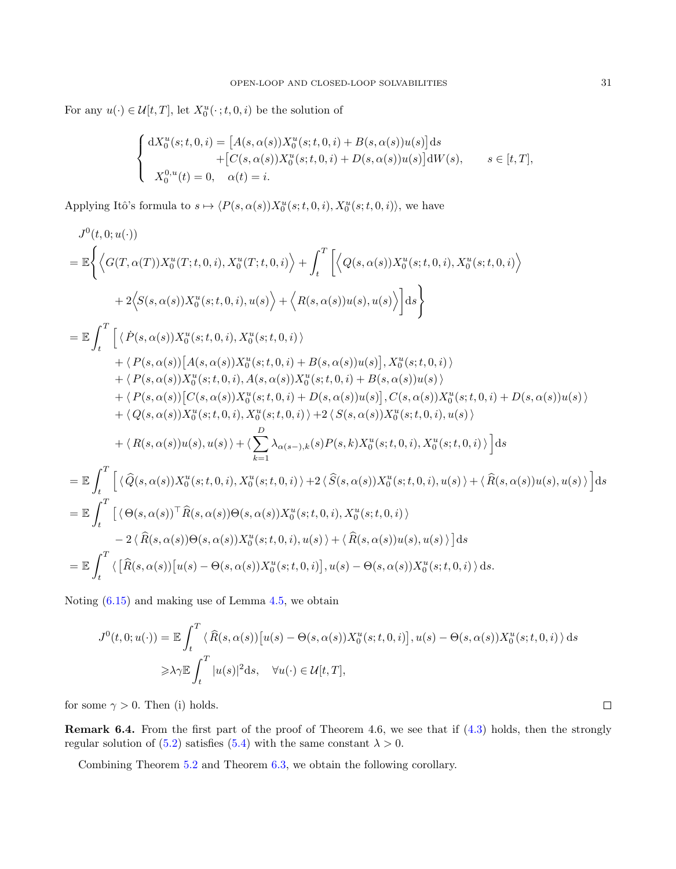For any  $u(\cdot) \in \mathcal{U}[t,T]$ , let  $X_0^u(\cdot; t, 0, i)$  be the solution of

$$
\begin{cases}\n\mathrm{d}X_0^u(s;t,0,i) = \left[A(s,\alpha(s))X_0^u(s;t,0,i) + B(s,\alpha(s))u(s)\right]\mathrm{d}s \\
\quad + \left[C(s,\alpha(s))X_0^u(s;t,0,i) + D(s,\alpha(s))u(s)\right]\mathrm{d}W(s), \quad s \in [t,T], \\
X_0^{0,u}(t) = 0, \quad \alpha(t) = i.\n\end{cases}
$$

Applying Itô's formula to  $s \mapsto \langle P(s, \alpha(s))X_0^u(s; t, 0, i), X_0^u(s; t, 0, i)\rangle$ , we have

$$
J^{0}(t,0;u(\cdot))
$$
\n
$$
= \mathbb{E}\left\{\left\langle G(T,\alpha(T))X_{0}^{u}(T;t,0,i),X_{0}^{u}(T;t,0,i)\right\rangle + \int_{t}^{T}\left[\left\langle Q(s,\alpha(s))X_{0}^{u}(s;t,0,i),X_{0}^{u}(s;t,0,i)\right\rangle\right.\\ \left. + 2\left\langle S(s,\alpha(s))X_{0}^{u}(s;t,0,i),u(s)\right\rangle + \left\langle R(s,\alpha(s))u(s),u(s)\right\rangle\right]ds\right\}
$$
\n
$$
= \mathbb{E}\int_{t}^{T}\left[\left\langle \dot{P}(s,\alpha(s))X_{0}^{u}(s;t,0,i),X_{0}^{u}(s;t,0,i)\right\rangle\right.\\ \left. + \left\langle P(s,\alpha(s))\left[A(s,\alpha(s))X_{0}^{u}(s;t,0,i)+B(s,\alpha(s))u(s)\right],X_{0}^{u}(s;t,0,i)\right\rangle\right.\\ \left. + \left\langle P(s,\alpha(s))\left[A(s,\alpha(s))X_{0}^{u}(s;t,0,i)+B(s,\alpha(s))u(s)\right],X_{0}^{u}(s;t,0,i)\right\rangle\right.\\ \left. + \left\langle P(s,\alpha(s))\left[C(s,\alpha(s))X_{0}^{u}(s;t,0,i)+D(s,\alpha(s))u(s)\right],C(s,\alpha(s))X_{0}^{u}(s;t,0,i)+D(s,\alpha(s))u(s)\right\rangle\right.\\ \left. + \left\langle Q(s,\alpha(s))X_{0}^{u}(s;t,0,i),X_{0}^{u}(s;t,0,i)\right\rangle + 2\left\langle S(s,\alpha(s))X_{0}^{u}(s;t,0,i),u(s)\right\rangle\right.\\ \left. + \left\langle R(s,\alpha(s))u(s),u(s)\right\rangle + \left\langle \sum_{k=1}^{D}\lambda_{\alpha(s-\lambda,k}(s)P(s,k)X_{0}^{u}(s;t,0,i),X_{0}^{u}(s;t,0,i)\right)\right\}ds
$$
\n
$$
= \mathbb{E}\int_{t}^{T}\left[\left\langle \hat{Q}(s,\alpha(s))X_{0}^{u}(s;t,0,i),X_{0}^{u}(s;t,0,i)\right\rangle + 2\left\langle \hat{S}(s,\alpha(s))X_{0}^{u}(s;t,0,i),u(s)\right\rangle + \left\langle \hat{R}(s,\alpha(s))u(s),u(s)\
$$

Noting [\(6.15\)](#page-29-0) and making use of Lemma [4.5,](#page-13-1) we obtain

$$
J^{0}(t,0;u(\cdot)) = \mathbb{E} \int_{t}^{T} \langle \widehat{R}(s,\alpha(s)) [u(s) - \Theta(s,\alpha(s))X_{0}^{u}(s;t,0,i)], u(s) - \Theta(s,\alpha(s))X_{0}^{u}(s;t,0,i) \rangle ds
$$
  

$$
\geq \lambda \gamma \mathbb{E} \int_{t}^{T} |u(s)|^{2} ds, \quad \forall u(\cdot) \in \mathcal{U}[t,T],
$$

for some  $\gamma > 0$ . Then (i) holds.

Remark 6.4. From the first part of the proof of Theorem 4.6, we see that if [\(4.3\)](#page-12-3) holds, then the strongly regular solution of [\(5.2\)](#page-15-0) satisfies [\(5.4\)](#page-15-4) with the same constant  $\lambda > 0$ .

Combining Theorem [5.2](#page-16-0) and Theorem [6.3,](#page-26-0) we obtain the following corollary.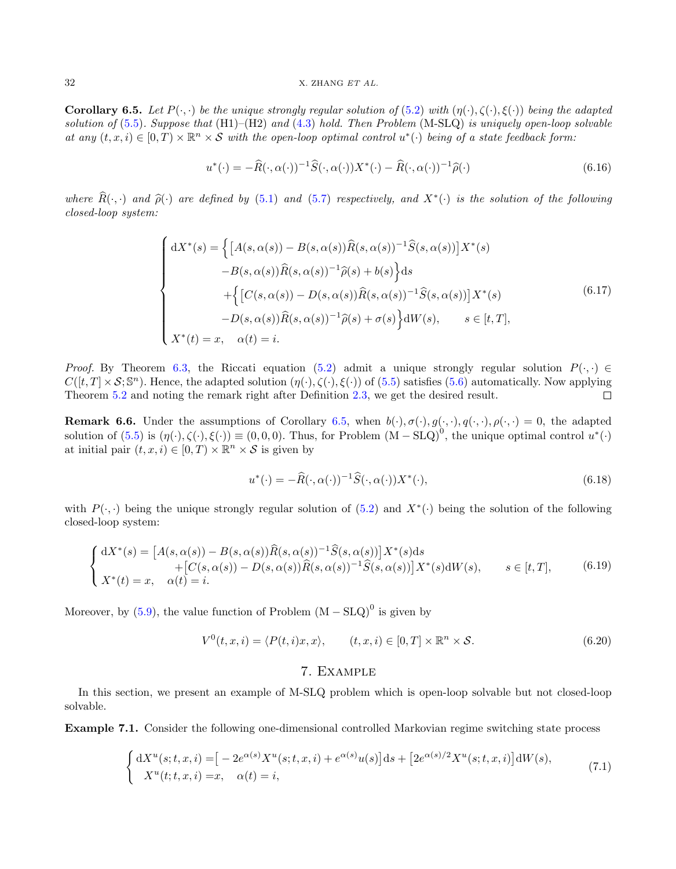<span id="page-31-0"></span>**Corollary 6.5.** Let  $P(\cdot, \cdot)$  be the unique strongly regular solution of [\(5.2\)](#page-15-0) with  $(\eta(\cdot), \zeta(\cdot), \xi(\cdot))$  being the adapted solution of  $(5.5)$ . Suppose that  $(H1)$ – $(H2)$  and  $(4.3)$  hold. Then Problem (M-SLQ) is uniquely open-loop solvable at any  $(t, x, i) \in [0, T) \times \mathbb{R}^n \times S$  with the open-loop optimal control  $u^*(\cdot)$  being of a state feedback form:

$$
u^*(\cdot) = -\widehat{R}(\cdot, \alpha(\cdot))^{-1}\widehat{S}(\cdot, \alpha(\cdot))X^*(\cdot) - \widehat{R}(\cdot, \alpha(\cdot))^{-1}\widehat{\rho}(\cdot)
$$
(6.16)

where  $R(\cdot, \cdot)$  and  $\hat{\rho}(\cdot)$  are defined by [\(5.1\)](#page-15-6) and [\(5.7\)](#page-16-2) respectively, and  $X^*(\cdot)$  is the solution of the following closed-loop system: closed-loop system:

$$
\begin{cases}\ndX^*(s) = \left\{\left[A(s,\alpha(s)) - B(s,\alpha(s))\hat{R}(s,\alpha(s))^{-1}\hat{S}(s,\alpha(s))\right]X^*(s) -B(s,\alpha(s))\hat{R}(s,\alpha(s))^{-1}\hat{\rho}(s) + b(s)\right\}ds \\
+ \left\{\left[C(s,\alpha(s)) - D(s,\alpha(s))\hat{R}(s,\alpha(s))^{-1}\hat{S}(s,\alpha(s))\right]X^*(s) -D(s,\alpha(s))\hat{R}(s,\alpha(s))^{-1}\hat{\rho}(s) + \sigma(s)\right\}dW(s), \qquad s \in [t,T],\n\end{cases} \tag{6.17}
$$

*Proof.* By Theorem [6.3,](#page-26-0) the Riccati equation [\(5.2\)](#page-15-0) admit a unique strongly regular solution  $P(\cdot, \cdot) \in$  $C([t,T]\times\mathcal{S};\mathbb{S}^n)$ . Hence, the adapted solution  $(\eta(\cdot),\zeta(\cdot),\xi(\cdot))$  of  $(5.5)$  satisfies  $(5.6)$  automatically. Now applying Theorem [5.2](#page-16-0) and noting the remark right after Definition [2.3,](#page-5-3) we get the desired result.  $\Box$ 

**Remark 6.6.** Under the assumptions of Corollary [6.5,](#page-31-0) when  $b(\cdot), \sigma(\cdot), g(\cdot, \cdot), q(\cdot, \cdot) = 0$ , the adapted solution of  $(5.5)$  is  $(\eta(\cdot), \zeta(\cdot), \xi(\cdot)) \equiv (0, 0, 0)$ . Thus, for Problem  $(M - SLQ)^0$ , the unique optimal control  $u^*(\cdot)$ at initial pair  $(t, x, i) \in [0, T) \times \mathbb{R}^n \times S$  is given by

$$
u^*(\cdot) = -\widehat{R}(\cdot, \alpha(\cdot))^{-1}\widehat{S}(\cdot, \alpha(\cdot))X^*(\cdot),\tag{6.18}
$$

with  $P(\cdot, \cdot)$  being the unique strongly regular solution of  $(5.2)$  and  $X^*(\cdot)$  being the solution of the following closed-loop system:

$$
\begin{cases} dX^*(s) = [A(s, \alpha(s)) - B(s, \alpha(s))\hat{R}(s, \alpha(s))^{-1}\hat{S}(s, \alpha(s))]X^*(s)ds \\ \qquad + [C(s, \alpha(s)) - D(s, \alpha(s))\hat{R}(s, \alpha(s))^{-1}\hat{S}(s, \alpha(s))]X^*(s)dW(s), \qquad s \in [t, T], \end{cases} \tag{6.19}
$$

Moreover, by  $(5.9)$ , the value function of Problem  $(M - SLQ)^0$  is given by

$$
V^{0}(t, x, i) = \langle P(t, i)x, x \rangle, \qquad (t, x, i) \in [0, T] \times \mathbb{R}^{n} \times \mathcal{S}.
$$
 (6.20)

## 7. Example

In this section, we present an example of M-SLQ problem which is open-loop solvable but not closed-loop solvable.

Example 7.1. Consider the following one-dimensional controlled Markovian regime switching state process

$$
\begin{cases} dX^{u}(s;t,x,i) = [-2e^{\alpha(s)}X^{u}(s;t,x,i) + e^{\alpha(s)}u(s)]ds + [2e^{\alpha(s)/2}X^{u}(s;t,x,i)]dW(s), \\ X^{u}(t;t,x,i) = x, \quad \alpha(t) = i, \end{cases}
$$
(7.1)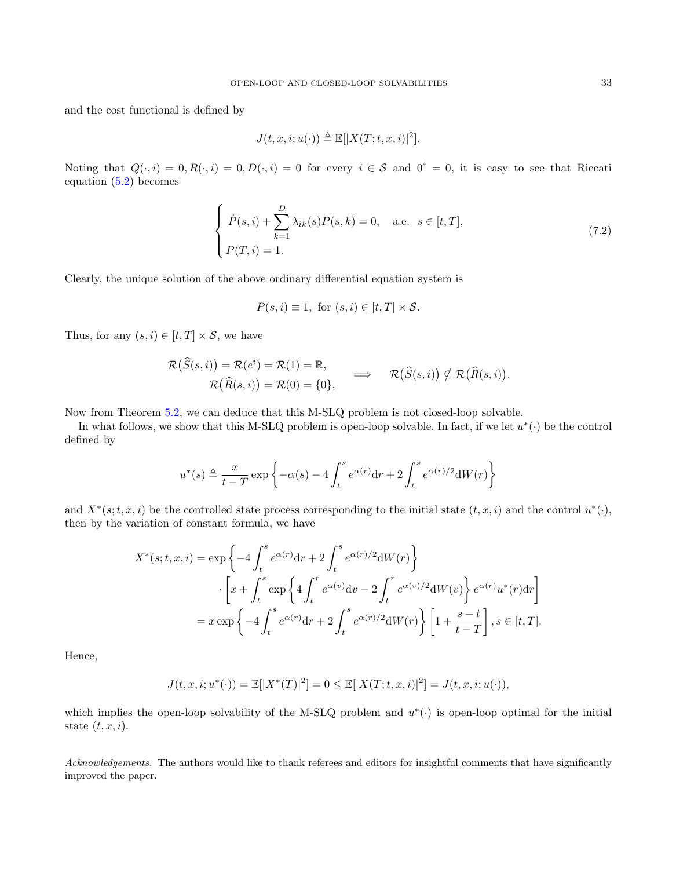and the cost functional is defined by

$$
J(t, x, i; u(\cdot)) \triangleq \mathbb{E}[|X(T; t, x, i)|^2].
$$

Noting that  $Q(\cdot, i) = 0, R(\cdot, i) = 0, D(\cdot, i) = 0$  for every  $i \in S$  and  $0^{\dagger} = 0$ , it is easy to see that Riccati equation [\(5.2\)](#page-15-0) becomes

$$
\begin{cases}\n\dot{P}(s,i) + \sum_{k=1}^{D} \lambda_{ik}(s)P(s,k) = 0, \quad \text{a.e. } s \in [t,T], \\
P(T,i) = 1.\n\end{cases}
$$
\n(7.2)

Clearly, the unique solution of the above ordinary differential equation system is

$$
P(s, i) \equiv 1, \text{ for } (s, i) \in [t, T] \times S.
$$

Thus, for any  $(s, i) \in [t, T] \times S$ , we have

$$
\mathcal{R}(\widehat{S}(s,i)) = \mathcal{R}(e^{i}) = \mathcal{R}(1) = \mathbb{R}, \mathcal{R}(\widehat{R}(s,i)) = \mathcal{R}(0) = \{0\}, \qquad \Longrightarrow \qquad \mathcal{R}(\widehat{S}(s,i)) \nsubseteq \mathcal{R}(\widehat{R}(s,i)).
$$

Now from Theorem [5.2,](#page-16-0) we can deduce that this M-SLQ problem is not closed-loop solvable.

In what follows, we show that this M-SLQ problem is open-loop solvable. In fact, if we let  $u^*(\cdot)$  be the control defined by

$$
u^*(s) \triangleq \frac{x}{t-T} \exp\left\{-\alpha(s) - 4\int_t^s e^{\alpha(r)} \mathrm{d}r + 2\int_t^s e^{\alpha(r)/2} \mathrm{d}W(r) \right\}
$$

and  $X^*(s;t,x,i)$  be the controlled state process corresponding to the initial state  $(t,x,i)$  and the control  $u^*(\cdot)$ , then by the variation of constant formula, we have

$$
X^*(s;t,x,i) = \exp\left\{-4\int_t^s e^{\alpha(r)}dr + 2\int_t^s e^{\alpha(r)/2}dW(r)\right\}
$$

$$
\cdot \left[x + \int_t^s \exp\left\{4\int_t^r e^{\alpha(v)}dv - 2\int_t^r e^{\alpha(v)/2}dW(v)\right\}e^{\alpha(r)}u^*(r)dr\right]
$$

$$
= x \exp\left\{-4\int_t^s e^{\alpha(r)}dr + 2\int_t^s e^{\alpha(r)/2}dW(r)\right\} \left[1 + \frac{s-t}{t-T}\right], s \in [t,T].
$$

Hence,

$$
J(t, x, i; u^*(\cdot)) = \mathbb{E}[|X^*(T)|^2] = 0 \le \mathbb{E}[|X(T; t, x, i)|^2] = J(t, x, i; u(\cdot)),
$$

which implies the open-loop solvability of the M-SLQ problem and  $u^*(\cdot)$  is open-loop optimal for the initial state  $(t, x, i)$ .

Acknowledgements. The authors would like to thank referees and editors for insightful comments that have significantly improved the paper.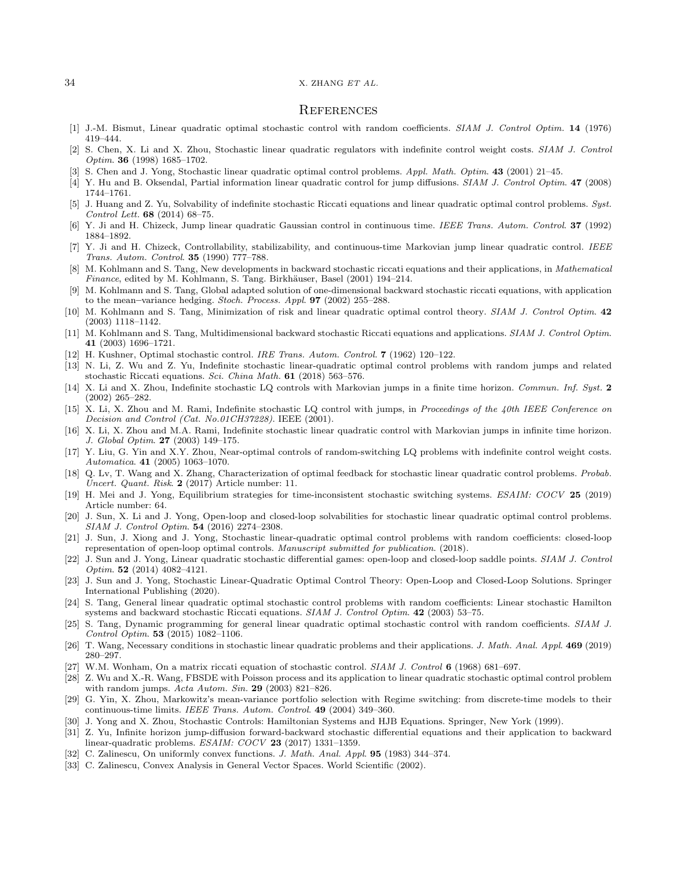#### **REFERENCES**

- <span id="page-33-2"></span>[1] J.-M. Bismut, Linear quadratic optimal stochastic control with random coefficients. SIAM J. Control Optim. 14 (1976) 419–444.
- <span id="page-33-9"></span>[2] S. Chen, X. Li and X. Zhou, Stochastic linear quadratic regulators with indefinite control weight costs. SIAM J. Control Optim. 36 (1998) 1685–1702.
- <span id="page-33-10"></span>[3] S. Chen and J. Yong, Stochastic linear quadratic optimal control problems. Appl. Math. Optim. 43 (2001) 21–45.
- <span id="page-33-15"></span>[4] Y. Hu and B. Oksendal, Partial information linear quadratic control for jump diffusions. SIAM J. Control Optim. 47 (2008) 1744–1761.
- <span id="page-33-29"></span>[5] J. Huang and Z. Yu, Solvability of indefinite stochastic Riccati equations and linear quadratic optimal control problems. Syst. Control Lett. 68 (2014) 68–75.
- <span id="page-33-20"></span>[6] Y. Ji and H. Chizeck, Jump linear quadratic Gaussian control in continuous time. IEEE Trans. Autom. Control. 37 (1992) 1884–1892.
- <span id="page-33-21"></span>[7] Y. Ji and H. Chizeck, Controllability, stabilizability, and continuous-time Markovian jump linear quadratic control. IEEE Trans. Autom. Control. 35 (1990) 777–788.
- <span id="page-33-4"></span>[8] M. Kohlmann and S. Tang, New developments in backward stochastic riccati equations and their applications, in *Mathematical* Finance, edited by M. Kohlmann, S. Tang. Birkhäuser, Basel (2001) 194-214.
- [9] M. Kohlmann and S. Tang, Global adapted solution of one-dimensional backward stochastic riccati equations, with application to the mean–variance hedging. Stoch. Process. Appl. 97 (2002) 255–288.
- [10] M. Kohlmann and S. Tang, Minimization of risk and linear quadratic optimal control theory. SIAM J. Control Optim. 42 (2003) 1118–1142.
- <span id="page-33-5"></span>[11] M. Kohlmann and S. Tang, Multidimensional backward stochastic Riccati equations and applications. SIAM J. Control Optim. 41 (2003) 1696–1721.
- <span id="page-33-0"></span>[12] H. Kushner, Optimal stochastic control. IRE Trans. Autom. Control. 7 (1962) 120–122.
- <span id="page-33-17"></span>[13] N. Li, Z. Wu and Z. Yu, Indefinite stochastic linear-quadratic optimal control problems with random jumps and related stochastic Riccati equations. Sci. China Math. 61 (2018) 563–576.
- <span id="page-33-11"></span>[14] X. Li and X. Zhou, Indefinite stochastic LQ controls with Markovian jumps in a finite time horizon. Commun. Inf. Syst. 2 (2002) 265–282.
- <span id="page-33-12"></span>[15] X. Li, X. Zhou and M. Rami, Indefinite stochastic LQ control with jumps, in Proceedings of the 40th IEEE Conference on Decision and Control (Cat. No.01CH37228). IEEE (2001).
- <span id="page-33-13"></span>[16] X. Li, X. Zhou and M.A. Rami, Indefinite stochastic linear quadratic control with Markovian jumps in infinite time horizon. J. Global Optim. 27 (2003) 149–175.
- <span id="page-33-22"></span>[17] Y. Liu, G. Yin and X.Y. Zhou, Near-optimal controls of random-switching LQ problems with indefinite control weight costs. Automatica. 41 (2005) 1063–1070.
- <span id="page-33-28"></span>[18] Q. Lv, T. Wang and X. Zhang, Characterization of optimal feedback for stochastic linear quadratic control problems. Probab. Uncert. Quant. Risk. 2 (2017) Article number: 11.
- <span id="page-33-18"></span>[19] H. Mei and J. Yong, Equilibrium strategies for time-inconsistent stochastic switching systems. ESAIM: COCV 25 (2019) Article number: 64.
- <span id="page-33-24"></span>[20] J. Sun, X. Li and J. Yong, Open-loop and closed-loop solvabilities for stochastic linear quadratic optimal control problems. SIAM J. Control Optim. 54 (2016) 2274–2308.
- <span id="page-33-6"></span>[21] J. Sun, J. Xiong and J. Yong, Stochastic linear-quadratic optimal control problems with random coefficients: closed-loop representation of open-loop optimal controls. Manuscript submitted for publication. (2018).
- <span id="page-33-23"></span>[22] J. Sun and J. Yong, Linear quadratic stochastic differential games: open-loop and closed-loop saddle points. SIAM J. Control Optim. 52 (2014) 4082–4121.
- <span id="page-33-30"></span>[23] J. Sun and J. Yong, Stochastic Linear-Quadratic Optimal Control Theory: Open-Loop and Closed-Loop Solutions. Springer International Publishing (2020).
- <span id="page-33-3"></span>[24] S. Tang, General linear quadratic optimal stochastic control problems with random coefficients: Linear stochastic Hamilton systems and backward stochastic Riccati equations. SIAM J. Control Optim. 42 (2003) 53–75.
- <span id="page-33-7"></span>[25] S. Tang, Dynamic programming for general linear quadratic optimal stochastic control with random coefficients. SIAM J. Control Optim. 53 (2015) 1082–1106.
- <span id="page-33-27"></span>[26] T. Wang, Necessary conditions in stochastic linear quadratic problems and their applications. J. Math. Anal. Appl. 469 (2019) 280–297.
- <span id="page-33-1"></span>[27] W.M. Wonham, On a matrix riccati equation of stochastic control. SIAM J. Control 6 (1968) 681-697.
- <span id="page-33-14"></span>[28] Z. Wu and X.-R. Wang, FBSDE with Poisson process and its application to linear quadratic stochastic optimal control problem with random jumps. Acta Autom. Sin. 29 (2003) 821–826.
- <span id="page-33-19"></span>[29] G. Yin, X. Zhou, Markowitz's mean-variance portfolio selection with Regime switching: from discrete-time models to their continuous-time limits. IEEE Trans. Autom. Control. 49 (2004) 349–360.
- <span id="page-33-8"></span>[30] J. Yong and X. Zhou, Stochastic Controls: Hamiltonian Systems and HJB Equations. Springer, New York (1999).
- <span id="page-33-16"></span>[31] Z. Yu, Infinite horizon jump-diffusion forward-backward stochastic differential equations and their application to backward linear-quadratic problems. ESAIM: COCV 23 (2017) 1331–1359.
- <span id="page-33-25"></span>[32] C. Zalinescu, On uniformly convex functions. J. Math. Anal. Appl. 95 (1983) 344–374.
- <span id="page-33-26"></span>[33] C. Zalinescu, Convex Analysis in General Vector Spaces. World Scientific (2002).